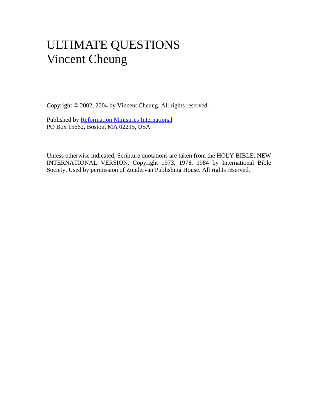# ULTIMATE QUESTIONS Vincent Cheung

Copyright © 2002, 2004 by Vincent Cheung. All rights reserved.

Published by [Reformation Ministries International](http://www.rmiweb.org/) PO Box 15662, Boston, MA 02215, USA

Unless otherwise indicated, Scripture quotations are taken from the HOLY BIBLE, NEW INTERNATIONAL VERSION. Copyright 1973, 1978, 1984 by International Bible Society. Used by permission of Zondervan Publishing House. All rights reserved.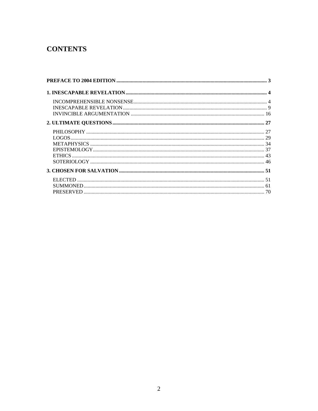## **CONTENTS**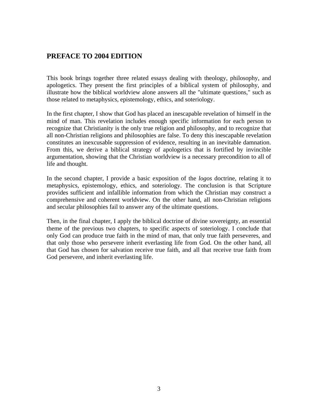#### <span id="page-2-0"></span>**PREFACE TO 2004 EDITION**

This book brings together three related essays dealing with theology, philosophy, and apologetics. They present the first principles of a biblical system of philosophy, and illustrate how the biblical worldview alone answers all the "ultimate questions," such as those related to metaphysics, epistemology, ethics, and soteriology.

In the first chapter, I show that God has placed an inescapable revelation of himself in the mind of man. This revelation includes enough specific information for each person to recognize that Christianity is the only true religion and philosophy, and to recognize that all non-Christian religions and philosophies are false. To deny this inescapable revelation constitutes an inexcusable suppression of evidence, resulting in an inevitable damnation. From this, we derive a biblical strategy of apologetics that is fortified by invincible argumentation, showing that the Christian worldview is a necessary precondition to all of life and thought.

In the second chapter, I provide a basic exposition of the *logos* doctrine, relating it to metaphysics, epistemology, ethics, and soteriology. The conclusion is that Scripture provides sufficient and infallible information from which the Christian may construct a comprehensive and coherent worldview. On the other hand, all non-Christian religions and secular philosophies fail to answer any of the ultimate questions.

Then, in the final chapter, I apply the biblical doctrine of divine sovereignty, an essential theme of the previous two chapters, to specific aspects of soteriology. I conclude that only God can produce true faith in the mind of man, that only true faith perseveres, and that only those who persevere inherit everlasting life from God. On the other hand, all that God has chosen for salvation receive true faith, and all that receive true faith from God persevere, and inherit everlasting life.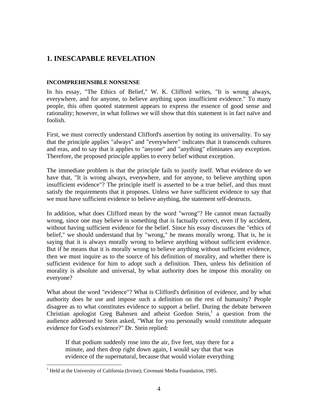## <span id="page-3-0"></span>**1. INESCAPABLE REVELATION**

#### <span id="page-3-1"></span>**INCOMPREHENSIBLE NONSENSE**

In his essay, "The Ethics of Belief," W. K. Clifford writes, "It is wrong always, everywhere, and for anyone, to believe anything upon insufficient evidence." To many people, this often quoted statement appears to express the essence of good sense and rationality; however, in what follows we will show that this statement is in fact naïve and foolish.

First, we must correctly understand Clifford's assertion by noting its universality. To say that the principle applies "always" and "everywhere" indicates that it transcends cultures and eras, and to say that it applies to "anyone" and "anything" eliminates any exception. Therefore, the proposed principle applies to every belief without exception.

The immediate problem is that the principle fails to justify itself. What evidence do we have that, "It is wrong always, everywhere, and for anyone, to believe anything upon insufficient evidence"? The principle itself is asserted to be a true belief, and thus must satisfy the requirements that it proposes. Unless we have sufficient evidence to say that we must have sufficient evidence to believe anything, the statement self-destructs.

In addition, what does Clifford mean by the word "wrong"? He cannot mean factually wrong, since one may believe in something that is factually correct, even if by accident, without having sufficient evidence for the belief. Since his essay discusses the "ethics of belief," we should understand that by "wrong," he means morally wrong. That is, he is saying that it is always morally wrong to believe anything without sufficient evidence. But if he means that it is morally wrong to believe anything without sufficient evidence, then we must inquire as to the source of his definition of morality, and whether there is sufficient evidence for him to adopt such a definition. Then, unless his definition of morality is absolute and universal, by what authority does he impose this morality on everyone?

What about the word "evidence"? What is Clifford's definition of evidence, and by what authority does he use and impose such a definition on the rest of humanity? People disagree as to what constitutes evidence to support a belief. During the debate between Christian apologist Greg Bahnsen and atheist Gordon Stein,<sup>1</sup> a question from the audience addressed to Stein asked, "What for you personally would constitute adequate evidence for God's existence?" Dr. Stein replied:

If that podium suddenly rose into the air, five feet, stay there for a minute, and then drop right down again, I would say that that was evidence of the supernatural, because that would violate everything

<sup>&</sup>lt;sup>1</sup> Held at the University of California (Irvine); Covenant Media Foundation, 1985.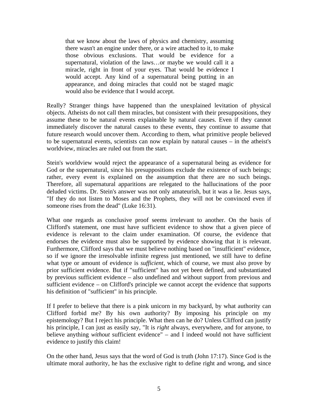that we know about the laws of physics and chemistry, assuming there wasn't an engine under there, or a wire attached to it, to make those obvious exclusions. That would be evidence for a supernatural, violation of the laws…or maybe we would call it a miracle, right in front of your eyes. That would be evidence I would accept. Any kind of a supernatural being putting in an appearance, and doing miracles that could not be staged magic would also be evidence that I would accept.

Really? Stranger things have happened than the unexplained levitation of physical objects. Atheists do not call them miracles, but consistent with their presuppositions, they assume these to be natural events explainable by natural causes. Even if they cannot immediately discover the natural causes to these events, they continue to assume that future research would uncover them. According to them, what primitive people believed to be supernatural events, scientists can now explain by natural causes – in the atheist's worldview, miracles are ruled out from the start.

Stein's worldview would reject the appearance of a supernatural being as evidence for God or the supernatural, since his presuppositions exclude the existence of such beings; rather, every event is explained on the assumption that there are no such beings. Therefore, all supernatural apparitions are relegated to the hallucinations of the poor deluded victims. Dr. Stein's answer was not only amateurish, but it was a lie. Jesus says, "If they do not listen to Moses and the Prophets, they will not be convinced even if someone rises from the dead" (Luke 16:31).

What one regards as conclusive proof seems irrelevant to another. On the basis of Clifford's statement, one must have sufficient evidence to show that a given piece of evidence is relevant to the claim under examination. Of course, the evidence that endorses the evidence must also be supported by evidence showing that it is relevant. Furthermore, Clifford says that we must believe nothing based on "insufficient" evidence, so if we ignore the irresolvable infinite regress just mentioned, we still have to define what type or amount of evidence is *sufficient*, which of course, we must also prove by prior sufficient evidence. But if "sufficient" has not yet been defined, and substantiated by previous sufficient evidence – also undefined and without support from previous and sufficient evidence – on Clifford's principle we cannot accept the evidence that supports his definition of "sufficient" in his principle.

If I prefer to believe that there is a pink unicorn in my backyard, by what authority can Clifford forbid me? By his own authority? By imposing his principle on my epistemology? But I reject his principle. What then can he do? Unless Clifford can justify his principle, I can just as easily say, "It is *right* always, everywhere, and for anyone, to believe anything *without* sufficient evidence" – and I indeed would not have sufficient evidence to justify this claim!

On the other hand, Jesus says that the word of God is truth (John 17:17). Since God is the ultimate moral authority, he has the exclusive right to define right and wrong, and since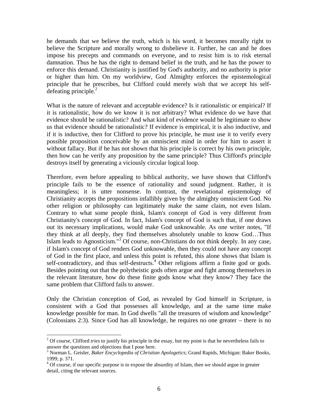he demands that we believe the truth, which is his word, it becomes morally right to believe the Scripture and morally wrong to disbelieve it. Further, he can and he does impose his precepts and commands on everyone, and to resist him is to risk eternal damnation. Thus he has the right to demand belief in the truth, and he has the power to enforce this demand. Christianity is justified by God's authority, and no authority is prior or higher than him. On my worldview, God Almighty enforces the epistemological principle that he prescribes, but Clifford could merely wish that we accept his selfdefeating principle. $^{2}$ 

What is the nature of relevant and acceptable evidence? Is it rationalistic or empirical? If it is rationalistic, how do we know it is not arbitrary? What evidence do we have that evidence should be rationalistic? And what kind of evidence would be legitimate to show us that evidence should be rationalistic? If evidence is empirical, it is also inductive, and if it is inductive, then for Clifford to prove his principle, he must use it to verify every possible proposition conceivable by an omniscient mind in order for him to assert it without fallacy. But if he has not shown that his principle is correct by his own principle, then how can he verify any proposition by the same principle? Thus Clifford's principle destroys itself by generating a viciously circular logical loop.

Therefore, even before appealing to biblical authority, we have shown that Clifford's principle fails to be the essence of rationality and sound judgment. Rather, it is meaningless; it is utter nonsense. In contrast, the revelational epistemology of Christianity accepts the propositions infallibly given by the almighty omniscient God. No other religion or philosophy can legitimately make the same claim, not even Islam. Contrary to what some people think, Islam's concept of God is very different from Christianity's concept of God. In fact, Islam's concept of God is such that, if one draws out its necessary implications, would make God unknowable. As one writer notes, "If they think at all deeply, they find themselves absolutely unable to know God…Thus Islam leads to Agnosticism."<sup>3</sup> Of course, non-Christians do not think deeply. In any case, if Islam's concept of God renders God unknowable, then they could not have any concept of God in the first place, and unless this point is refuted, this alone shows that Islam is self-contradictory, and thus self-destructs.<sup>4</sup> Other religions affirm a finite god or gods. Besides pointing out that the polytheistic gods often argue and fight among themselves in the relevant literature, how do these finite gods know what they know? They face the same problem that Clifford fails to answer.

Only the Christian conception of God, as revealed by God himself in Scripture, is consistent with a God that possesses all knowledge, and at the same time make knowledge possible for man. In God dwells "all the treasures of wisdom and knowledge" (Colossians 2:3). Since God has all knowledge, he requires no one greater – there is no

<sup>&</sup>lt;sup>2</sup> Of course, Clifford *tries* to justify his principle in the essay, but my point is that he nevertheless fails to answer the questions and objections that I pose here.

<sup>3</sup> Norman L. Geisler, *Baker Encyclopedia of Christian Apologetics*; Grand Rapids, Michigan: Baker Books, 1999; p. 371.

 $4$  Of course, if our specific purpose is to expose the absurdity of Islam, then we should argue in greater detail, citing the relevant sources.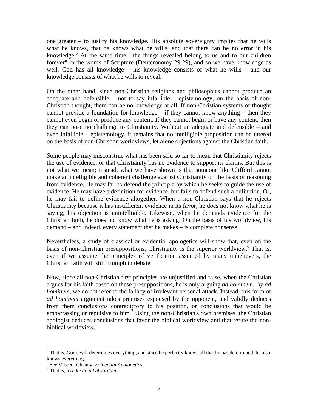one greater – to justify his knowledge. His absolute sovereignty implies that he wills what he knows, that he knows what he wills, and that there can be no error in his knowledge.<sup>5</sup> At the same time, "the things revealed belong to us and to our children forever" in the words of Scripture (Deuteronomy 29:29), and so we have knowledge as well. God has all knowledge – his knowledge consists of what he wills – and our knowledge consists of what he wills to reveal.

On the other hand, since non-Christian religions and philosophies cannot produce an adequate and defensible – not to say infallible – epistemology, on the basis of non-Christian thought, there can be no knowledge at all. If non-Christian systems of thought cannot provide a foundation for knowledge – if they cannot know anything – then they cannot even begin or produce any content. If they cannot begin or have any content, then they can pose no challenge to Christianity. Without an adequate and defensible – and even infallible – epistemology, it remains that no intelligible proposition can be uttered on the basis of non-Christian worldviews, let alone objections against the Christian faith.

Some people may misconstrue what has been said so far to mean that Christianity rejects the use of evidence, or that Christianity has no evidence to support its claims. But this is not what we mean; instead, what we have shown is that someone like Clifford cannot make an intelligible and coherent challenge against Christianity on the basis of reasoning from evidence. He may fail to defend the principle by which he seeks to guide the use of evidence. He may have a definition for evidence, but fails to defend such a definition. Or, he may fail to define evidence altogether. When a non-Christian says that he rejects Christianity because it has insufficient evidence in its favor, he does not know what he is saying; his objection is unintelligible. Likewise, when he demands evidence for the Christian faith, he does not know what he is asking. On the basis of his worldview, his demand – and indeed, every statement that he makes – is complete nonsense.

Nevertheless, a study of classical or evidential apologetics will show that, even on the basis of non-Christian presuppositions, Christianity is the superior worldview.<sup>6</sup> That is, even if we assume the principles of verification assumed by many unbelievers, the Christian faith will still triumph in debate.

Now, since all non-Christian first principles are unjustified and false, when the Christian argues for his faith based on these presuppositions, he is only arguing *ad hominem*. By *ad hominem*, we do not refer to the fallacy of irrelevant personal attack. Instead, this form of *ad hominem* argument takes premises espoused by the opponent, and validly deduces from them conclusions contradictory to his position, or conclusions that would be embarrassing or repulsive to him.<sup>7</sup> Using the non-Christian's own premises, the Christian apologist deduces conclusions that favor the biblical worldview and that refute the nonbiblical worldview.

 $<sup>5</sup>$  That is, God's will determines everything, and since he perfectly knows all that he has determined, he also</sup> knows everything.

<sup>&</sup>lt;sup>6</sup> See Vincent Cheung, *Evidential Apologetics*.

That is, a *reductio ad absurdum*.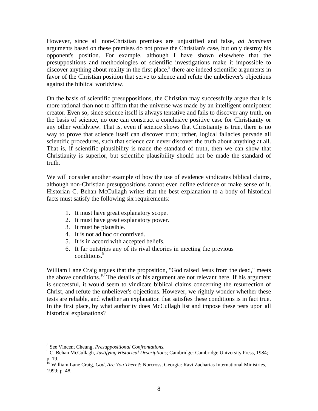However, since all non-Christian premises are unjustified and false, *ad hominem* arguments based on these premises do not prove the Christian's case, but only destroy his opponent's position. For example, although I have shown elsewhere that the presuppositions and methodologies of scientific investigations make it impossible to discover anything about reality in the first place,  $\delta$  there are indeed scientific arguments in favor of the Christian position that serve to silence and refute the unbeliever's objections against the biblical worldview.

On the basis of scientific presuppositions, the Christian may successfully argue that it is more rational than not to affirm that the universe was made by an intelligent omnipotent creator. Even so, since science itself is always tentative and fails to discover any truth, on the basis of science, no one can construct a conclusive positive case for Christianity or any other worldview. That is, even if science shows that Christianity is true, there is no way to prove that science itself can discover truth; rather, logical fallacies pervade all scientific procedures, such that science can never discover the truth about anything at all. That is, if scientific plausibility is made the standard of truth, then we can show that Christianity is superior, but scientific plausibility should not be made the standard of truth.

We will consider another example of how the use of evidence vindicates biblical claims, although non-Christian presuppositions cannot even define evidence or make sense of it. Historian C. Behan McCullagh writes that the best explanation to a body of historical facts must satisfy the following six requirements:

- 1. It must have great explanatory scope.
- 2. It must have great explanatory power.
- 3. It must be plausible.
- 4. It is not ad hoc or contrived.
- 5. It is in accord with accepted beliefs.
- 6. It far outstrips any of its rival theories in meeting the previous conditions.<sup>9</sup>

William Lane Craig argues that the proposition, "God raised Jesus from the dead," meets the above conditions.<sup>10</sup> The details of his argument are not relevant here. If his argument is successful, it would seem to vindicate biblical claims concerning the resurrection of Christ, and refute the unbeliever's objections. However, we rightly wonder whether these tests are reliable, and whether an explanation that satisfies these conditions is in fact true. In the first place, by what authority does McCullagh list and impose these tests upon all historical explanations?

1

<sup>&</sup>lt;sup>8</sup> See Vincent Cheung, *Presuppositional Confrontations*.<br><sup>9</sup> C. Beban McCullagh, *Justifying Historiaal Description* 

C. Behan McCullagh, *Justifying Historical Descriptions*; Cambridge: Cambridge University Press, 1984; p. 19.

<sup>&</sup>lt;sup>10</sup> William Lane Craig, *God, Are You There?*; Norcross, Georgia: Ravi Zacharias International Ministries, 1999; p. 48.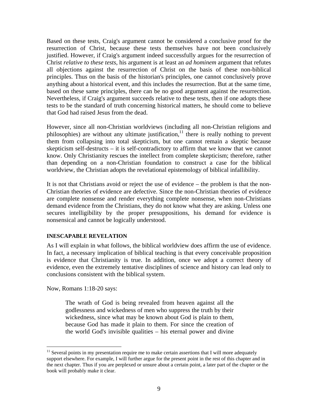Based on these tests, Craig's argument cannot be considered a conclusive proof for the resurrection of Christ, because these tests themselves have not been conclusively justified. However, if Craig's argument indeed successfully argues for the resurrection of Christ *relative to these tests*, his argument is at least an *ad hominem* argument that refutes all objections against the resurrection of Christ on the basis of these non-biblical principles. Thus on the basis of the historian's principles, one cannot conclusively prove anything about a historical event, and this includes the resurrection. But at the same time, based on these same principles, there can be no good argument against the resurrection. Nevertheless, if Craig's argument succeeds relative to these tests, then if one adopts these tests to be the standard of truth concerning historical matters, he should come to believe that God had raised Jesus from the dead.

However, since all non-Christian worldviews (including all non-Christian religions and philosophies) are without any ultimate justification, $11$  there is really nothing to prevent them from collapsing into total skepticism, but one cannot remain a skeptic because skepticism self-destructs – it is self-contradictory to affirm that we know that we cannot know. Only Christianity rescues the intellect from complete skepticism; therefore, rather than depending on a non-Christian foundation to construct a case for the biblical worldview, the Christian adopts the revelational epistemology of biblical infallibility.

It is not that Christians avoid or reject the use of evidence – the problem is that the non-Christian theories of evidence are defective. Since the non-Christian theories of evidence are complete nonsense and render everything complete nonsense, when non-Christians demand evidence from the Christians, they do not know what they are asking. Unless one secures intelligibility by the proper presuppositions, his demand for evidence is nonsensical and cannot be logically understood.

#### <span id="page-8-0"></span>**INESCAPABLE REVELATION**

As I will explain in what follows, the biblical worldview does affirm the use of evidence. In fact, a necessary implication of biblical teaching is that every conceivable proposition is evidence that Christianity is true. In addition, once we adopt a correct theory of evidence, even the extremely tentative disciplines of science and history can lead only to conclusions consistent with the biblical system.

Now, Romans 1:18-20 says:

<u>.</u>

The wrath of God is being revealed from heaven against all the godlessness and wickedness of men who suppress the truth by their wickedness, since what may be known about God is plain to them, because God has made it plain to them. For since the creation of the world God's invisible qualities – his eternal power and divine

 $11$  Several points in my presentation require me to make certain assertions that I will more adequately support elsewhere. For example, I will further argue for the present point in the rest of this chapter and in the next chapter. Thus if you are perplexed or unsure about a certain point, a later part of the chapter or the book will probably make it clear.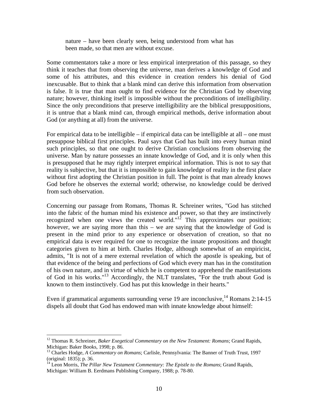nature – have been clearly seen, being understood from what has been made, so that men are without excuse.

Some commentators take a more or less empirical interpretation of this passage, so they think it teaches that from observing the universe, man derives a knowledge of God and some of his attributes, and this evidence in creation renders his denial of God inexcusable. But to think that a blank mind can derive this information from observation is false. It is true that man ought to find evidence for the Christian God by observing nature; however, thinking itself is impossible without the preconditions of intelligibility. Since the only preconditions that preserve intelligibility are the biblical presuppositions, it is untrue that a blank mind can, through empirical methods, derive information about God (or anything at all) from the universe.

For empirical data to be intelligible – if empirical data can be intelligible at all – one must presuppose biblical first principles. Paul says that God has built into every human mind such principles, so that one ought to derive Christian conclusions from observing the universe. Man by nature possesses an innate knowledge of God, and it is only when this is presupposed that he may rightly interpret empirical information. This is not to say that reality is subjective, but that it is impossible to gain knowledge of reality in the first place without first adopting the Christian position in full. The point is that man already knows God before he observes the external world; otherwise, no knowledge could be derived from such observation.

Concerning our passage from Romans, Thomas R. Schreiner writes, "God has stitched into the fabric of the human mind his existence and power, so that they are instinctively recognized when one views the created world."<sup>12</sup> This approximates our position; however, we are saying more than this – we are saying that the knowledge of God is present in the mind prior to any experience or observation of creation, so that no empirical data is ever required for one to recognize the innate propositions and thought categories given to him at birth. Charles Hodge, although somewhat of an empiricist, admits, "It is not of a mere external revelation of which the apostle is speaking, but of that evidence of the being and perfections of God which every man has in the constitution of his own nature, and in virtue of which he is competent to apprehend the manifestations of God in his works."13 Accordingly, the NLT translates, "For the truth about God is known to them instinctively. God has put this knowledge in their hearts."

Even if grammatical arguments surrounding verse 19 are inconclusive,  $^{14}$  Romans 2:14-15 dispels all doubt that God has endowed man with innate knowledge about himself:

<sup>&</sup>lt;sup>12</sup> Thomas R. Schreiner, *Baker Exegetical Commentary on the New Testament: Romans*; Grand Rapids, Michigan: Baker Books, 1998; p. 86.

<sup>13</sup> Charles Hodge, *A Commentary on Romans*; Carlisle, Pennsylvania: The Banner of Truth Trust, 1997 (original: 1835); p. 36.

<sup>&</sup>lt;sup>14</sup> Leon Morris, *The Pillar New Testament Commentary: The Epistle to the Romans*; Grand Rapids, Michigan: William B. Eerdmans Publishing Company, 1988; p. 78-80.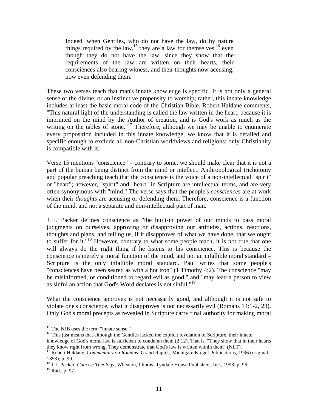Indeed, when Gentiles, who do not have the law, do by nature things required by the law,<sup>15</sup> they are a law for themselves,<sup>16</sup> even though they do not have the law, since they show that the requirements of the law are written on their hearts, their consciences also bearing witness, and their thoughts now accusing, now even defending them.

These two verses teach that man's innate knowledge is specific. It is not only a general sense of the divine, or an instinctive propensity to worship; rather, this innate knowledge includes at least the basic moral code of the Christian Bible. Robert Haldane comments, "This natural light of the understanding is called the law written in the heart, because it is imprinted on the mind by the Author of creation, and is God's work as much as the writing on the tables of stone."<sup>17</sup> Therefore, although we may be unable to enumerate every proposition included in this innate knowledge, we know that it is detailed and specific enough to exclude all non-Christian worldviews and religions; only Christianity is compatible with it.

Verse 15 mentions "conscience" – contrary to some, we should make clear that it is not a part of the human being distinct from the mind or intellect. Anthropological trichotomy and popular preaching teach that the conscience is the voice of a non-intellectual "spirit" or "heart"; however, "spirit" and "heart" in Scripture are intellectual terms, and are very often synonymous with "mind." The verse says that the people's *consciences* are at work when their *thoughts* are accusing or defending them. Therefore, conscience is a function of the mind, and not a separate and non-intellectual part of man.

J. I. Packer defines conscience as "the built-in power of our minds to pass moral judgments on ourselves, approving or disapproving our attitudes, actions, reactions, thoughts and plans, and telling us, if it disapproves of what we have done, that we ought to suffer for it."<sup>18</sup> However, contrary to what some people teach, it is not true that one will always do the right thing if he listens to his conscience. This is because the conscience is merely a moral function of the mind, and not an infallible moral standard – Scripture is the only infallible moral standard. Paul writes that some people's "consciences have been seared as with a hot iron" (1 Timothy 4:2). The conscience "may be misinformed, or conditioned to regard evil as good," and "may lead a person to view as sinful an action that God's Word declares is not sinful."19

What the conscience approves is not necessarily good, and although it is not safe to violate one's conscience, what it disapproves is not necessarily evil (Romans 14:1-2, 23). Only God's moral precepts as revealed in Scripture carry final authority for making moral

<sup>&</sup>lt;sup>15</sup> The NJB uses the term "innate sense."

<sup>&</sup>lt;sup>16</sup> This just means that although the Gentiles lacked the explicit revelation of Scripture, their innate knowledge of God's moral law is sufficient to condemn them (2:12). That is, "They show that in their hearts

they know right from wrong. They demonstrate that God's law is written within them" (NLT). 17 Robert Haldane, *Commentary on Romans*; Grand Rapids, Michigan: Kregel Publications, 1996 (original: 1853); p. 99.

<sup>&</sup>lt;sup>18</sup> J. I. Packer, *Concise Theology*; Wheaton, Illinois: Tyndale House Publishers, Inc., 1993; p. 96.

<sup>19</sup> Ibid., p. 97.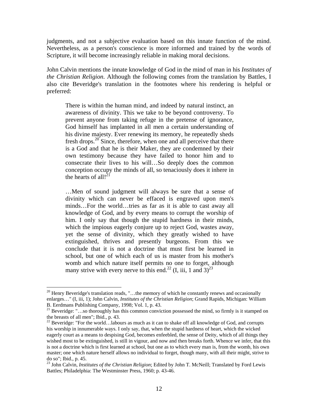judgments, and not a subjective evaluation based on this innate function of the mind. Nevertheless, as a person's conscience is more informed and trained by the words of Scripture, it will become increasingly reliable in making moral decisions.

John Calvin mentions the innate knowledge of God in the mind of man in his *Institutes of the Christian Religion*. Although the following comes from the translation by Battles, I also cite Beveridge's translation in the footnotes where his rendering is helpful or preferred:

There is within the human mind, and indeed by natural instinct, an awareness of divinity. This we take to be beyond controversy. To prevent anyone from taking refuge in the pretense of ignorance, God himself has implanted in all men a certain understanding of his divine majesty. Ever renewing its memory, he repeatedly sheds fresh drops. $20^{\circ}$  Since, therefore, when one and all perceive that there is a God and that he is their Maker, they are condemned by their own testimony because they have failed to honor him and to consecrate their lives to his will…So deeply does the common conception occupy the minds of all, so tenaciously does it inhere in the hearts of all! $^{21}$ 

…Men of sound judgment will always be sure that a sense of divinity which can never be effaced is engraved upon men's minds…For the world…tries as far as it is able to cast away all knowledge of God, and by every means to corrupt the worship of him. I only say that though the stupid hardness in their minds, which the impious eagerly conjure up to reject God, wastes away, yet the sense of divinity, which they greatly wished to have extinguished, thrives and presently burgeons. From this we conclude that it is not a doctrine that must first be learned in school, but one of which each of us is master from his mother's womb and which nature itself permits no one to forget, although many strive with every nerve to this end.<sup>22</sup> (I, iii, 1 and  $3)^{23}$ 

 $20$  Henry Beveridge's translation reads, "...the memory of which he constantly renews and occasionally enlarges…" (I, iii, 1); John Calvin, *Institutes of the Christian Religion*; Grand Rapids, Michigan: William B. Eerdmans Publishing Company, 1998; Vol. 1, p. 43.

<sup>&</sup>lt;sup>21</sup> Beveridge: "...so thoroughly has this common conviction possessed the mind, so firmly is it stamped on the breasts of all men"; Ibid., p. 43.

<sup>&</sup>lt;sup>22</sup> Beveridge: "For the world...labours as much as it can to shake off all knowledge of God, and corrupts his worship in innumerable ways. I only say, that, when the stupid hardness of heart, which the wicked eagerly court as a means to despising God, becomes enfeebled, the sense of Deity, which of all things they wished most to be extinguished, is still in vigour, and now and then breaks forth. Whence we infer, that this is not a doctrine which is first learned at school, but one as to which every man is, from the womb, his own master; one which nature herself allows no individual to forget, though many, with all their might, strive to do so"; Ibid., p. 45.

<sup>&</sup>lt;sup>23</sup> John Calvin, *Institutes of the Christian Religion*; Edited by John T. McNeill; Translated by Ford Lewis Battles; Philadelphia: The Westminster Press, 1960; p. 43-46.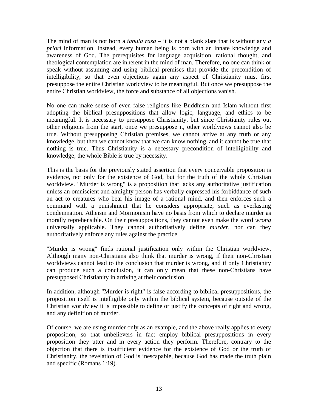The mind of man is not born a *tabula rasa* – it is not a blank slate that is without any *a priori* information. Instead, every human being is born with an innate knowledge and awareness of God. The prerequisites for language acquisition, rational thought, and theological contemplation are inherent in the mind of man. Therefore, no one can think or speak without assuming and using biblical premises that provide the precondition of intelligibility, so that even objections again any aspect of Christianity must first presuppose the entire Christian worldview to be meaningful. But once we presuppose the entire Christian worldview, the force and substance of all objections vanish.

No one can make sense of even false religions like Buddhism and Islam without first adopting the biblical presuppositions that allow logic, language, and ethics to be meaningful. It is necessary to presuppose Christianity, but since Christianity rules out other religions from the start, once we presuppose it, other worldviews cannot also be true. Without presupposing Christian premises, we cannot arrive at any truth or any knowledge, but then we cannot know that we can know nothing, and it cannot be true that nothing is true. Thus Christianity is a necessary precondition of intelligibility and knowledge; the whole Bible is true by necessity.

This is the basis for the previously stated assertion that every conceivable proposition is evidence, not only for the existence of God, but for the truth of the whole Christian worldview. "Murder is wrong" is a proposition that lacks any authoritative justification unless an omniscient and almighty person has verbally expressed his forbiddance of such an act to creatures who bear his image of a rational mind, and then enforces such a command with a punishment that he considers appropriate, such as everlasting condemnation. Atheism and Mormonism have no basis from which to declare murder as morally reprehensible. On their presuppositions, they cannot even make the word *wrong* universally applicable. They cannot authoritatively define *murder*, nor can they authoritatively enforce any rules against the practice.

"Murder is wrong" finds rational justification only within the Christian worldview. Although many non-Christians also think that murder is wrong, if their non-Christian worldviews cannot lead to the conclusion that murder is wrong, and if only Christianity can produce such a conclusion, it can only mean that these non-Christians have presupposed Christianity in arriving at their conclusion.

In addition, although "Murder is right" is false according to biblical presuppositions, the proposition itself is intelligible only within the biblical system, because outside of the Christian worldview it is impossible to define or justify the concepts of right and wrong, and any definition of murder.

Of course, we are using murder only as an example, and the above really applies to every proposition, so that unbelievers in fact employ biblical presuppositions in every proposition they utter and in every action they perform. Therefore, contrary to the objection that there is insufficient evidence for the existence of God or the truth of Christianity, the revelation of God is inescapable, because God has made the truth plain and specific (Romans 1:19).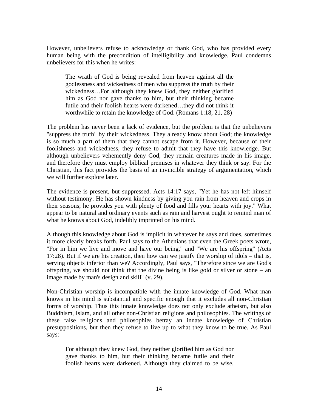However, unbelievers refuse to acknowledge or thank God, who has provided every human being with the precondition of intelligibility and knowledge. Paul condemns unbelievers for this when he writes:

The wrath of God is being revealed from heaven against all the godlessness and wickedness of men who suppress the truth by their wickedness…For although they knew God, they neither glorified him as God nor gave thanks to him, but their thinking became futile and their foolish hearts were darkened…they did not think it worthwhile to retain the knowledge of God. (Romans 1:18, 21, 28)

The problem has never been a lack of evidence, but the problem is that the unbelievers "suppress the truth" by their wickedness. They already know about God; the knowledge is so much a part of them that they cannot escape from it. However, because of their foolishness and wickedness, they refuse to admit that they have this knowledge. But although unbelievers vehemently deny God, they remain creatures made in his image, and therefore they must employ biblical premises in whatever they think or say. For the Christian, this fact provides the basis of an invincible strategy of argumentation, which we will further explore later.

The evidence is present, but suppressed. Acts 14:17 says, "Yet he has not left himself without testimony: He has shown kindness by giving you rain from heaven and crops in their seasons; he provides you with plenty of food and fills your hearts with joy." What appear to be natural and ordinary events such as rain and harvest ought to remind man of what he knows about God, indelibly imprinted on his mind.

Although this knowledge about God is implicit in whatever he says and does, sometimes it more clearly breaks forth. Paul says to the Athenians that even the Greek poets wrote, "For in him we live and move and have our being," and "We are his offspring" (Acts 17:28). But if we are his creation, then how can we justify the worship of idols – that is, serving objects inferior than we? Accordingly, Paul says, "Therefore since we are God's offspring, we should not think that the divine being is like gold or silver or stone – an image made by man's design and skill" (v. 29).

Non-Christian worship is incompatible with the innate knowledge of God. What man knows in his mind is substantial and specific enough that it excludes all non-Christian forms of worship. Thus this innate knowledge does not only exclude atheism, but also Buddhism, Islam, and all other non-Christian religions and philosophies. The writings of these false religions and philosophies betray an innate knowledge of Christian presuppositions, but then they refuse to live up to what they know to be true. As Paul says:

For although they knew God, they neither glorified him as God nor gave thanks to him, but their thinking became futile and their foolish hearts were darkened. Although they claimed to be wise,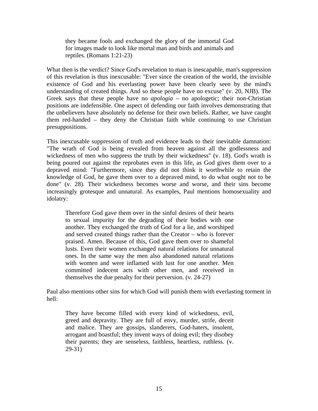they became fools and exchanged the glory of the immortal God for images made to look like mortal man and birds and animals and reptiles. (Romans 1:21-23)

What then is the verdict? Since God's revelation to man is inescapable, man's suppression of this revelation is thus inexcusable: "Ever since the creation of the world, the invisible existence of God and his everlasting power have been clearly seen by the mind's understanding of created things. And so these people have no excuse" (v. 20, NJB). The Greek says that these people have no *apologia* – no apologetic; their non-Christian positions are indefensible. One aspect of defending our faith involves demonstrating that the unbelievers have absolutely no defense for their own beliefs. Rather, we have caught them red-handed – they deny the Christian faith while continuing to use Christian presuppositions.

This inexcusable suppression of truth and evidence leads to their inevitable damnation: "The wrath of God is being revealed from heaven against all the godlessness and wickedness of men who suppress the truth by their wickedness" (v. 18). God's wrath is being poured out against the reprobates even in this life, as God gives them over to a depraved mind: "Furthermore, since they did not think it worthwhile to retain the knowledge of God, he gave them over to a depraved mind, to do what ought not to be done" (v. 28). Their wickedness becomes worse and worse, and their sins become increasingly grotesque and unnatural. As examples, Paul mentions homosexuality and idolatry:

Therefore God gave them over in the sinful desires of their hearts to sexual impurity for the degrading of their bodies with one another. They exchanged the truth of God for a lie, and worshiped and served created things rather than the Creator – who is forever praised. Amen. Because of this, God gave them over to shameful lusts. Even their women exchanged natural relations for unnatural ones. In the same way the men also abandoned natural relations with women and were inflamed with lust for one another. Men committed indecent acts with other men, and received in themselves the due penalty for their perversion. (v. 24-27)

Paul also mentions other sins for which God will punish them with everlasting torment in hell:

They have become filled with every kind of wickedness, evil, greed and depravity. They are full of envy, murder, strife, deceit and malice. They are gossips, slanderers, God-haters, insolent, arrogant and boastful; they invent ways of doing evil; they disobey their parents; they are senseless, faithless, heartless, ruthless. (v. 29-31)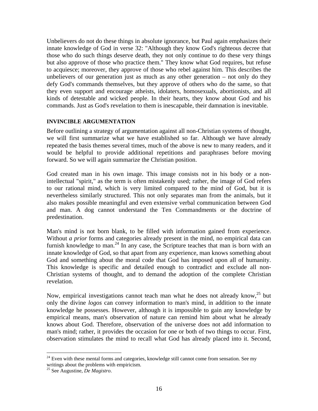Unbelievers do not do these things in absolute ignorance, but Paul again emphasizes their innate knowledge of God in verse 32: "Although they know God's righteous decree that those who do such things deserve death, they not only continue to do these very things but also approve of those who practice them." They know what God requires, but refuse to acquiesce; moreover, they approve of those who rebel against him. This describes the unbelievers of our generation just as much as any other generation – not only do they defy God's commands themselves, but they approve of others who do the same, so that they even support and encourage atheists, idolaters, homosexuals, abortionists, and all kinds of detestable and wicked people. In their hearts, they know about God and his commands. Just as God's revelation to them is inescapable, their damnation is inevitable.

#### <span id="page-15-0"></span>**INVINCIBLE ARGUMENTATION**

Before outlining a strategy of argumentation against all non-Christian systems of thought, we will first summarize what we have established so far. Although we have already repeated the basis themes several times, much of the above is new to many readers, and it would be helpful to provide additional repetitions and paraphrases before moving forward. So we will again summarize the Christian position.

God created man in his own image. This image consists not in his body or a nonintellectual "spirit," as the term is often mistakenly used; rather, the image of God refers to our rational mind, which is very limited compared to the mind of God, but it is nevertheless similarly structured. This not only separates man from the animals, but it also makes possible meaningful and even extensive verbal communication between God and man. A dog cannot understand the Ten Commandments or the doctrine of predestination.

Man's mind is not born blank, to be filled with information gained from experience. Without *a prior* forms and categories already present in the mind, no empirical data can furnish knowledge to man.<sup>24</sup> In any case, the Scripture teaches that man is born with an innate knowledge of God, so that apart from any experience, man knows something about God and something about the moral code that God has imposed upon all of humanity. This knowledge is specific and detailed enough to contradict and exclude all non-Christian systems of thought, and to demand the adoption of the complete Christian revelation.

Now, empirical investigations cannot teach man what he does not already know,<sup>25</sup> but only the divine *logos* can convey information to man's mind, in addition to the innate knowledge he possesses. However, although it is impossible to gain any knowledge by empirical means, man's observation of nature can remind him about what he already knows about God. Therefore, observation of the universe does not add information to man's mind; rather, it provides the occasion for one or both of two things to occur. First, observation stimulates the mind to recall what God has already placed into it. Second,

<sup>&</sup>lt;sup>24</sup> Even with these mental forms and categories, knowledge still cannot come from sensation. See my writings about the problems with empiricism.

<sup>25</sup> See Augustine, *De Magistro*.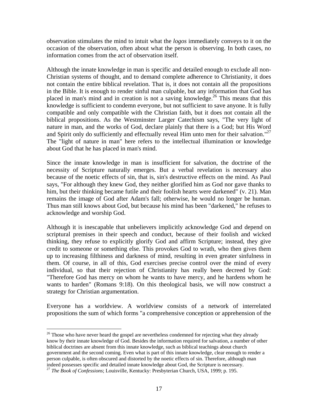observation stimulates the mind to intuit what the *logos* immediately conveys to it on the occasion of the observation, often about what the person is observing. In both cases, no information comes from the act of observation itself.

Although the innate knowledge in man is specific and detailed enough to exclude all non-Christian systems of thought, and to demand complete adherence to Christianity, it does not contain the entire biblical revelation. That is, it does not contain all the propositions in the Bible. It is enough to render sinful man culpable, but any information that God has placed in man's mind and in creation is not a saving knowledge.<sup>26</sup> This means that this knowledge is sufficient to condemn everyone, but not sufficient to save anyone. It is fully compatible and only compatible with the Christian faith, but it does not contain all the biblical propositions. As the Westminster Larger Catechism says, "The very light of nature in man, and the works of God, declare plainly that there is a God; but His Word and Spirit only do sufficiently and effectually reveal Him unto men for their salvation."<sup>27</sup> The "light of nature in man" here refers to the intellectual illumination or knowledge about God that he has placed in man's mind.

Since the innate knowledge in man is insufficient for salvation, the doctrine of the necessity of Scripture naturally emerges. But a verbal revelation is necessary also because of the noetic effects of sin, that is, sin's destructive effects on the mind. As Paul says, "For although they knew God, they neither glorified him as God nor gave thanks to him, but their thinking became futile and their foolish hearts were darkened" (v. 21). Man remains the image of God after Adam's fall; otherwise, he would no longer be human. Thus man still knows about God, but because his mind has been "darkened," he refuses to acknowledge and worship God.

Although it is inescapable that unbelievers implicitly acknowledge God and depend on scriptural premises in their speech and conduct, because of their foolish and wicked thinking, they refuse to explicitly glorify God and affirm Scripture; instead, they give credit to someone or something else. This provokes God to wrath, who then gives them up to increasing filthiness and darkness of mind, resulting in even greater sinfulness in them. Of course, in all of this, God exercises precise control over the mind of every individual, so that their rejection of Christianity has really been decreed by God: "Therefore God has mercy on whom he wants to have mercy, and he hardens whom he wants to harden" (Romans 9:18). On this theological basis, we will now construct a strategy for Christian argumentation.

Everyone has a worldview. A worldview consists of a network of interrelated propositions the sum of which forms "a comprehensive conception or apprehension of the

 $\overline{a}$  $26$  Those who have never heard the gospel are nevertheless condemned for rejecting what they already know by their innate knowledge of God. Besides the information required for salvation, a number of other biblical doctrines are absent from this innate knowledge, such as biblical teachings about church government and the second coming. Even what is part of this innate knowledge, clear enough to render a person culpable, is often obscured and distorted by the noetic effects of sin. Therefore, although man indeed possesses specific and detailed innate knowledge about God, the Scripture is necessary. <sup>27</sup> *The Book of Confessions*; Louisville, Kentucky: Presbyterian Church, USA, 1999; p. 195.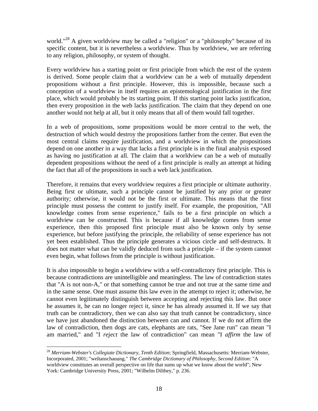world."<sup>28</sup> A given worldview may be called a "religion" or a "philosophy" because of its specific content, but it is nevertheless a worldview. Thus by worldview, we are referring to any religion, philosophy, or system of thought.

Every worldview has a starting point or first principle from which the rest of the system is derived. Some people claim that a worldview can be a web of mutually dependent propositions without a first principle. However, this is impossible, because such a conception of a worldview in itself requires an epistemological justification in the first place, which would probably be its starting point. If this starting point lacks justification, then every proposition in the web lacks justification. The claim that they depend on one another would not help at all, but it only means that all of them would fall together.

In a web of propositions, some propositions would be more central to the web, the destruction of which would destroy the propositions farther from the center. But even the most central claims require justification, and a worldview in which the propositions depend on one another in a way that lacks a first principle is in the final analysis exposed as having no justification at all. The claim that a worldview can be a web of mutually dependent propositions without the need of a first principle is really an attempt at hiding the fact that all of the propositions in such a web lack justification.

Therefore, it remains that every worldview requires a first principle or ultimate authority. Being first or ultimate, such a principle cannot be justified by any prior or greater authority; otherwise, it would not be the first or ultimate. This means that the first principle must possess the content to justify itself. For example, the proposition, "All knowledge comes from sense experience," fails to be a first principle on which a worldview can be constructed. This is because if all knowledge comes from sense experience, then this proposed first principle must also be known only by sense experience, but before justifying the principle, the reliability of sense experience has not yet been established. Thus the principle generates a vicious circle and self-destructs. It does not matter what can be validly deduced from such a principle – if the system cannot even begin, what follows from the principle is without justification.

It is also impossible to begin a worldview with a self-contradictory first principle. This is because contradictions are unintelligible and meaningless. The law of contradiction states that "A is not non-A," or that something cannot be true and not true at the same time and in the same sense. One must assume this law even in the attempt to reject it; otherwise, he cannot even legitimately distinguish between accepting and rejecting this law. But once he assumes it, he can no longer reject it, since he has already assumed it. If we say that truth can be contradictory, then we can also say that truth cannot be contradictory, since we have just abandoned the distinction between can and cannot. If we do not affirm the law of contradiction, then dogs are cats, elephants are rats, "See Jane run" can mean "I am married," and "I *reject* the law of contradiction" can mean "I *affirm* the law of

<sup>28</sup> *Merriam-Webster's Collegiate Dictionary, Tenth Edition*; Springfield, Massachusetts: Merriam-Webster, Incorporated, 2001; "weltanschauung." *The Cambridge Dictionary of Philosophy, Second Edition*: "A worldview constitutes an overall perspective on life that sums up what we know about the world"; New York: Cambridge University Press, 2001; "Wilhelm Dilthey," p. 236.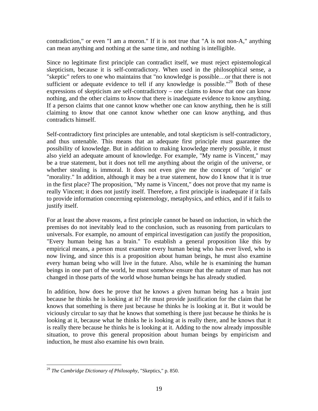contradiction," or even "I am a moron." If it is not true that "A is not non-A," anything can mean anything and nothing at the same time, and nothing is intelligible.

Since no legitimate first principle can contradict itself, we must reject epistemological skepticism, because it is self-contradictory. When used in the philosophical sense, a "skeptic" refers to one who maintains that "no knowledge is possible…or that there is not sufficient or adequate evidence to tell if any knowledge is possible."<sup>29</sup> Both of these expressions of skepticism are self-contradictory – one claims to *know* that one can know nothing, and the other claims to *know* that there is inadequate evidence to know anything. If a person claims that one cannot know whether one can know anything, then he is still claiming to *know* that one cannot know whether one can know anything, and thus contradicts himself.

Self-contradictory first principles are untenable, and total skepticism is self-contradictory, and thus untenable. This means that an adequate first principle must guarantee the possibility of knowledge. But in addition to making knowledge merely possible, it must also yield an adequate amount of knowledge. For example, "My name is Vincent," may be a true statement, but it does not tell me anything about the origin of the universe, or whether stealing is immoral. It does not even give me the concept of "origin" or "morality." In addition, although it may be a true statement, how do I know that it is true in the first place? The proposition, "My name is Vincent," does not prove that my name is really Vincent; it does not justify itself. Therefore, a first principle is inadequate if it fails to provide information concerning epistemology, metaphysics, and ethics, and if it fails to justify itself.

For at least the above reasons, a first principle cannot be based on induction, in which the premises do not inevitably lead to the conclusion, such as reasoning from particulars to universals. For example, no amount of empirical investigation can justify the proposition, "Every human being has a brain." To establish a general proposition like this by empirical means, a person must examine every human being who has ever lived, who is now living, and since this is a proposition about human beings, he must also examine every human being who will live in the future. Also, while he is examining the human beings in one part of the world, he must somehow ensure that the nature of man has not changed in those parts of the world whose human beings he has already studied.

In addition, how does he prove that he knows a given human being has a brain just because he thinks he is looking at it? He must provide justification for the claim that he knows that something is there just because he thinks he is looking at it. But it would be viciously circular to say that he knows that something is there just because he thinks he is looking at it, because what he thinks he is looking at is really there, and he knows that it is really there because he thinks he is looking at it. Adding to the now already impossible situation, to prove this general proposition about human beings by empiricism and induction, he must also examine his own brain.

<u>.</u>

<sup>29</sup> *The Cambridge Dictionary of Philosophy*, "Skeptics," p. 850.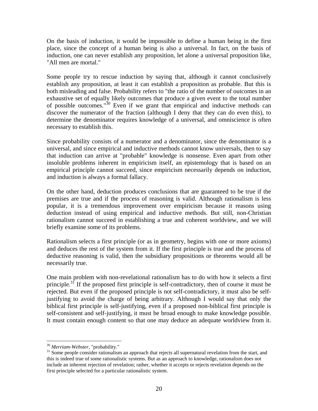On the basis of induction, it would be impossible to define a human being in the first place, since the concept of a human being is also a universal. In fact, on the basis of induction, one can never establish any proposition, let alone a universal proposition like, "All men are mortal."

Some people try to rescue induction by saying that, although it cannot conclusively establish any proposition, at least it can establish a proposition as probable. But this is both misleading and false. Probability refers to "the ratio of the number of outcomes in an exhaustive set of equally likely outcomes that produce a given event to the total number of possible outcomes." $30$  Even if we grant that empirical and inductive methods can discover the numerator of the fraction (although I deny that they can do even this), to determine the denominator requires knowledge of a universal, and omniscience is often necessary to establish this.

Since probability consists of a numerator and a denominator, since the denominator is a universal, and since empirical and inductive methods cannot know universals, then to say that induction can arrive at "probable" knowledge is nonsense. Even apart from other insoluble problems inherent in empiricism itself, an epistemology that is based on an empirical principle cannot succeed, since empiricism necessarily depends on induction, and induction is always a formal fallacy.

On the other hand, deduction produces conclusions that are guaranteed to be true if the premises are true and if the process of reasoning is valid. Although rationalism is less popular, it is a tremendous improvement over empiricism because it reasons using deduction instead of using empirical and inductive methods. But still, non-Christian rationalism cannot succeed in establishing a true and coherent worldview, and we will briefly examine some of its problems.

Rationalism selects a first principle (or as in geometry, begins with one or more axioms) and deduces the rest of the system from it. If the first principle is true and the process of deductive reasoning is valid, then the subsidiary propositions or theorems would all be necessarily true.

One main problem with non-revelational rationalism has to do with how it selects a first principle.<sup>31</sup> If the proposed first principle is self-contradictory, then of course it must be rejected. But even if the proposed principle is not self-contradictory, it must also be selfjustifying to avoid the charge of being arbitrary. Although I would say that only the biblical first principle is self-justifying, even if a proposed non-biblical first principle is self-consistent and self-justifying, it must be broad enough to make knowledge possible. It must contain enough content so that one may deduce an adequate worldview from it.

<sup>&</sup>lt;sup>30</sup> Merriam-Webster, "probability."

<sup>&</sup>lt;sup>31</sup> Some people consider rationalism an approach that rejects all supernatural revelation from the start, and this is indeed true of some rationalistic systems. But as an approach to knowledge, rationalism does not include an inherent rejection of revelation; rather, whether it accepts or rejects revelation depends on the first principle selected for a particular rationalistic system.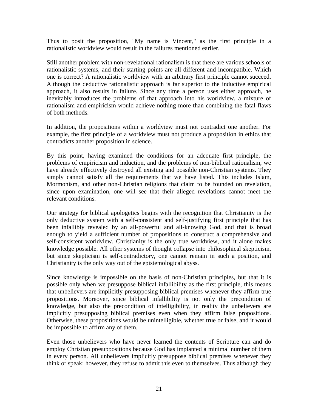Thus to posit the proposition, "My name is Vincent," as the first principle in a rationalistic worldview would result in the failures mentioned earlier.

Still another problem with non-revelational rationalism is that there are various schools of rationalistic systems, and their starting points are all different and incompatible. Which one is correct? A rationalistic worldview with an arbitrary first principle cannot succeed. Although the deductive rationalistic approach is far superior to the inductive empirical approach, it also results in failure. Since any time a person uses either approach, he inevitably introduces the problems of that approach into his worldview, a mixture of rationalism and empiricism would achieve nothing more than combining the fatal flaws of both methods.

In addition, the propositions within a worldview must not contradict one another. For example, the first principle of a worldview must not produce a proposition in ethics that contradicts another proposition in science.

By this point, having examined the conditions for an adequate first principle, the problems of empiricism and induction, and the problems of non-biblical rationalism, we have already effectively destroyed all existing and possible non-Christian systems. They simply cannot satisfy all the requirements that we have listed. This includes Islam, Mormonism, and other non-Christian religions that claim to be founded on revelation, since upon examination, one will see that their alleged revelations cannot meet the relevant conditions.

Our strategy for biblical apologetics begins with the recognition that Christianity is the only deductive system with a self-consistent and self-justifying first principle that has been infallibly revealed by an all-powerful and all-knowing God, and that is broad enough to yield a sufficient number of propositions to construct a comprehensive and self-consistent worldview. Christianity is the only true worldview, and it alone makes knowledge possible. All other systems of thought collapse into philosophical skepticism, but since skepticism is self-contradictory, one cannot remain in such a position, and Christianity is the only way out of the epistemological abyss.

Since knowledge is impossible on the basis of non-Christian principles, but that it is possible only when we presuppose biblical infallibility as the first principle, this means that unbelievers are implicitly presupposing biblical premises whenever they affirm true propositions. Moreover, since biblical infallibility is not only the precondition of knowledge, but also the precondition of intelligibility, in reality the unbelievers are implicitly presupposing biblical premises even when they affirm false propositions. Otherwise, these propositions would be unintelligible, whether true or false, and it would be impossible to affirm any of them.

Even those unbelievers who have never learned the contents of Scripture can and do employ Christian presuppositions because God has implanted a minimal number of them in every person. All unbelievers implicitly presuppose biblical premises whenever they think or speak; however, they refuse to admit this even to themselves. Thus although they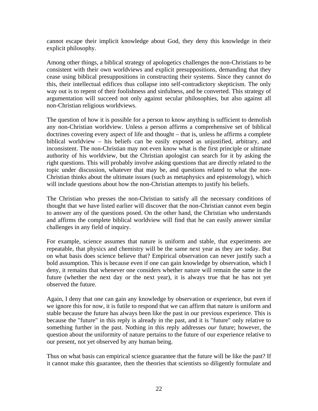cannot escape their implicit knowledge about God, they deny this knowledge in their explicit philosophy.

Among other things, a biblical strategy of apologetics challenges the non-Christians to be consistent with their own worldviews and explicit presuppositions, demanding that they cease using biblical presuppositions in constructing their systems. Since they cannot do this, their intellectual edifices thus collapse into self-contradictory skepticism. The only way out is to repent of their foolishness and sinfulness, and be converted. This strategy of argumentation will succeed not only against secular philosophies, but also against all non-Christian religious worldviews.

The question of how it is possible for a person to know anything is sufficient to demolish any non-Christian worldview. Unless a person affirms a comprehensive set of biblical doctrines covering every aspect of life and thought – that is, unless he affirms a complete biblical worldview – his beliefs can be easily exposed as unjustified, arbitrary, and inconsistent. The non-Christian may not even know what is the first principle or ultimate authority of his worldview, but the Christian apologist can search for it by asking the right questions. This will probably involve asking questions that are directly related to the topic under discussion, whatever that may be, and questions related to what the non-Christian thinks about the ultimate issues (such as metaphysics and epistemology), which will include questions about how the non-Christian attempts to justify his beliefs.

The Christian who presses the non-Christian to satisfy all the necessary conditions of thought that we have listed earlier will discover that the non-Christian cannot even begin to answer any of the questions posed. On the other hand, the Christian who understands and affirms the complete biblical worldview will find that he can easily answer similar challenges in any field of inquiry.

For example, science assumes that nature is uniform and stable, that experiments are repeatable, that physics and chemistry will be the same next year as they are today. But on what basis does science believe that? Empirical observation can never justify such a bold assumption. This is because even if one can gain knowledge by observation, which I deny, it remains that whenever one considers whether nature will remain the same in the future (whether the next day or the next year), it is always true that he has not yet observed the future.

Again, I deny that one can gain any knowledge by observation or experience, but even if we ignore this for now, it is futile to respond that we can affirm that nature is uniform and stable because the future has always been like the past in our previous experience. This is because the "future" in this reply is already in the past, and it is "future" only relative to something further in the past. Nothing in this reply addresses *our* future; however, the question about the uniformity of nature pertains to the future of our experience relative to our present, not yet observed by any human being.

Thus on what basis can empirical science guarantee that the future will be like the past? If it cannot make this guarantee, then the theories that scientists so diligently formulate and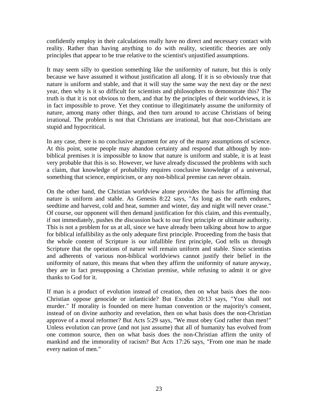confidently employ in their calculations really have no direct and necessary contact with reality. Rather than having anything to do with reality, scientific theories are only principles that appear to be true relative to the scientist's unjustified assumptions.

It may seem silly to question something like the uniformity of nature, but this is only because we have assumed it without justification all along. If it is so obviously true that nature is uniform and stable, and that it will stay the same way the next day or the next year, then why is it so difficult for scientists and philosophers to demonstrate this? The truth is that it is not obvious to them, and that by the principles of their worldviews, it is in fact impossible to prove. Yet they continue to illegitimately assume the uniformity of nature, among many other things, and then turn around to accuse Christians of being irrational. The problem is not that Christians are irrational, but that non-Christians are stupid and hypocritical.

In any case, there is no conclusive argument for any of the many assumptions of science. At this point, some people may abandon certainty and respond that although by nonbiblical premises it is impossible to know that nature is uniform and stable, it is at least very probable that this is so. However, we have already discussed the problems with such a claim, that knowledge of probability requires conclusive knowledge of a universal, something that science, empiricism, or any non-biblical premise can never obtain.

On the other hand, the Christian worldview alone provides the basis for affirming that nature is uniform and stable. As Genesis 8:22 says, "As long as the earth endures, seedtime and harvest, cold and heat, summer and winter, day and night will never cease." Of course, our opponent will then demand justification for this claim, and this eventually, if not immediately, pushes the discussion back to our first principle or ultimate authority. This is not a problem for us at all, since we have already been talking about how to argue for biblical infallibility as the only adequate first principle. Proceeding from the basis that the whole content of Scripture is our infallible first principle, God tells us through Scripture that the operations of nature will remain uniform and stable. Since scientists and adherents of various non-biblical worldviews cannot justify their belief in the uniformity of nature, this means that when they affirm the uniformity of nature anyway, they are in fact presupposing a Christian premise, while refusing to admit it or give thanks to God for it.

If man is a product of evolution instead of creation, then on what basis does the non-Christian oppose genocide or infanticide? But Exodus 20:13 says, "You shall not murder." If morality is founded on mere human convention or the majority's consent, instead of on divine authority and revelation, then on what basis does the non-Christian approve of a moral reformer? But Acts 5:29 says, "We must obey God rather than men!" Unless evolution can prove (and not just assume) that all of humanity has evolved from one common source, then on what basis does the non-Christian affirm the unity of mankind and the immorality of racism? But Acts 17:26 says, "From one man he made every nation of men."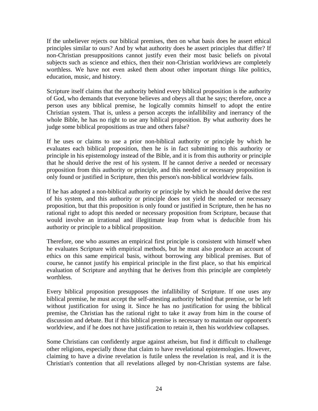If the unbeliever rejects our biblical premises, then on what basis does he assert ethical principles similar to ours? And by what authority does he assert principles that differ? If non-Christian presuppositions cannot justify even their most basic beliefs on pivotal subjects such as science and ethics, then their non-Christian worldviews are completely worthless. We have not even asked them about other important things like politics, education, music, and history.

Scripture itself claims that the authority behind every biblical proposition is the authority of God, who demands that everyone believes and obeys all that he says; therefore, once a person uses any biblical premise, he logically commits himself to adopt the entire Christian system. That is, unless a person accepts the infallibility and inerrancy of the whole Bible, he has no right to use any biblical proposition. By what authority does he judge some biblical propositions as true and others false?

If he uses or claims to use a prior non-biblical authority or principle by which he evaluates each biblical proposition, then he is in fact submitting to this authority or principle in his epistemology instead of the Bible, and it is from this authority or principle that he should derive the rest of his system. If he cannot derive a needed or necessary proposition from this authority or principle, and this needed or necessary proposition is only found or justified in Scripture, then this person's non-biblical worldview fails.

If he has adopted a non-biblical authority or principle by which he should derive the rest of his system, and this authority or principle does not yield the needed or necessary proposition, but that this proposition is only found or justified in Scripture, then he has no rational right to adopt this needed or necessary proposition from Scripture, because that would involve an irrational and illegitimate leap from what is deducible from his authority or principle to a biblical proposition.

Therefore, one who assumes an empirical first principle is consistent with himself when he evaluates Scripture with empirical methods, but he must also produce an account of ethics on this same empirical basis, without borrowing any biblical premises. But of course, he cannot justify his empirical principle in the first place, so that his empirical evaluation of Scripture and anything that he derives from this principle are completely worthless.

Every biblical proposition presupposes the infallibility of Scripture. If one uses any biblical premise, he must accept the self-attesting authority behind that premise, or be left without justification for using it. Since he has no justification for using the biblical premise, the Christian has the rational right to take it away from him in the course of discussion and debate. But if this biblical premise is necessary to maintain our opponent's worldview, and if he does not have justification to retain it, then his worldview collapses.

Some Christians can confidently argue against atheism, but find it difficult to challenge other religions, especially those that claim to have revelational epistemologies. However, claiming to have a divine revelation is futile unless the revelation is real, and it is the Christian's contention that all revelations alleged by non-Christian systems are false.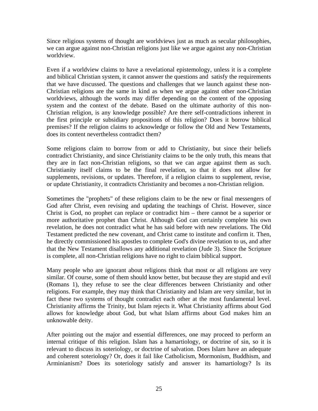Since religious systems of thought are worldviews just as much as secular philosophies, we can argue against non-Christian religions just like we argue against any non-Christian worldview.

Even if a worldview claims to have a revelational epistemology, unless it is a complete and biblical Christian system, it cannot answer the questions and satisfy the requirements that we have discussed. The questions and challenges that we launch against these non-Christian religions are the same in kind as when we argue against other non-Christian worldviews, although the words may differ depending on the content of the opposing system and the context of the debate. Based on the ultimate authority of this non-Christian religion, is any knowledge possible? Are there self-contradictions inherent in the first principle or subsidiary propositions of this religion? Does it borrow biblical premises? If the religion claims to acknowledge or follow the Old and New Testaments, does its content nevertheless contradict them?

Some religions claim to borrow from or add to Christianity, but since their beliefs contradict Christianity, and since Christianity claims to be the only truth, this means that they are in fact non-Christian religions, so that we can argue against them as such. Christianity itself claims to be the final revelation, so that it does not allow for supplements, revisions, or updates. Therefore, if a religion claims to supplement, revise, or update Christianity, it contradicts Christianity and becomes a non-Christian religion.

Sometimes the "prophets" of these religions claim to be the new or final messengers of God after Christ, even revising and updating the teachings of Christ. However, since Christ is God, no prophet can replace or contradict him – there cannot be a superior or more authoritative prophet than Christ. Although God can certainly complete his own revelation, he does not contradict what he has said before with new revelations. The Old Testament predicted the new covenant, and Christ came to institute and confirm it. Then, he directly commissioned his apostles to complete God's divine revelation to us, and after that the New Testament disallows any additional revelation (Jude 3). Since the Scripture is complete, all non-Christian religions have no right to claim biblical support.

Many people who are ignorant about religions think that most or all religions are very similar. Of course, some of them should know better, but because they are stupid and evil (Romans 1), they refuse to see the clear differences between Christianity and other religions. For example, they may think that Christianity and Islam are very similar, but in fact these two systems of thought contradict each other at the most fundamental level. Christianity affirms the Trinity, but Islam rejects it. What Christianity affirms about God allows for knowledge about God, but what Islam affirms about God makes him an unknowable deity.

After pointing out the major and essential differences, one may proceed to perform an internal critique of this religion. Islam has a hamartiology, or doctrine of sin, so it is relevant to discuss its soteriology, or doctrine of salvation. Does Islam have an adequate and coherent soteriology? Or, does it fail like Catholicism, Mormonism, Buddhism, and Arminianism? Does its soteriology satisfy and answer its hamartiology? Is its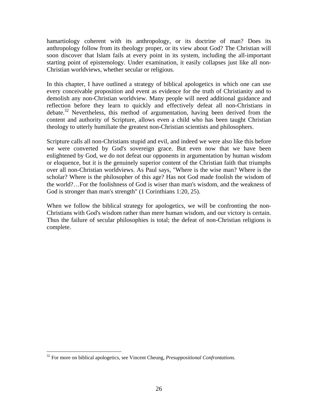hamartiology coherent with its anthropology, or its doctrine of man? Does its anthropology follow from its theology proper, or its view about God? The Christian will soon discover that Islam fails at every point in its system, including the all-important starting point of epistemology. Under examination, it easily collapses just like all non-Christian worldviews, whether secular or religious.

In this chapter, I have outlined a strategy of biblical apologetics in which one can use every conceivable proposition and event as evidence for the truth of Christianity and to demolish any non-Christian worldview. Many people will need additional guidance and reflection before they learn to quickly and effectively defeat all non-Christians in debate.32 Nevertheless, this method of argumentation, having been derived from the content and authority of Scripture, allows even a child who has been taught Christian theology to utterly humiliate the greatest non-Christian scientists and philosophers.

Scripture calls all non-Christians stupid and evil, and indeed we were also like this before we were converted by God's sovereign grace. But even now that we have been enlightened by God, we do not defeat our opponents in argumentation by human wisdom or eloquence, but it is the genuinely superior content of the Christian faith that triumphs over all non-Christian worldviews. As Paul says, "Where is the wise man? Where is the scholar? Where is the philosopher of this age? Has not God made foolish the wisdom of the world?…For the foolishness of God is wiser than man's wisdom, and the weakness of God is stronger than man's strength" (1 Corinthians 1:20, 25).

When we follow the biblical strategy for apologetics, we will be confronting the non-Christians with God's wisdom rather than mere human wisdom, and our victory is certain. Thus the failure of secular philosophies is total; the defeat of non-Christian religions is complete.

1

<sup>32</sup> For more on biblical apologetics, see Vincent Cheung, *Presuppositional Confrontations*.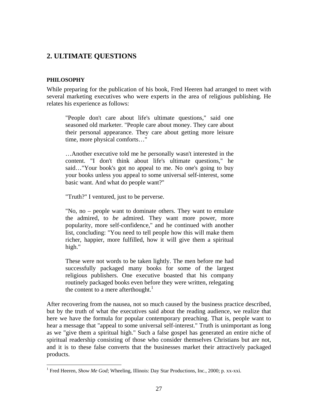### <span id="page-26-0"></span>**2. ULTIMATE QUESTIONS**

#### <span id="page-26-1"></span>**PHILOSOPHY**

 $\overline{a}$ 

While preparing for the publication of his book, Fred Heeren had arranged to meet with several marketing executives who were experts in the area of religious publishing. He relates his experience as follows:

"People don't care about life's ultimate questions," said one seasoned old marketer. "People care about money. They care about their personal appearance. They care about getting more leisure time, more physical comforts…"

…Another executive told me he personally wasn't interested in the content. "I don't think about life's ultimate questions," he said…"Your book's got no appeal to me. No one's going to buy your books unless you appeal to some universal self-interest, some basic want. And what do people want?"

"Truth?" I ventured, just to be perverse.

"No, no – people want to dominate others. They want to emulate the admired, to *be* admired. They want more power, more popularity, more self-confidence," and he continued with another list, concluding: "You need to tell people how this will make them richer, happier, more fulfilled, how it will give them a spiritual high."

These were not words to be taken lightly. The men before me had successfully packaged many books for some of the largest religious publishers. One executive boasted that his company routinely packaged books even before they were written, relegating the content to a mere afterthought.<sup>1</sup>

After recovering from the nausea, not so much caused by the business practice described, but by the truth of what the executives said about the reading audience, we realize that here we have the formula for popular contemporary preaching. That is, people want to hear a message that "appeal to some universal self-interest." Truth is unimportant as long as we "give them a spiritual high." Such a false gospel has generated an entire niche of spiritual readership consisting of those who consider themselves Christians but are not, and it is to these false converts that the businesses market their attractively packaged products.

<sup>&</sup>lt;sup>1</sup> Fred Heeren, *Show Me God*; Wheeling, Illinois: Day Star Productions, Inc., 2000; p. xx-xxi.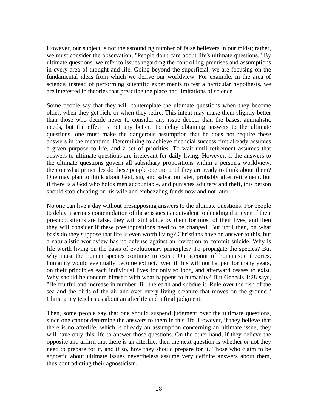However, our subject is not the astounding number of false believers in our midst; rather, we must consider the observation, "People don't care about life's ultimate questions." By ultimate questions, we refer to issues regarding the controlling premises and assumptions in every area of thought and life. Going beyond the superficial, we are focusing on the fundamental ideas from which we derive our worldview. For example, in the area of science, instead of performing scientific experiments to test a particular hypothesis, we are interested in theories that prescribe the place and limitations of science.

Some people say that they will contemplate the ultimate questions when they become older, when they get rich, or when they retire. This intent may make them slightly better than those who decide never to consider any issue deeper than the basest animalistic needs, but the effect is not any better. To delay obtaining answers to the ultimate questions, one must make the dangerous assumption that he does not require these answers in the meantime. Determining to achieve financial success first already assumes a given purpose to life, and a set of priorities. To wait until retirement assumes that answers to ultimate questions are irrelevant for daily living. However, if the answers to the ultimate questions govern all subsidiary propositions within a person's worldview, then on what principles do these people operate until they are ready to think about them? One may plan to think about God, sin, and salvation later, probably after retirement, but if there is a God who holds men accountable, and punishes adultery and theft, this person should stop cheating on his wife and embezzling funds now and not later.

No one can live a day without presupposing answers to the ultimate questions. For people to delay a serious contemplation of these issues is equivalent to deciding that even if their presuppositions are false, they will still abide by them for most of their lives, and then they will consider if these presuppositions need to be changed. But until then, on what basis do they suppose that life is even worth living? Christians have an answer to this, but a naturalistic worldview has no defense against an invitation to commit suicide. Why is life worth living on the basis of evolutionary principles? To propagate the species? But why must the human species continue to exist? On account of humanistic theories, humanity would eventually become extinct. Even if this will not happen for many years, on their principles each individual lives for only so long, and afterward ceases to exist. Why should he concern himself with what happens to humanity? But Genesis 1:28 says, "Be fruitful and increase in number; fill the earth and subdue it. Rule over the fish of the sea and the birds of the air and over every living creature that moves on the ground." Christianity teaches us about an afterlife and a final judgment.

Then, some people say that one should suspend judgment over the ultimate questions, since one cannot determine the answers to them in this life. However, if they believe that there is no afterlife, which is already an assumption concerning an ultimate issue, they will have only this life to answer those questions. On the other hand, if they believe the opposite and affirm that there is an afterlife, then the next question is whether or not they need to prepare for it, and if so, how they should prepare for it. Those who claim to be agnostic about ultimate issues nevertheless assume very definite answers about them, thus contradicting their agnosticism.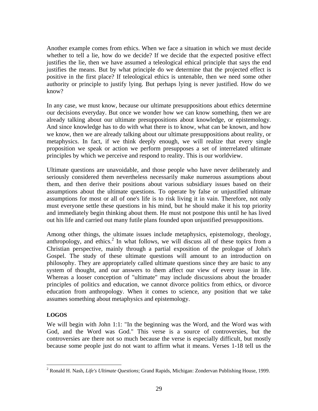Another example comes from ethics. When we face a situation in which we must decide whether to tell a lie, how do we decide? If we decide that the expected positive effect justifies the lie, then we have assumed a teleological ethical principle that says the end justifies the means. But by what principle do we determine that the projected effect is positive in the first place? If teleological ethics is untenable, then we need some other authority or principle to justify lying. But perhaps lying is never justified. How do we know?

In any case, we must know, because our ultimate presuppositions about ethics determine our decisions everyday. But once we wonder how we can know something, then we are already talking about our ultimate presuppositions about knowledge, or epistemology. And since knowledge has to do with what there is to know, what can be known, and how we know, then we are already talking about our ultimate presuppositions about reality, or metaphysics. In fact, if we think deeply enough, we will realize that every single proposition we speak or action we perform presupposes a set of interrelated ultimate principles by which we perceive and respond to reality. This is our worldview.

Ultimate questions are unavoidable, and those people who have never deliberately and seriously considered them nevertheless necessarily make numerous assumptions about them, and then derive their positions about various subsidiary issues based on their assumptions about the ultimate questions. To operate by false or unjustified ultimate assumptions for most or all of one's life is to risk living it in vain. Therefore, not only must everyone settle these questions in his mind, but he should make it his top priority and immediately begin thinking about them. He must not postpone this until he has lived out his life and carried out many futile plans founded upon unjustified presuppositions.

Among other things, the ultimate issues include metaphysics, epistemology, theology, anthropology, and ethics.<sup>2</sup> In what follows, we will discuss all of these topics from a Christian perspective, mainly through a partial exposition of the prologue of John's Gospel. The study of these ultimate questions will amount to an introduction on philosophy. They are appropriately called ultimate questions since they are basic to any system of thought, and our answers to them affect our view of every issue in life. Whereas a looser conception of "ultimate" may include discussions about the broader principles of politics and education, we cannot divorce politics from ethics, or divorce education from anthropology. When it comes to science, any position that we take assumes something about metaphysics and epistemology.

#### <span id="page-28-0"></span>**LOGOS**

 $\overline{a}$ 

We will begin with John 1:1: "In the beginning was the Word, and the Word was with God, and the Word was God." This verse is a source of controversies, but the controversies are there not so much because the verse is especially difficult, but mostly because some people just do not want to affirm what it means. Verses 1-18 tell us the

<sup>2</sup> Ronald H. Nash, *Life's Ultimate Questions*; Grand Rapids, Michigan: Zondervan Publishing House, 1999.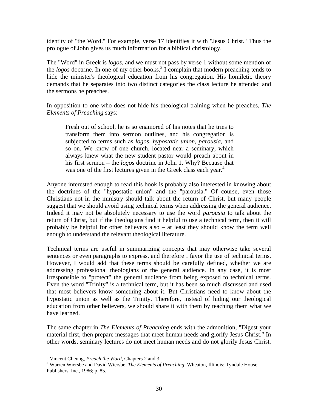identity of "the Word." For example, verse 17 identifies it with "Jesus Christ." Thus the prologue of John gives us much information for a biblical christology.

The "Word" in Greek is *logos*, and we must not pass by verse 1 without some mention of the *logos* doctrine. In one of my other books,<sup>3</sup> I complain that modern preaching tends to hide the minister's theological education from his congregation. His homiletic theory demands that he separates into two distinct categories the class lecture he attended and the sermons he preaches.

In opposition to one who does not hide his theological training when he preaches, *The Elements of Preaching* says:

Fresh out of school, he is so enamored of his notes that he tries to transform them into sermon outlines, and his congregation is subjected to terms such as *logos*, *hypostatic union*, *parousia*, and so on. We know of one church, located near a seminary, which always knew what the new student pastor would preach about in his first sermon – the *logos* doctrine in John 1. Why? Because that was one of the first lectures given in the Greek class each year.<sup>4</sup>

Anyone interested enough to read this book is probably also interested in knowing about the doctrines of the "hypostatic union" and the "parousia." Of course, even those Christians not in the ministry should talk about the return of Christ, but many people suggest that we should avoid using technical terms when addressing the general audience. Indeed it may not be absolutely necessary to use the word *parousia* to talk about the return of Christ, but if the theologians find it helpful to use a technical term, then it will probably be helpful for other believers also – at least they should know the term well enough to understand the relevant theological literature.

Technical terms are useful in summarizing concepts that may otherwise take several sentences or even paragraphs to express, and therefore I favor the use of technical terms. However, I would add that these terms should be carefully defined, whether we are addressing professional theologians or the general audience. In any case, it is most irresponsible to "protect" the general audience from being exposed to technical terms. Even the word "Trinity" is a technical term, but it has been so much discussed and used that most believers know something about it. But Christians need to know about the hypostatic union as well as the Trinity. Therefore, instead of hiding our theological education from other believers, we should share it with them by teaching them what we have learned.

The same chapter in *The Elements of Preaching* ends with the admonition, "Digest your material first, then prepare messages that meet human needs and glorify Jesus Christ." In other words, seminary lectures do not meet human needs and do not glorify Jesus Christ.

<sup>&</sup>lt;sup>3</sup> Vincent Cheung, *Preach the Word*, Chapters 2 and 3.<br><sup>4</sup> Werren Wiershe and David Wiershe, *The Elements* co

<sup>&</sup>lt;sup>4</sup> Warren Wiersbe and David Wiersbe, *The Elements of Preaching*; Wheaton, Illinois: Tyndale House Publishers, Inc., 1986; p. 85.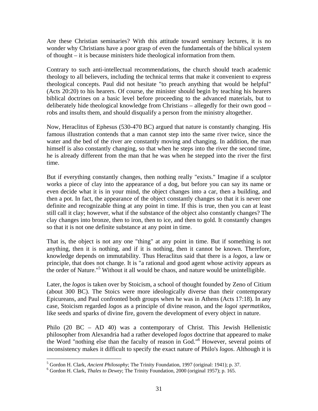Are these Christian seminaries? With this attitude toward seminary lectures, it is no wonder why Christians have a poor grasp of even the fundamentals of the biblical system of thought – it is because ministers hide theological information from them.

Contrary to such anti-intellectual recommendations, the church should teach academic theology to all believers, including the technical terms that make it convenient to express theological concepts. Paul did not hesitate "to preach anything that would be helpful" (Acts 20:20) to his hearers. Of course, the minister should begin by teaching his hearers biblical doctrines on a basic level before proceeding to the advanced materials, but to deliberately hide theological knowledge from Christians – allegedly for their own good – robs and insults them, and should disqualify a person from the ministry altogether.

Now, Heraclitus of Ephesus (530-470 BC) argued that nature is constantly changing. His famous illustration contends that a man cannot step into the same river twice, since the water and the bed of the river are constantly moving and changing. In addition, the man himself is also constantly changing, so that when he steps into the river the second time, he is already different from the man that he was when he stepped into the river the first time.

But if everything constantly changes, then nothing really "exists." Imagine if a sculptor works a piece of clay into the appearance of a dog, but before you can say its name or even decide what it is in your mind, the object changes into a car, then a building, and then a pot. In fact, the appearance of the object constantly changes so that it is never one definite and recognizable thing at any point in time. If this is true, then you can at least still call it clay; however, what if the substance of the object also constantly changes? The clay changes into bronze, then to iron, then to ice, and then to gold. It constantly changes so that it is not one definite substance at any point in time.

That is, the object is not any one "thing" at any point in time. But if something is not anything, then it is nothing, and if it is nothing, then it cannot be known. Therefore, knowledge depends on immutability. Thus Heraclitus said that there is a *logos*, a law or principle, that does not change. It is "a rational and good agent whose activity appears as the order of Nature."5 Without it all would be chaos, and nature would be unintelligible.

Later, the *logos* is taken over by Stoicism, a school of thought founded by Zeno of Citium (about 300 BC). The Stoics were more ideologically diverse than their contemporary Epicureans, and Paul confronted both groups when he was in Athens (Acts 17:18). In any case, Stoicism regarded *logos* as a principle of divine reason, and the *logoi spermatikos*, like seeds and sparks of divine fire, govern the development of every object in nature.

Philo (20 BC – AD 40) was a contemporary of Christ. This Jewish Hellenistic philosopher from Alexandria had a rather developed *logos* doctrine that appeared to make the Word "nothing else than the faculty of reason in God."6 However, several points of inconsistency makes it difficult to specify the exact nature of Philo's *logos*. Although it is

1

<sup>&</sup>lt;sup>5</sup> Gordon H. Clark, *Ancient Philosophy*; The Trinity Foundation, 1997 (original: 1941); p. 37.<br><sup>6</sup> Gordon H. Clark, *Thalas to Daway* The Trinity Equadation, 2000 (original 1957); p. 165.

Gordon H. Clark, *Thales to Dewey*; The Trinity Foundation, 2000 (original 1957); p. 165.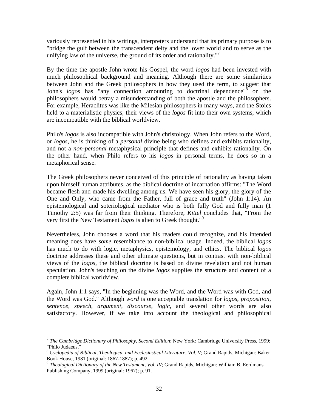variously represented in his writings, interpreters understand that its primary purpose is to "bridge the gulf between the transcendent deity and the lower world and to serve as the unifying law of the universe, the ground of its order and rationality."<sup>7</sup>

By the time the apostle John wrote his Gospel, the word *logos* had been invested with much philosophical background and meaning. Although there are some similarities between John and the Greek philosophers in how they used the term, to suggest that John's *logos* has "any connection amounting to doctrinal dependence"<sup>8</sup> on the philosophers would betray a misunderstanding of both the apostle and the philosophers. For example, Heraclitus was like the Milesian philosophers in many ways, and the Stoics held to a materialistic physics; their views of the *logos* fit into their own systems, which are incompatible with the biblical worldview.

Philo's *logos* is also incompatible with John's christology. When John refers to the Word, or *logos*, he is thinking of a *personal* divine being who defines and exhibits rationality, and not a *non-personal* metaphysical principle that defines and exhibits rationality. On the other hand, when Philo refers to his *logos* in personal terms, he does so in a metaphorical sense.

The Greek philosophers never conceived of this principle of rationality as having taken upon himself human attributes, as the biblical doctrine of incarnation affirms: "The Word became flesh and made his dwelling among us. We have seen his glory, the glory of the One and Only, who came from the Father, full of grace and truth" (John 1:14). An epistemological and soteriological mediator who is both fully God and fully man (1 Timothy 2:5) was far from their thinking. Therefore, *Kittel* concludes that, "From the very first the New Testament *logos* is alien to Greek thought."9

Nevertheless, John chooses a word that his readers could recognize, and his intended meaning does have *some* resemblance to non-biblical usage. Indeed, the biblical *logos* has much to do with logic, metaphysics, epistemology, and ethics. The biblical *logos* doctrine addresses these and other ultimate questions, but in contrast with non-biblical views of the *logos*, the biblical doctrine is based on divine revelation and not human speculation. John's teaching on the divine *logos* supplies the structure and content of a complete biblical worldview.

Again, John 1:1 says, "In the beginning was the Word, and the Word was with God, and the Word was God." Although *word* is one acceptable translation for *logos*, *proposition*, *sentence*, *speech*, *argument*, *discourse*, *logic*, and several other words are also satisfactory. However, if we take into account the theological and philosophical

 $\overline{a}$ <sup>7</sup> *The Cambridge Dictionary of Philosophy, Second Edition*; New York: Cambridge University Press, 1999; "Philo Judaeus."

<sup>8</sup> *Cyclopedia of Biblical, Theologica, and Ecclesiastical Literature, Vol. V*; Grand Rapids, Michigan: Baker Book House, 1981 (original: 1867-1887); p. 492.

<sup>9</sup> *Theological Dictionary of the New Testament, Vol. IV*; Grand Rapids, Michigan: William B. Eerdmans Publishing Company, 1999 (original: 1967); p. 91.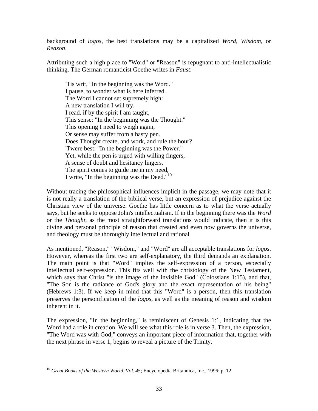background of *logos*, the best translations may be a capitalized *Word*, *Wisdom*, or *Reason*.

Attributing such a high place to "Word" or "Reason" is repugnant to anti-intellectualistic thinking. The German romanticist Goethe writes in *Faust*:

'Tis writ, "In the beginning was the Word." I pause, to wonder what is here inferred. The Word I cannot set supremely high: A new translation I will try. I read, if by the spirit I am taught, This sense: "In the beginning was the Thought." This opening I need to weigh again, Or sense may suffer from a hasty pen. Does Thought create, and work, and rule the hour? 'Twere best: "In the beginning was the Power." Yet, while the pen is urged with willing fingers, A sense of doubt and hesitancy lingers. The spirit comes to guide me in my need, I write, "In the beginning was the Deed."<sup>10</sup>

Without tracing the philosophical influences implicit in the passage, we may note that it is not really a translation of the biblical verse, but an expression of prejudice against the Christian view of the universe. Goethe has little concern as to what the verse actually says, but he seeks to oppose John's intellectualism. If in the beginning there was the *Word* or the *Thought*, as the most straightforward translations would indicate, then it is this divine and personal principle of reason that created and even now governs the universe, and theology must be thoroughly intellectual and rational

As mentioned, "Reason," "Wisdom," and "Word" are all acceptable translations for *logos*. However, whereas the first two are self-explanatory, the third demands an explanation. The main point is that "Word" implies the self-expression of a person, especially intellectual self-expression. This fits well with the christology of the New Testament, which says that Christ "is the image of the invisible God" (Colossians 1:15), and that, "The Son is the radiance of God's glory and the exact representation of his being" (Hebrews 1:3). If we keep in mind that this "Word" is a person, then this translation preserves the personification of the *logos*, as well as the meaning of reason and wisdom inherent in it.

The expression, "In the beginning," is reminiscent of Genesis 1:1, indicating that the Word had a role in creation. We will see what this role is in verse 3. Then, the expression, "The Word was with God," conveys an important piece of information that, together with the next phrase in verse 1, begins to reveal a picture of the Trinity.

<sup>&</sup>lt;sup>10</sup> *Great Books of the Western World, Vol. 45*; Encyclopedia Britannica, Inc., 1996; p. 12.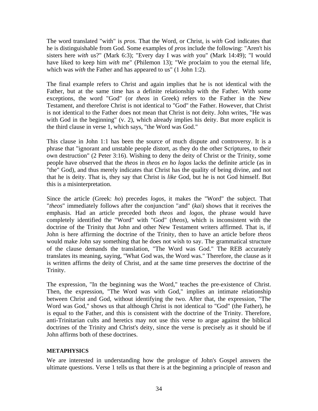The word translated "with" is *pros*. That the Word, or Christ, is *with* God indicates that he is distinguishable from God. Some examples of *pros* include the following: "Aren't his sisters here *with* us?" (Mark 6:3); "Every day I was *with* you" (Mark 14:49); "I would have liked to keep him *with* me" (Philemon 13); "We proclaim to you the eternal life, which was *with* the Father and has appeared to us" (1 John 1:2).

The final example refers to Christ and again implies that he is not identical with the Father, but at the same time has a definite relationship with the Father. With some exceptions, the word "God" (or *theos* in Greek) refers to the Father in the New Testament, and therefore Christ is not identical to "God" the Father. However, that Christ is not identical to the Father does not mean that Christ is not deity. John writes, "He was with God in the beginning" (v. 2), which already implies his deity. But more explicit is the third clause in verse 1, which says, "the Word was God."

This clause in John 1:1 has been the source of much dispute and controversy. It is a phrase that "ignorant and unstable people distort, as they do the other Scriptures, to their own destruction" (2 Peter 3:16). Wishing to deny the deity of Christ or the Trinity, some people have observed that the *theos* in *theos en ho logos* lacks the definite article (as in "the" God), and thus merely indicates that Christ has the quality of being divine, and not that he is deity. That is, they say that Christ is *like* God, but he is not God himself. But this is a misinterpretation.

Since the article (Greek: *ho*) precedes *logos*, it makes the "Word" the subject. That "*theos*" immediately follows after the conjunction "and" (*kai*) shows that it receives the emphasis. Had an article preceded both *theos* and *logos*, the phrase would have completely identified the "Word" with "God" (*theos*), which is inconsistent with the doctrine of the Trinity that John and other New Testament writers affirmed. That is, if John is here affirming the doctrine of the Trinity, then to have an article before *theos* would make John say something that he does not wish to say. The grammatical structure of the clause demands the translation, "The Word was God." The REB accurately translates its meaning, saying, "What God was, the Word was." Therefore, the clause as it is written affirms the deity of Christ, and at the same time preserves the doctrine of the Trinity.

The expression, "In the beginning was the Word," teaches the pre-existence of Christ. Then, the expression, "The Word was with God," implies an intimate relationship between Christ and God, without identifying the two. After that, the expression, "The Word was God," shows us that although Christ is not identical to "God" (the Father), he is equal to the Father, and this is consistent with the doctrine of the Trinity. Therefore, anti-Trinitarian cults and heretics may not use this verse to argue against the biblical doctrines of the Trinity and Christ's deity, since the verse is precisely as it should be if John affirms both of these doctrines.

#### <span id="page-33-0"></span>**METAPHYSICS**

We are interested in understanding how the prologue of John's Gospel answers the ultimate questions. Verse 1 tells us that there is at the beginning a principle of reason and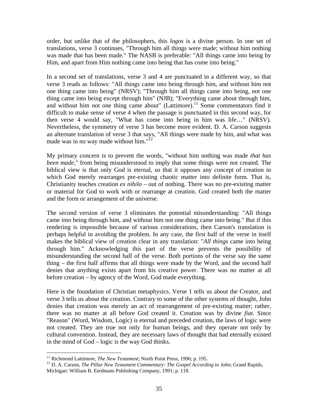order, but unlike that of the philosophers, this *logos* is a divine person. In one set of translations, verse 3 continues, "Through him all things were made; without him nothing was made that has been made." The NASB is preferable: "All things came into being by Him, and apart from Him nothing came into being that has come into being."

In a second set of translations, verse 3 and 4 are punctuated in a different way, so that verse 3 reads as follows: "All things came into being through him, and without him not one thing came into being" (NRSV); "Through him all things came into being, not one thing came into being except through him" (NJB); "Everything came about through him, and without him not one thing came about"  $(Lattimore).$ <sup>11</sup> Some commentators find it difficult to make sense of verse 4 when the passage is punctuated in this second way, for then verse 4 would say, "What has come into being in him was life…" (NRSV). Nevertheless, the symmetry of verse 3 has become more evident. D. A. Carson suggests an alternate translation of verse 3 that says, "All things were made by him, and what was made was in no way made without him."<sup>12</sup>

My primary concern is to prevent the words, "without him nothing was made *that has been made*," from being misunderstood to imply that some things were not created. The biblical view is that only God is eternal, so that it opposes any concept of creation in which God merely rearranges pre-existing chaotic matter into definite form. That is, Christianity teaches creation *ex nihilo* – out of nothing. There was no pre-existing matter or material for God to work with or rearrange at creation. God created both the matter and the form or arrangement of the universe.

The second version of verse 3 eliminates the potential misunderstanding: "All things came into being through him, and without him not one thing came into being." But if this rendering is impossible because of various considerations, then Carson's translation is perhaps helpful in avoiding the problem. In any case, the first half of the verse in itself makes the biblical view of creation clear in any translation: "*All things* came into being through him." Acknowledging this part of the verse prevents the possibility of misunderstanding the second half of the verse. Both portions of the verse say the same thing – the first half affirms that all things were made by the Word, and the second half denies that anything exists apart from his creative power. There was no matter at all before creation – by agency of the Word, God made everything.

Here is the foundation of Christian metaphysics. Verse 1 tells us about the Creator, and verse 3 tells us about the creation. Contrary to some of the other systems of thought, John denies that creation was merely an act of rearrangement of pre-existing matter; rather, there was no matter at all before God created it. Creation was by divine *fiat*. Since "Reason" (Word, Wisdom, Logic) is eternal and preceded creation, the laws of logic were not created. They are true not only for human beings, and they operate not only by cultural convention. Instead, they are necessary laws of thought that had eternally existed in the mind of God – logic is the way God thinks.

<sup>&</sup>lt;sup>11</sup> Richmond Lattimore, *The New Testament*; North Point Press, 1996; p. 195.<br><sup>12</sup> D. A. Carson, *The Pillar New Testament Commentary: The Gospel According to John*; Grand Rapids, Michigan: William B. Eerdmans Publishing Company, 1991; p. 118.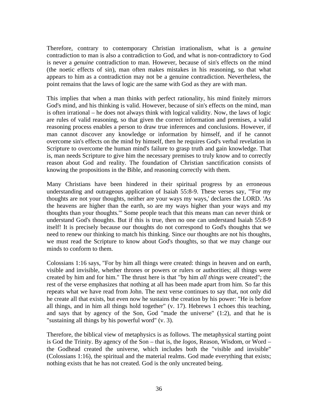Therefore, contrary to contemporary Christian irrationalism, what is a *genuine* contradiction to man is also a contradiction to God, and what is non-contradictory to God is never a *genuine* contradiction to man. However, because of sin's effects on the mind (the noetic effects of sin), man often makes mistakes in his reasoning, so that what appears to him as a contradiction may not be a genuine contradiction. Nevertheless, the point remains that the laws of logic are the same with God as they are with man.

This implies that when a man thinks with perfect rationality, his mind finitely mirrors God's mind, and his thinking is valid. However, because of sin's effects on the mind, man is often irrational – he does not always think with logical validity. Now, the laws of logic are rules of valid reasoning, so that given the correct information and premises, a valid reasoning process enables a person to draw true inferences and conclusions. However, if man cannot discover any knowledge or information by himself, and if he cannot overcome sin's effects on the mind by himself, then he requires God's verbal revelation in Scripture to overcome the human mind's failure to grasp truth and gain knowledge. That is, man needs Scripture to give him the necessary premises to truly know and to correctly reason about God and reality. The foundation of Christian sanctification consists of knowing the propositions in the Bible, and reasoning correctly with them.

Many Christians have been hindered in their spiritual progress by an erroneous understanding and outrageous application of Isaiah 55:8-9. These verses say, "'For my thoughts are not your thoughts, neither are your ways my ways,' declares the LORD. 'As the heavens are higher than the earth, so are my ways higher than your ways and my thoughts than your thoughts.'" Some people teach that this means man can never think or understand God's thoughts. But if this is true, then no one can understand Isaiah 55:8-9 itself! It is precisely because our thoughts do not correspond to God's thoughts that we need to renew our thinking to match his thinking. Since our thoughts are not his thoughts, we must read the Scripture to know about God's thoughts, so that we may change our minds to conform to them.

Colossians 1:16 says, "For by him all things were created: things in heaven and on earth, visible and invisible, whether thrones or powers or rulers or authorities; all things were created by him and for him." The thrust here is that "by him *all things* were created"; the rest of the verse emphasizes that nothing at all has been made apart from him. So far this repeats what we have read from John. The next verse continues to say that, not only did he create all that exists, but even now he sustains the creation by his power: "He is before all things, and in him all things hold together" (v. 17). Hebrews 1 echoes this teaching, and says that by agency of the Son, God "made the universe" (1:2), and that he is "sustaining all things by his powerful word" (v. 3).

Therefore, the biblical view of metaphysics is as follows. The metaphysical starting point is God the Trinity. By agency of the Son – that is, the *logos*, Reason, Wisdom, or Word – the Godhead created the universe, which includes both the "visible and invisible" (Colossians 1:16), the spiritual and the material realms. God made everything that exists; nothing exists that he has not created. God is the only uncreated being.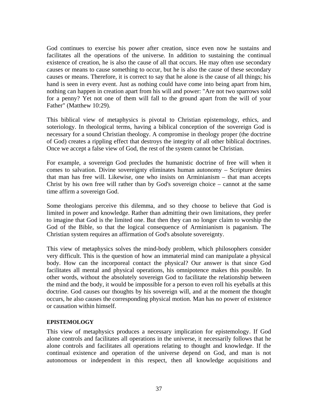God continues to exercise his power after creation, since even now he sustains and facilitates all the operations of the universe. In addition to sustaining the continual existence of creation, he is also the cause of all that occurs. He may often use secondary causes or means to cause something to occur, but he is also the cause of these secondary causes or means. Therefore, it is correct to say that he alone is the cause of all things; his hand is seen in every event. Just as nothing could have come into being apart from him, nothing can happen in creation apart from his will and power: "Are not two sparrows sold for a penny? Yet not one of them will fall to the ground apart from the will of your Father" (Matthew 10:29).

This biblical view of metaphysics is pivotal to Christian epistemology, ethics, and soteriology. In theological terms, having a biblical conception of the sovereign God is necessary for a sound Christian theology. A compromise in theology proper (the doctrine of God) creates a rippling effect that destroys the integrity of all other biblical doctrines. Once we accept a false view of God, the rest of the system cannot be Christian.

For example, a sovereign God precludes the humanistic doctrine of free will when it comes to salvation. Divine sovereignty eliminates human autonomy – Scripture denies that man has free will. Likewise, one who insists on Arminianism – that man accepts Christ by his own free will rather than by God's sovereign choice – cannot at the same time affirm a sovereign God.

Some theologians perceive this dilemma, and so they choose to believe that God is limited in power and knowledge. Rather than admitting their own limitations, they prefer to imagine that God is the limited one. But then they can no longer claim to worship the God of the Bible, so that the logical consequence of Arminianism is paganism. The Christian system requires an affirmation of God's absolute sovereignty.

This view of metaphysics solves the mind-body problem, which philosophers consider very difficult. This is the question of how an immaterial mind can manipulate a physical body. How can the incorporeal contact the physical? Our answer is that since God facilitates all mental and physical operations, his omnipotence makes this possible. In other words, without the absolutely sovereign God to facilitate the relationship between the mind and the body, it would be impossible for a person to even roll his eyeballs at this doctrine. God causes our thoughts by his sovereign will, and at the moment the thought occurs, he also causes the corresponding physical motion. Man has no power of existence or causation within himself.

### **EPISTEMOLOGY**

This view of metaphysics produces a necessary implication for epistemology. If God alone controls and facilitates all operations in the universe, it necessarily follows that he alone controls and facilitates all operations relating to thought and knowledge. If the continual existence and operation of the universe depend on God, and man is not autonomous or independent in this respect, then all knowledge acquisitions and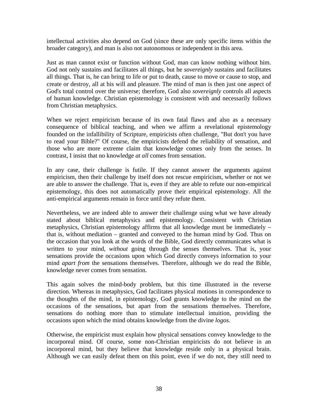intellectual activities also depend on God (since these are only specific items within the broader category), and man is also not autonomous or independent in this area.

Just as man cannot exist or function without God, man can know nothing without him. God not only sustains and facilitates all things, but he *sovereignly* sustains and facilitates all things. That is, he can bring to life or put to death, cause to move or cause to stop, and create or destroy, all at his will and pleasure. The mind of man is then just one aspect of God's total control over the universe; therefore, God also *sovereignly* controls all aspects of human knowledge. Christian epistemology is consistent with and necessarily follows from Christian metaphysics.

When we reject empiricism because of its own fatal flaws and also as a necessary consequence of biblical teaching, and when we affirm a revelational epistemology founded on the infallibility of Scripture, empiricists often challenge, "But don't you have to read your Bible?" Of course, the empiricists defend the reliability of sensation, and those who are more extreme claim that knowledge comes only from the senses. In contrast, I insist that no knowledge *at all* comes from sensation.

In any case, their challenge is futile. If they cannot answer the arguments against empiricism, then their challenge by itself does not rescue empiricism, whether or not we are able to answer the challenge. That is, even if they are able to refute our non-empirical epistemology, this does not automatically prove their empirical epistemology. All the anti-empirical arguments remain in force until they refute them.

Nevertheless, we are indeed able to answer their challenge using what we have already stated about biblical metaphysics and epistemology. Consistent with Christian metaphysics, Christian epistemology affirms that all knowledge must be immediately – that is, without mediation – granted and conveyed to the human mind by God. Thus on the occasion that you look at the words of the Bible, God directly communicates what is written to your mind, *without* going through the senses themselves. That is, your sensations provide the occasions upon which God directly conveys information to your mind *apart from* the sensations themselves. Therefore, although we do read the Bible, knowledge never comes from sensation.

This again solves the mind-body problem, but this time illustrated in the reverse direction. Whereas in metaphysics, God facilitates physical motions in correspondence to the thoughts of the mind, in epistemology, God grants knowledge to the mind on the occasions of the sensations, but apart from the sensations themselves. Therefore, sensations do nothing more than to stimulate intellectual intuition, providing the occasions upon which the mind obtains knowledge from the divine *logos*.

Otherwise, the empiricist must explain how physical sensations convey knowledge to the incorporeal mind. Of course, some non-Christian empiricists do not believe in an incorporeal mind, but they believe that knowledge reside only in a physical brain. Although we can easily defeat them on this point, even if we do not, they still need to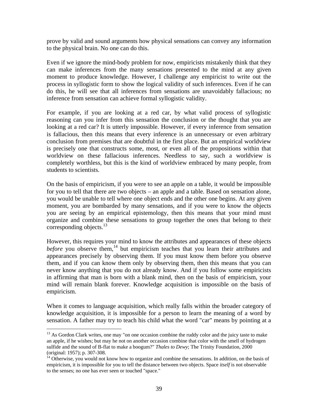prove by valid and sound arguments how physical sensations can convey any information to the physical brain. No one can do this.

Even if we ignore the mind-body problem for now, empiricists mistakenly think that they can make inferences from the many sensations presented to the mind at any given moment to produce knowledge. However, I challenge any empiricist to write out the process in syllogistic form to show the logical validity of such inferences. Even if he can do this, he will see that all inferences from sensations are unavoidably fallacious; no inference from sensation can achieve formal syllogistic validity.

For example, if you are looking at a red car, by what valid process of syllogistic reasoning can you infer from this sensation the conclusion or the thought that you are looking at a red car? It is utterly impossible. However, if every inference from sensation is fallacious, then this means that every inference is an unnecessary or even arbitrary conclusion from premises that are doubtful in the first place. But an empirical worldview is precisely one that constructs some, most, or even all of the propositions within that worldview on these fallacious inferences. Needless to say, such a worldview is completely worthless, but this is the kind of worldview embraced by many people, from students to scientists.

On the basis of empiricism, if you were to see an apple on a table, it would be impossible for you to tell that there are two objects – an apple and a table. Based on sensation alone, you would be unable to tell where one object ends and the other one begins. At any given moment, you are bombarded by many sensations, and if you were to know the objects you are seeing by an empirical epistemology, then this means that your mind must organize and combine these sensations to group together the ones that belong to their corresponding objects. $^{13}$ 

However, this requires your mind to know the attributes and appearances of these objects *before* you observe them,<sup>14</sup> but empiricism teaches that you learn their attributes and appearances precisely by observing them. If you must know them before you observe them, and if you can know them only by observing them, then this means that you can never know anything that you do not already know. And if you follow some empiricists in affirming that man is born with a blank mind, then on the basis of empiricism, your mind will remain blank forever. Knowledge acquisition is impossible on the basis of empiricism.

When it comes to language acquisition, which really falls within the broader category of knowledge acquisition, it is impossible for a person to learn the meaning of a word by sensation. A father may try to teach his child what the word "car" means by pointing at a

 $13$  As Gordon Clark writes, one may "on one occasion combine the ruddy color and the juicy taste to make an apple, if he wishes; but may he not on another occasion combine that color with the smell of hydrogen sulfide and the sound of B-flat to make a boogum?" *Thales to Dewy*; The Trinity Foundation, 2000 (original: 1957); p. 307-308.

 $14$  Otherwise, you would not know how to organize and combine the sensations. In addition, on the basis of empiricism, it is impossible for you to tell the distance between two objects. Space *itself* is not observable to the senses; no one has ever seen or touched "space."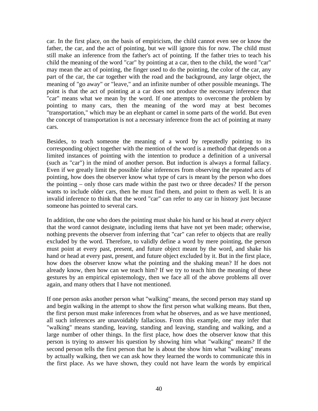car. In the first place, on the basis of empiricism, the child cannot even see or know the father, the car, and the act of pointing, but we will ignore this for now. The child must still make an inference from the father's act of pointing. If the father tries to teach his child the meaning of the word "car" by pointing at a car, then to the child, the word "car" may mean the act of pointing, the finger used to do the pointing, the color of the car, any part of the car, the car together with the road and the background, any large object, the meaning of "go away" or "leave," and an infinite number of other possible meanings. The point is that the act of pointing at a car does not produce the necessary inference that "car" means what we mean by the word. If one attempts to overcome the problem by pointing to many cars, then the meaning of the word may at best becomes "transportation," which may be an elephant or camel in some parts of the world. But even the concept of transportation is not a necessary inference from the act of pointing at many cars.

Besides, to teach someone the meaning of a word by repeatedly pointing to its corresponding object together with the mention of the word is a method that depends on a limited instances of pointing with the intention to produce a definition of a universal (such as "car") in the mind of another person. But induction is always a formal fallacy. Even if we greatly limit the possible false inferences from observing the repeated acts of pointing, how does the observer know what type of cars is meant by the person who does the pointing – only those cars made within the past two or three decades? If the person wants to include older cars, then he must find them, and point to them as well. It is an invalid inference to think that the word "car" can refer to any car in history just because someone has pointed to several cars.

In addition, the one who does the pointing must shake his hand or his head at *every object* that the word cannot designate, including items that have not yet been made; otherwise, nothing prevents the observer from inferring that "car" can refer to objects that are really excluded by the word. Therefore, to validly define a word by mere pointing, the person must point at every past, present, and future object meant by the word, and shake his hand or head at every past, present, and future object excluded by it. But in the first place, how does the observer know what the pointing and the shaking mean? If he does not already know, then how can we teach him? If we try to teach him the meaning of these gestures by an empirical epistemology, then we face all of the above problems all over again, and many others that I have not mentioned.

If one person asks another person what "walking" means, the second person may stand up and begin walking in the attempt to show the first person what walking means. But then, the first person must make inferences from what he observes, and as we have mentioned, all such inferences are unavoidably fallacious. From this example, one may infer that "walking" means standing, leaving, standing and leaving, standing and walking, and a large number of other things. In the first place, how does the observer know that this person is trying to answer his question by showing him what "walking" means? If the second person tells the first person that he is about the show him what "walking" means by actually walking, then we can ask how they learned the words to communicate this in the first place. As we have shown, they could not have learn the words by empirical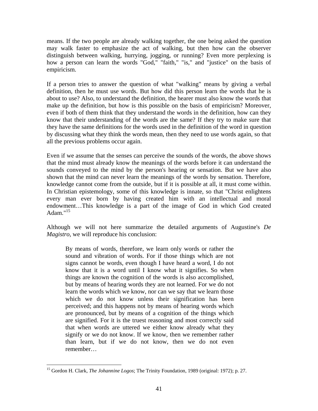means. If the two people are already walking together, the one being asked the question may walk faster to emphasize the act of walking, but then how can the observer distinguish between walking, hurrying, jogging, or running? Even more perplexing is how a person can learn the words "God," "faith," "is," and "justice" on the basis of empiricism.

If a person tries to answer the question of what "walking" means by giving a verbal definition, then he must use words. But how did this person learn the words that he is about to use? Also, to understand the definition, the hearer must also know the words that make up the definition, but how is this possible on the basis of empiricism? Moreover, even if both of them think that they understand the words in the definition, how can they know that their understanding of the words are the same? If they try to make sure that they have the same definitions for the words used in the definition of the word in question by discussing what they think the words mean, then they need to use words again, so that all the previous problems occur again.

Even if we assume that the senses can perceive the sounds of the words, the above shows that the mind must already know the meanings of the words before it can understand the sounds conveyed to the mind by the person's hearing or sensation. But we have also shown that the mind can never learn the meanings of the words by sensation. Therefore, knowledge cannot come from the outside, but if it is possible at all, it must come within. In Christian epistemology, some of this knowledge is innate, so that "Christ enlightens every man ever born by having created him with an intellectual and moral endowment…This knowledge is a part of the image of God in which God created Adam $15$ 

Although we will not here summarize the detailed arguments of Augustine's *De Magistro*, we will reproduce his conclusion:

By means of words, therefore, we learn only words or rather the sound and vibration of words. For if those things which are not signs cannot be words, even though I have heard a word, I do not know that it is a word until I know what it signifies. So when things are known the cognition of the words is also accomplished, but by means of hearing words they are not learned. For we do not learn the words which we know, nor can we say that we learn those which we do not know unless their signification has been perceived; and this happens not by means of hearing words which are pronounced, but by means of a cognition of the things which are signified. For it is the truest reasoning and most correctly said that when words are uttered we either know already what they signify or we do not know. If we know, then we remember rather than learn, but if we do not know, then we do not even remember…

<sup>&</sup>lt;u>.</u> 15 Gordon H. Clark, *The Johannine Logos*; The Trinity Foundation, 1989 (original: 1972); p. 27.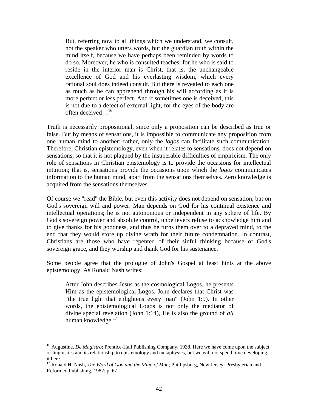But, referring now to all things which we understand, we consult, not the speaker who utters words, but the guardian truth within the mind itself, because we have perhaps been reminded by words to do so. Moreover, he who is consulted teaches; for he who is said to reside in the interior man is Christ, that is, the unchangeable excellence of God and his everlasting wisdom, which every rational soul does indeed consult. But there is revealed to each one as much as he can apprehend through his will according as it is more perfect or less perfect. And if sometimes one is deceived, this is not due to a defect of external light, for the eyes of the body are often deceived...<sup>16</sup>

Truth is necessarily propositional, since only a proposition can be described as true or false. But by means of sensations, it is impossible to communicate any proposition from one human mind to another; rather, only the *logos* can facilitate such communication. Therefore, Christian epistemology, even when it relates to sensations, does not depend on sensations, so that it is not plagued by the insuperable difficulties of empiricism. The only role of sensations in Christian epistemology is to provide the occasions for intellectual intuition; that is, sensations provide the occasions upon which the *logos* communicates information to the human mind, apart from the sensations themselves. Zero knowledge is acquired from the sensations themselves.

Of course we "read" the Bible, but even this activity does not depend on sensation, but on God's sovereign will and power. Man depends on God for his continual existence and intellectual operations; he is not autonomous or independent in any sphere of life. By God's sovereign power and absolute control, unbelievers refuse to acknowledge him and to give thanks for his goodness, and thus he turns them over to a depraved mind, to the end that they would store up divine wrath for their future condemnation. In contrast, Christians are those who have repented of their sinful thinking because of God's sovereign grace, and they worship and thank God for his sustenance.

Some people agree that the prologue of John's Gospel at least hints at the above epistemology. As Ronald Nash writes:

After John describes Jesus as the cosmological Logos, he presents Him as the epistemological Logos. John declares that Christ was "the true light that enlightens every man" (John 1:9). In other words, the epistemological Logos is not only the mediator of divine special revelation (John 1:14), He is also the ground of *all* human knowledge.<sup>17</sup>

<sup>&</sup>lt;sup>16</sup> Augustine, *De Magistro*; Prentice-Hall Publishing Company, 1938. Here we have come upon the subject of linguistics and its relationship to epistemology and metaphysics, but we will not spend time developing it here.

<sup>&</sup>lt;sup>17</sup> Ronald H. Nash, *The Word of God and the Mind of Man*; Phillipsburg, New Jersey: Presbyterian and Reformed Publishing, 1982; p. 67.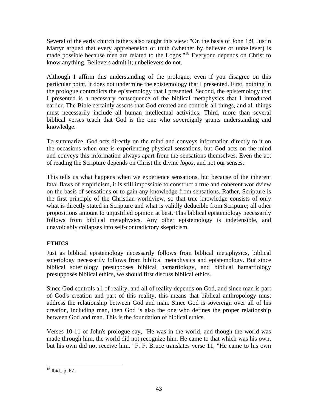Several of the early church fathers also taught this view: "On the basis of John 1:9, Justin Martyr argued that every apprehension of truth (whether by believer or unbeliever) is made possible because men are related to the Logos."18 Everyone depends on Christ to know anything. Believers admit it; unbelievers do not.

Although I affirm this understanding of the prologue, even if you disagree on this particular point, it does not undermine the epistemology that I presented. First, nothing in the prologue contradicts the epistemology that I presented. Second, the epistemology that I presented is a necessary consequence of the biblical metaphysics that I introduced earlier. The Bible certainly asserts that God created and controls all things, and all things must necessarily include all human intellectual activities. Third, more than several biblical verses teach that God is the one who sovereignly grants understanding and knowledge.

To summarize, God acts directly on the mind and conveys information directly to it on the occasions when one is experiencing physical sensations, but God acts on the mind and conveys this information always apart from the sensations themselves. Even the act of reading the Scripture depends on Christ the divine *logos*, and not our senses.

This tells us what happens when we experience sensations, but because of the inherent fatal flaws of empiricism, it is still impossible to construct a true and coherent worldview on the basis of sensations or to gain any knowledge from sensations. Rather, Scripture is the first principle of the Christian worldview, so that true knowledge consists of only what is directly stated in Scripture and what is validly deducible from Scripture; all other propositions amount to unjustified opinion at best. This biblical epistemology necessarily follows from biblical metaphysics. Any other epistemology is indefensible, and unavoidably collapses into self-contradictory skepticism.

## **ETHICS**

Just as biblical epistemology necessarily follows from biblical metaphysics, biblical soteriology necessarily follows from biblical metaphysics and epistemology. But since biblical soteriology presupposes biblical hamartiology, and biblical hamartiology presupposes biblical ethics, we should first discuss biblical ethics.

Since God controls all of reality, and all of reality depends on God, and since man is part of God's creation and part of this reality, this means that biblical anthropology must address the relationship between God and man. Since God is sovereign over all of his creation, including man, then God is also the one who defines the proper relationship between God and man. This is the foundation of biblical ethics.

Verses 10-11 of John's prologue say, "He was in the world, and though the world was made through him, the world did not recognize him. He came to that which was his own, but his own did not receive him." F. F. Bruce translates verse 11, "He came to his own

 $\overline{a}$  $18$  Ibid., p. 67.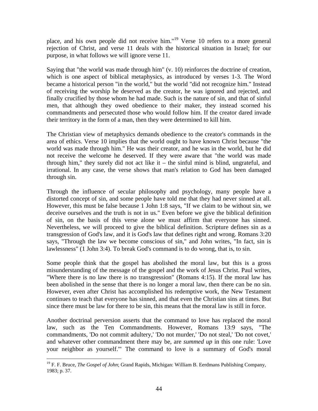place, and his own people did not receive him."19 Verse 10 refers to a more general rejection of Christ, and verse 11 deals with the historical situation in Israel; for our purpose, in what follows we will ignore verse 11.

Saying that "the world was made through him" (v. 10) reinforces the doctrine of creation, which is one aspect of biblical metaphysics, as introduced by verses 1-3. The Word became a historical person "in the world," but the world "did not recognize him." Instead of receiving the worship he deserved as the creator, he was ignored and rejected, and finally crucified by those whom he had made. Such is the nature of sin, and that of sinful men, that although they owed obedience to their maker, they instead scorned his commandments and persecuted those who would follow him. If the creator dared invade their territory in the form of a man, then they were determined to kill him.

The Christian view of metaphysics demands obedience to the creator's commands in the area of ethics. Verse 10 implies that the world ought to have known Christ because "the world was made through him." He was their creator, and he was in the world, but he did not receive the welcome he deserved. If they were aware that "the world was made through him," they surely did not act like it – the sinful mind is blind, ungrateful, and irrational. In any case, the verse shows that man's relation to God has been damaged through sin.

Through the influence of secular philosophy and psychology, many people have a distorted concept of sin, and some people have told me that they had never sinned at all. However, this must be false because 1 John 1:8 says, "If we claim to be without sin, we deceive ourselves and the truth is not in us." Even before we give the biblical definition of sin, on the basis of this verse alone we must affirm that everyone has sinned. Nevertheless, we will proceed to give the biblical definition. Scripture defines sin as a transgression of God's law, and it is God's law that defines right and wrong. Romans 3:20 says, "Through the law we become conscious of sin," and John writes, "In fact, sin is lawlessness" (1 John 3:4). To break God's command is to do wrong, that is, to sin.

Some people think that the gospel has abolished the moral law, but this is a gross misunderstanding of the message of the gospel and the work of Jesus Christ. Paul writes, "Where there is no law there is no transgression" (Romans 4:15). If the moral law has been abolished in the sense that there is no longer a moral law, then there can be no sin. However, even after Christ has accomplished his redemptive work, the New Testament continues to teach that everyone has sinned, and that even the Christian sins at times. But since there must be law for there to be sin, this means that the moral law is still in force.

Another doctrinal perversion asserts that the command to love has replaced the moral law, such as the Ten Commandments. However, Romans 13:9 says, "The commandments, 'Do not commit adultery,' 'Do not murder,' 'Do not steal,' 'Do not covet,' and whatever other commandment there may be, are *summed up* in this one rule: 'Love your neighbor as yourself.'" The command to love is a summary of God's moral

<sup>&</sup>lt;sup>19</sup> F. F. Bruce, *The Gospel of John*; Grand Rapids, Michigan: William B. Eerdmans Publishing Company, 1983; p. 37.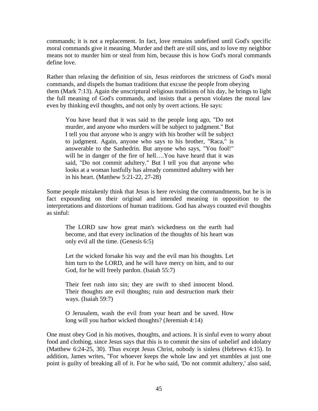commands; it is not a replacement. In fact, love remains undefined until God's specific moral commands give it meaning. Murder and theft are still sins, and to love my neighbor means not to murder him or steal from him, because this is how God's moral commands define love.

Rather than relaxing the definition of sin, Jesus reinforces the strictness of God's moral commands, and dispels the human traditions that excuse the people from obeying them (Mark 7:13). Again the unscriptural religious traditions of his day, he brings to light the full meaning of God's commands, and insists that a person violates the moral law even by thinking evil thoughts, and not only by overt actions. He says:

You have heard that it was said to the people long ago, "Do not murder, and anyone who murders will be subject to judgment." But I tell you that anyone who is angry with his brother will be subject to judgment. Again, anyone who says to his brother, "Raca," is answerable to the Sanhedrin. But anyone who says, "You fool!" will be in danger of the fire of hell….You have heard that it was said, "Do not commit adultery." But I tell you that anyone who looks at a woman lustfully has already committed adultery with her in his heart. (Matthew 5:21-22, 27-28)

Some people mistakenly think that Jesus is here revising the commandments, but he is in fact expounding on their original and intended meaning in opposition to the interpretations and distortions of human traditions. God has always counted evil thoughts as sinful:

The LORD saw how great man's wickedness on the earth had become, and that every inclination of the thoughts of his heart was only evil all the time. (Genesis 6:5)

Let the wicked forsake his way and the evil man his thoughts. Let him turn to the LORD, and he will have mercy on him, and to our God, for he will freely pardon. (Isaiah 55:7)

Their feet rush into sin; they are swift to shed innocent blood. Their thoughts are evil thoughts; ruin and destruction mark their ways. (Isaiah 59:7)

O Jerusalem, wash the evil from your heart and be saved. How long will you harbor wicked thoughts? (Jeremiah 4:14)

One must obey God in his motives, thoughts, and actions. It is sinful even to worry about food and clothing, since Jesus says that this is to commit the sins of unbelief and idolatry (Matthew 6:24-25, 30). Thus except Jesus Christ, nobody is sinless (Hebrews 4:15). In addition, James writes, "For whoever keeps the whole law and yet stumbles at just one point is guilty of breaking all of it. For he who said, 'Do not commit adultery,' also said,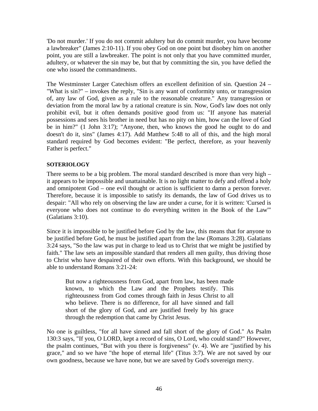'Do not murder.' If you do not commit adultery but do commit murder, you have become a lawbreaker" (James 2:10-11). If you obey God on one point but disobey him on another point, you are still a lawbreaker. The point is not only that you have committed murder, adultery, or whatever the sin may be, but that by committing the sin, you have defied the one who issued the commandments.

The Westminster Larger Catechism offers an excellent definition of sin. Question 24 – "What is sin?" – invokes the reply, "Sin is any want of conformity unto, or transgression of, any law of God, given as a rule to the reasonable creature." Any transgression or deviation from the moral law by a rational creature is sin. Now, God's law does not only prohibit evil, but it often demands positive good from us: "If anyone has material possessions and sees his brother in need but has no pity on him, how can the love of God be in him?" (1 John 3:17); "Anyone, then, who knows the good he ought to do and doesn't do it, sins" (James 4:17). Add Matthew 5:48 to all of this, and the high moral standard required by God becomes evident: "Be perfect, therefore, as your heavenly Father is perfect."

### **SOTERIOLOGY**

There seems to be a big problem. The moral standard described is more than very high – it appears to be impossible and unattainable. It is no light matter to defy and offend a holy and omnipotent God – one evil thought or action is sufficient to damn a person forever. Therefore, because it is impossible to satisfy its demands, the law of God drives us to despair: "All who rely on observing the law are under a curse, for it is written: 'Cursed is everyone who does not continue to do everything written in the Book of the Law'" (Galatians 3:10).

Since it is impossible to be justified before God by the law, this means that for anyone to be justified before God, he must be justified apart from the law (Romans 3:28). Galatians 3:24 says, "So the law was put in charge to lead us to Christ that we might be justified by faith." The law sets an impossible standard that renders all men guilty, thus driving those to Christ who have despaired of their own efforts. With this background, we should be able to understand Romans 3:21-24:

But now a righteousness from God, apart from law, has been made known, to which the Law and the Prophets testify. This righteousness from God comes through faith in Jesus Christ to all who believe. There is no difference, for all have sinned and fall short of the glory of God, and are justified freely by his grace through the redemption that came by Christ Jesus.

No one is guiltless, "for all have sinned and fall short of the glory of God." As Psalm 130:3 says, "If you, O LORD, kept a record of sins, O Lord, who could stand?" However, the psalm continues, "But with you there is forgiveness" (v. 4). We are "justified by his grace," and so we have "the hope of eternal life" (Titus 3:7). We are not saved by our own goodness, because we have none, but we are saved by God's sovereign mercy.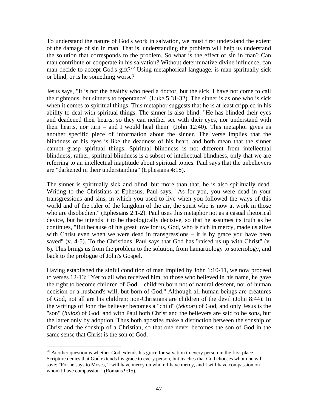To understand the nature of God's work in salvation, we must first understand the extent of the damage of sin in man. That is, understanding the problem will help us understand the solution that corresponds to the problem. So what is the effect of sin in man? Can man contribute or cooperate in his salvation? Without determinative divine influence, can man decide to accept God's gift?<sup>20</sup> Using metaphorical language, is man spiritually sick or blind, or is he something worse?

Jesus says, "It is not the healthy who need a doctor, but the sick. I have not come to call the righteous, but sinners to repentance" (Luke 5:31-32). The sinner is as one who is sick when it comes to spiritual things. This metaphor suggests that he is at least crippled in his ability to deal with spiritual things. The sinner is also blind: "He has blinded their eyes and deadened their hearts, so they can neither see with their eyes, nor understand with their hearts, nor turn – and I would heal them" (John 12:40). This metaphor gives us another specific piece of information about the sinner. The verse implies that the blindness of his eyes is like the deadness of his heart, and both mean that the sinner cannot grasp spiritual things. Spiritual blindness is not different from intellectual blindness; rather, spiritual blindness is a subset of intellectual blindness, only that we are referring to an intellectual inaptitude about spiritual topics. Paul says that the unbelievers are "darkened in their understanding" (Ephesians 4:18).

The sinner is spiritually sick and blind, but more than that, he is also spiritually dead. Writing to the Christians at Ephesus, Paul says, "As for you, you were dead in your transgressions and sins, in which you used to live when you followed the ways of this world and of the ruler of the kingdom of the air, the spirit who is now at work in those who are disobedient" (Ephesians 2:1-2). Paul uses this metaphor not as a casual rhetorical device, but he intends it to be theologically decisive, so that he assumes its truth as he continues, "But because of his great love for us, God, who is rich in mercy, made us alive with Christ even when we were dead in transgressions – it is by grace you have been saved" (v. 4-5). To the Christians, Paul says that God has "raised us up with Christ" (v. 6). This brings us from the problem to the solution, from hamartiology to soteriology, and back to the prologue of John's Gospel.

Having established the sinful condition of man implied by John 1:10-11, we now proceed to verses 12-13: "Yet to all who received him, to those who believed in his name, he gave the right to become children of God – children born not of natural descent, nor of human decision or a husband's will, but born of God." Although all human beings are creatures of God, not all are his children; non-Christians are children of the devil (John 8:44). In the writings of John the believer becomes a "child" (*teknon*) of God, and only Jesus is the "son" (*huios*) of God, and with Paul both Christ and the believers are said to be sons, but the latter only by adoption. Thus both apostles make a distinction between the sonship of Christ and the sonship of a Christian, so that one never becomes the son of God in the same sense that Christ is the son of God.

 $20$  Another question is whether God extends his grace for salvation to every person in the first place. Scripture denies that God extends his grace to every person, but teaches that God chooses whom he will save: "For he says to Moses, 'I will have mercy on whom I have mercy, and I will have compassion on whom I have compassion" (Romans 9:15).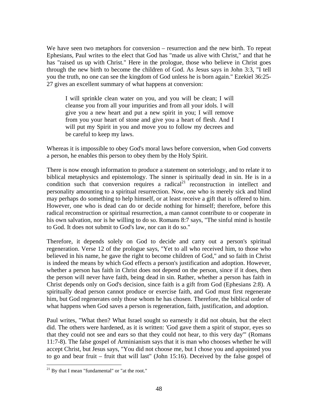We have seen two metaphors for conversion – resurrection and the new birth. To repeat Ephesians, Paul writes to the elect that God has "made us alive with Christ," and that he has "raised us up with Christ." Here in the prologue, those who believe in Christ goes through the new birth to become the children of God. As Jesus says in John 3:3, "I tell you the truth, no one can see the kingdom of God unless he is born again." Ezekiel 36:25- 27 gives an excellent summary of what happens at conversion:

I will sprinkle clean water on you, and you will be clean; I will cleanse you from all your impurities and from all your idols. I will give you a new heart and put a new spirit in you; I will remove from you your heart of stone and give you a heart of flesh. And I will put my Spirit in you and move you to follow my decrees and be careful to keep my laws.

Whereas it is impossible to obey God's moral laws before conversion, when God converts a person, he enables this person to obey them by the Holy Spirit.

There is now enough information to produce a statement on soteriology, and to relate it to biblical metaphysics and epistemology. The sinner is spiritually dead in sin. He is in a condition such that conversion requires a radical<sup>21</sup> reconstruction in intellect and personality amounting to a spiritual resurrection. Now, one who is merely sick and blind may perhaps do something to help himself, or at least receive a gift that is offered to him. However, one who is dead can do or decide nothing for himself; therefore, before this radical reconstruction or spiritual resurrection, a man cannot contribute to or cooperate in his own salvation, nor is he willing to do so. Romans 8:7 says, "The sinful mind is hostile to God. It does not submit to God's law, nor can it do so."

Therefore, it depends solely on God to decide and carry out a person's spiritual regeneration. Verse 12 of the prologue says, "Yet to all who received him, to those who believed in his name, he gave the right to become children of God," and so faith in Christ is indeed the means by which God effects a person's justification and adoption. However, whether a person has faith in Christ does not depend on the person, since if it does, then the person will never have faith, being dead in sin. Rather, whether a person has faith in Christ depends only on God's decision, since faith is a gift from God (Ephesians 2:8). A spiritually dead person cannot produce or exercise faith, and God must first regenerate him, but God regenerates only those whom he has chosen. Therefore, the biblical order of what happens when God saves a person is regeneration, faith, justification, and adoption.

Paul writes, "What then? What Israel sought so earnestly it did not obtain, but the elect did. The others were hardened, as it is written: 'God gave them a spirit of stupor, eyes so that they could not see and ears so that they could not hear, to this very day'" (Romans 11:7-8). The false gospel of Arminianism says that it is man who chooses whether he will accept Christ, but Jesus says, "You did not choose me, but I chose you and appointed you to go and bear fruit – fruit that will last" (John 15:16). Deceived by the false gospel of

 $21$  By that I mean "fundamental" or "at the root."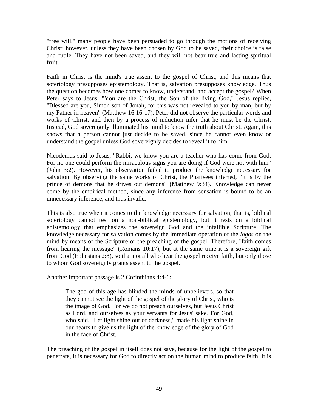"free will," many people have been persuaded to go through the motions of receiving Christ; however, unless they have been chosen by God to be saved, their choice is false and futile. They have not been saved, and they will not bear true and lasting spiritual fruit.

Faith in Christ is the mind's true assent to the gospel of Christ, and this means that soteriology presupposes epistemology. That is, salvation presupposes knowledge. Thus the question becomes how one comes to know, understand, and accept the gospel? When Peter says to Jesus, "You are the Christ, the Son of the living God," Jesus replies, "Blessed are you, Simon son of Jonah, for this was not revealed to you by man, but by my Father in heaven" (Matthew 16:16-17). Peter did not observe the particular words and works of Christ, and then by a process of induction infer that he must be the Christ. Instead, God sovereignly illuminated his mind to know the truth about Christ. Again, this shows that a person cannot just decide to be saved, since he cannot even know or understand the gospel unless God sovereignly decides to reveal it to him.

Nicodemus said to Jesus, "Rabbi, we know you are a teacher who has come from God. For no one could perform the miraculous signs you are doing if God were not with him" (John 3:2). However, his observation failed to produce the knowledge necessary for salvation. By observing the same works of Christ, the Pharisees inferred, "It is by the prince of demons that he drives out demons" (Matthew 9:34). Knowledge can never come by the empirical method, since any inference from sensation is bound to be an unnecessary inference, and thus invalid.

This is also true when it comes to the knowledge necessary for salvation; that is, biblical soteriology cannot rest on a non-biblical epistemology, but it rests on a biblical epistemology that emphasizes the sovereign God and the infallible Scripture. The knowledge necessary for salvation comes by the immediate operation of the *logos* on the mind by means of the Scripture or the preaching of the gospel. Therefore, "faith comes from hearing the message" (Romans 10:17), but at the same time it is a sovereign gift from God (Ephesians 2:8), so that not all who hear the gospel receive faith, but only those to whom God sovereignly grants assent to the gospel.

Another important passage is 2 Corinthians 4:4-6:

The god of this age has blinded the minds of unbelievers, so that they cannot see the light of the gospel of the glory of Christ, who is the image of God. For we do not preach ourselves, but Jesus Christ as Lord, and ourselves as your servants for Jesus' sake. For God, who said, "Let light shine out of darkness," made his light shine in our hearts to give us the light of the knowledge of the glory of God in the face of Christ.

The preaching of the gospel in itself does not save, because for the light of the gospel to penetrate, it is necessary for God to directly act on the human mind to produce faith. It is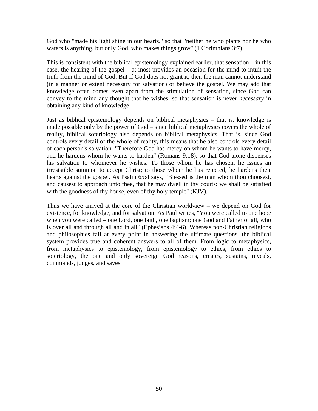God who "made his light shine in our hearts," so that "neither he who plants nor he who waters is anything, but only God, who makes things grow" (1 Corinthians 3:7).

This is consistent with the biblical epistemology explained earlier, that sensation – in this case, the hearing of the gospel – at most provides an occasion for the mind to intuit the truth from the mind of God. But if God does not grant it, then the man cannot understand (in a manner or extent necessary for salvation) or believe the gospel. We may add that knowledge often comes even apart from the stimulation of sensation, since God can convey to the mind any thought that he wishes, so that sensation is never *necessary* in obtaining any kind of knowledge.

Just as biblical epistemology depends on biblical metaphysics – that is, knowledge is made possible only by the power of God – since biblical metaphysics covers the whole of reality, biblical soteriology also depends on biblical metaphysics. That is, since God controls every detail of the whole of reality, this means that he also controls every detail of each person's salvation. "Therefore God has mercy on whom he wants to have mercy, and he hardens whom he wants to harden" (Romans 9:18), so that God alone dispenses his salvation to whomever he wishes. To those whom he has chosen, he issues an irresistible summon to accept Christ; to those whom he has rejected, he hardens their hearts against the gospel. As Psalm 65:4 says, "Blessed is the man whom thou choosest, and causest to approach unto thee, that he may dwell in thy courts: we shall be satisfied with the goodness of thy house, even of thy holy temple" (KJV).

Thus we have arrived at the core of the Christian worldview – we depend on God for existence, for knowledge, and for salvation. As Paul writes, "You were called to one hope when you were called – one Lord, one faith, one baptism; one God and Father of all, who is over all and through all and in all" (Ephesians 4:4-6). Whereas non-Christian religions and philosophies fail at every point in answering the ultimate questions, the biblical system provides true and coherent answers to all of them. From logic to metaphysics, from metaphysics to epistemology, from epistemology to ethics, from ethics to soteriology, the one and only sovereign God reasons, creates, sustains, reveals, commands, judges, and saves.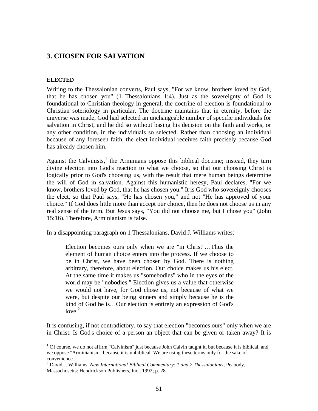# **3. CHOSEN FOR SALVATION**

#### **ELECTED**

1

Writing to the Thessalonian converts, Paul says, "For we know, brothers loved by God, that he has chosen you" (1 Thessalonians 1:4). Just as the sovereignty of God is foundational to Christian theology in general, the doctrine of election is foundational to Christian soteriology in particular. The doctrine maintains that in eternity, before the universe was made, God had selected an unchangeable number of specific individuals for salvation in Christ, and he did so without basing his decision on the faith and works, or any other condition, in the individuals so selected. Rather than choosing an individual because of any foreseen faith, the elect individual receives faith precisely because God has already chosen him.

Against the Calvinists, $<sup>1</sup>$  the Arminians oppose this biblical doctrine; instead, they turn</sup> divine election into God's reaction to what we choose, so that our choosing Christ is logically prior to God's choosing us, with the result that mere human beings determine the will of God in salvation. Against this humanistic heresy, Paul declares, "For we know, brothers loved by God, that he has chosen you." It is God who sovereignly chooses the elect, so that Paul says, "He has chosen you," and not "He has approved of your choice." If God does little more than accept our choice, then he does not choose us in any real sense of the term. But Jesus says, "You did not choose me, but I chose you" (John 15:16). Therefore, Arminianism is false.

In a disappointing paragraph on 1 Thessalonians, David J. Williams writes:

Election becomes ours only when we are "in Christ"…Thus the element of human choice enters into the process. If we choose to be in Christ, we have been chosen by God. There is nothing arbitrary, therefore, about election. Our choice makes us his elect. At the same time it makes us "somebodies" who in the eyes of the world may be "nobodies." Election gives us a value that otherwise we would not have, for God chose us, not because of what we were, but despite our being sinners and simply because he is the kind of God he is…Our election is entirely an expression of God's  $love<sup>2</sup>$ 

It is confusing, if not contradictory, to say that election "becomes ours" only when we are in Christ. Is God's choice of a person an object that can be given or taken away? It is

 $1$  Of course, we do not affirm "Calvinism" just because John Calvin taught it, but because it is biblical, and we oppose "Arminianism" because it is unbiblical. We are using these terms only for the sake of convenience.

<sup>2</sup> David J. Williams, *New International Biblical Commentary: 1 and 2 Thessalonians*; Peabody, Massachusetts: Hendrickson Publishers, Inc., 1992; p. 28.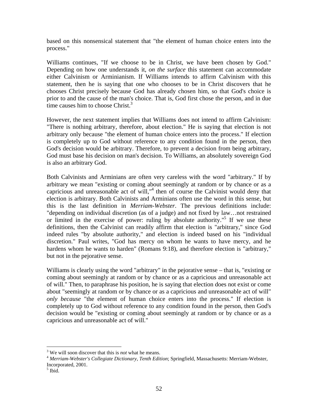based on this nonsensical statement that "the element of human choice enters into the process."

Williams continues, "If we choose to be in Christ, we have been chosen by God." Depending on how one understands it, *on the surface* this statement can accommodate either Calvinism or Arminianism. If Williams intends to affirm Calvinism with this statement, then he is saying that one who chooses to be in Christ discovers that he chooses Christ precisely because God has already chosen him, so that God's choice is prior to and the cause of the man's choice. That is, God first chose the person, and in due time causes him to choose Christ. $3$ 

However, the next statement implies that Williams does not intend to affirm Calvinism: "There is nothing arbitrary, therefore, about election." He is saying that election is not arbitrary only because "the element of human choice enters into the process." If election is completely up to God without reference to any condition found in the person, then God's decision would be arbitrary. Therefore, to prevent a decision from being arbitrary, God must base his decision on man's decision. To Williams, an absolutely sovereign God is also an arbitrary God.

Both Calvinists and Arminians are often very careless with the word "arbitrary." If by arbitrary we mean "existing or coming about seemingly at random or by chance or as a capricious and unreasonable act of will,"<sup>4</sup> then of course the Calvinist would deny that election is arbitrary. Both Calvinists and Arminians often use the word in this sense, but this is the last definition in *Merriam-Webster*. The previous definitions include: "depending on individual discretion (as of a judge) and not fixed by law…not restrained or limited in the exercise of power: ruling by absolute authority."<sup>5</sup> If we use these definitions, then the Calvinist can readily affirm that election is "arbitrary," since God indeed rules "by absolute authority," and election is indeed based on his "individual discretion." Paul writes, "God has mercy on whom he wants to have mercy, and he hardens whom he wants to harden" (Romans 9:18), and therefore election is "arbitrary," but not in the pejorative sense.

Williams is clearly using the word "arbitrary" in the pejorative sense – that is, "existing or coming about seemingly at random or by chance or as a capricious and unreasonable act of will." Then, to paraphrase his position, he is saying that election does not exist or come about "seemingly at random or by chance or as a capricious and unreasonable act of will" *only because* "the element of human choice enters into the process." If election is completely up to God without reference to any condition found in the person, then God's decision would be "existing or coming about seemingly at random or by chance or as a capricious and unreasonable act of will."

 $\frac{1}{3}$ 

<sup>&</sup>lt;sup>4</sup> Merriam-Webster's Collegiate Dictionary, Tenth Edition; Springfield, Massachusetts: Merriam-Webster, Incorporated, 2001.

<sup>5</sup> Ibid.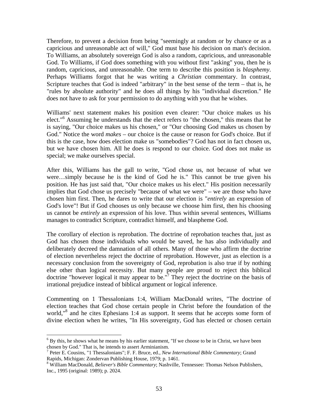Therefore, to prevent a decision from being "seemingly at random or by chance or as a capricious and unreasonable act of will," God must base his decision on man's decision. To Williams, an absolutely sovereign God is also a random, capricious, and unreasonable God. To Williams, if God does something with you without first "asking" you, then he is random, capricious, and unreasonable. One term to describe this position is *blasphemy*. Perhaps Williams forgot that he was writing a *Christian* commentary. In contrast, Scripture teaches that God is indeed "arbitrary" in the best sense of the term – that is, he "rules by absolute authority" and he does all things by his "individual discretion." He does not have to ask for your permission to do anything with you that he wishes.

Williams' next statement makes his position even clearer: "Our choice makes us his elect."6 Assuming he understands that the elect refers to "the chosen," this means that he is saying, "Our choice makes us his chosen," or "Our choosing God makes us chosen by God." Notice the word *makes* – our choice is the cause or reason for God's choice. But if this is the case, how does election make us "somebodies"? God has not in fact chosen us, but we have chosen him. All he does is respond to our choice. God does not make us special; we make ourselves special.

After this, Williams has the gall to write, "God chose us, not because of what we were…simply because he is the kind of God he is." This cannot be true given his position. He has just said that, "Our choice makes us his elect." His position necessarily implies that God chose us precisely "because of what we were" – we are those who have chosen him first. Then, he dares to write that our election is "*entirely* an expression of God's love"! But if God chooses us only because we choose him first, then his choosing us cannot be *entirely* an expression of his love. Thus within several sentences, Williams manages to contradict Scripture, contradict himself, and blaspheme God.

The corollary of election is reprobation. The doctrine of reprobation teaches that, just as God has chosen those individuals who would be saved, he has also individually and deliberately decreed the damnation of all others. Many of those who affirm the doctrine of election nevertheless reject the doctrine of reprobation. However, just as election is a necessary conclusion from the sovereignty of God, reprobation is also true if by nothing else other than logical necessity. But many people are proud to reject this biblical doctrine "however logical it may appear to be."<sup>7</sup> They reject the doctrine on the basis of irrational prejudice instead of biblical argument or logical inference.

Commenting on 1 Thessalonians 1:4, William MacDonald writes, "The doctrine of election teaches that God chose certain people in Christ before the foundation of the world,"<sup>8</sup> and he cites Ephesians 1:4 as support. It seems that he accepts some form of divine election when he writes, "In His sovereignty, God has elected or chosen certain

 $<sup>6</sup>$  By this, he shows what he means by his earlier statement, "If we choose to be in Christ, we have been</sup> chosen by God." That is, he intends to assert Arminianism.

<sup>7</sup> Peter E. Cousins, "1 Thessalonians"; F. F. Bruce, ed., *New International Bible Commentary*; Grand Rapids, Michigan: Zondervan Publishing House, 1979; p. 1461.

<sup>8</sup> William MacDonald, *Believer's Bible Commentary*; Nashville, Tennessee: Thomas Nelson Publishers, Inc., 1995 (original: 1989); p. 2024.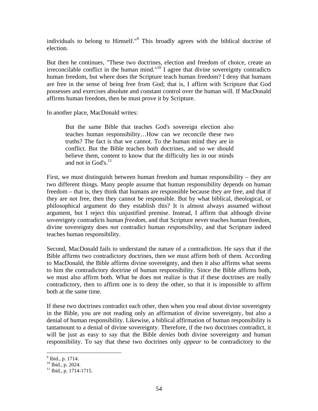individuals to belong to Himself."<sup>9</sup> This broadly agrees with the biblical doctrine of election.

But then he continues, "These two doctrines, election and freedom of choice, create an irreconcilable conflict in the human mind." $10^{\circ}$  I agree that divine sovereignty contradicts human freedom, but where does the Scripture teach human freedom? I deny that humans are free in the sense of being free from God; that is, I affirm with Scripture that God possesses and exercises absolute and constant control over the human will. If MacDonald affirms human freedom, then he must prove it by Scripture.

In another place, MacDonald writes:

But the same Bible that teaches God's sovereign election also teaches human responsibility…How can we reconcile these two truths? The fact is that we cannot. To the human mind they are in conflict. But the Bible teaches both doctrines, and so we should believe them, content to know that the difficulty lies in our minds and not in God's. $^{11}$ 

First, we must distinguish between human freedom and human responsibility – they are two different things. Many people assume that human responsibility depends on human freedom – that is, they think that humans are responsible because they are free, and that if they are not free, then they cannot be responsible. But by what biblical, theological, or philosophical argument do they establish this? It is almost always assumed without argument, but I reject this unjustified premise. Instead, I affirm that although divine sovereignty contradicts human *freedom*, and that Scripture never teaches human freedom, divine sovereignty does *not* contradict human *responsibility*, and that Scripture indeed teaches human responsibility.

Second, MacDonald fails to understand the nature of a contradiction. He says that if the Bible affirms two contradictory doctrines, then we must affirm both of them. According to MacDonald, the Bible affirms divine sovereignty, and then it also affirms what seems to him the contradictory doctrine of human responsibility. Since the Bible affirms both, we must also affirm both. What he does not realize is that if these doctrines are really contradictory, then to affirm one is to deny the other, so that it is impossible to affirm both at the same time.

If these two doctrines contradict each other, then when you read about divine sovereignty in the Bible, you are not reading only an affirmation of divine sovereignty, but also a denial of human responsibility. Likewise, a biblical affirmation of human responsibility is tantamount to a denial of divine sovereignty. Therefore, if the two doctrines contradict, it will be just as easy to say that the Bible *denies* both divine sovereignty and human responsibility. To say that these two doctrines only *appear* to be contradictory to the

 $\overline{a}$ <sup>9</sup> Ibid., p. 1714.

<sup>10</sup> Ibid., p. 2024.

 $11$  Ibid., p. 1714-1715.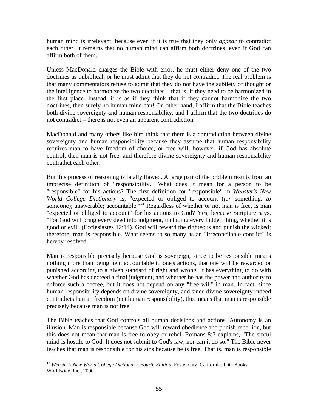human mind is irrelevant, because even if it is true that they only *appear* to contradict each other, it remains that no human mind can affirm both doctrines, even if God can affirm both of them.

Unless MacDonald charges the Bible with error, he must either deny one of the two doctrines as unbiblical, or he must admit that they do not contradict. The real problem is that many commentators refuse to admit that they do not have the subtlety of thought or the intelligence to harmonize the two doctrines – that is, if they need to be harmonized in the first place. Instead, it is as if they think that if they cannot harmonize the two doctrines, then surely no human mind can! On other hand, I affirm that the Bible teaches both divine sovereignty and human responsibility, and I affirm that the two doctrines do not contradict – there is not even an apparent contradiction.

MacDonald and many others like him think that there is a contradiction between divine sovereignty and human responsibility because they assume that human responsibility requires man to have freedom of choice, or free will; however, if God has absolute control, then man is not free, and therefore divine sovereignty and human responsibility contradict each other.

But this process of reasoning is fatally flawed. A large part of the problem results from an imprecise definition of "responsibility." What does it mean for a person to be "responsible" for his actions? The first definition for "responsible" in *Webster's New World College Dictionary* is, "expected or obliged to account (*for* something, *to* someone); answerable; accountable.  $12$  Regardless of whether or not man is free, is man "expected or obliged to account" for his actions to God? Yes, because Scripture says, "For God will bring every deed into judgment, including every hidden thing, whether it is good or evil" (Ecclesiastes 12:14). God will reward the righteous and punish the wicked; therefore, man is responsible. What seems to so many as an "irreconcilable conflict" is hereby resolved.

Man is responsible precisely because God is sovereign, since to be responsible means nothing more than being held accountable to one's actions, that one will be rewarded or punished according to a given standard of right and wrong. It has everything to do with whether God has decreed a final judgment, and whether he has the power and authority to enforce such a decree, but it does not depend on any "free will" in man. In fact, since human responsibility depends on divine sovereignty, and since divine sovereignty indeed contradicts human freedom (not human responsibility), this means that man is responsible precisely because man is not free.

The Bible teaches that God controls all human decisions and actions. Autonomy is an illusion. Man is responsible because God will reward obedience and punish rebellion, but this does not mean that man is free to obey or rebel. Romans 8:7 explains, "The sinful mind is hostile to God. It does not submit to God's law, nor can it do so." The Bible never teaches that man is responsible for his sins because he is free. That is, man is responsible

<sup>1</sup> <sup>12</sup> Webster's New World College Dictionary, Fourth Edition; Foster City, California: IDG Books Worldwide, Inc., 2000.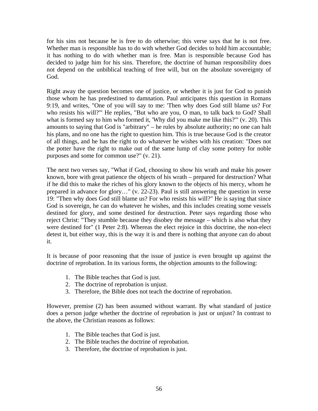for his sins not because he is free to do otherwise; this verse says that he is not free. Whether man is responsible has to do with whether God decides to hold him accountable; it has nothing to do with whether man is free. Man is responsible because God has decided to judge him for his sins. Therefore, the doctrine of human responsibility does not depend on the unbiblical teaching of free will, but on the absolute sovereignty of God.

Right away the question becomes one of justice, or whether it is just for God to punish those whom he has predestined to damnation. Paul anticipates this question in Romans 9:19, and writes, "One of you will say to me: 'Then why does God still blame us? For who resists his will?'" He replies, "But who are you, O man, to talk back to God? Shall what is formed say to him who formed it, 'Why did you make me like this?'" (v. 20). This amounts to saying that God is "arbitrary" – he rules by absolute authority; no one can halt his plans, and no one has the right to question him. This is true because God is the creator of all things, and he has the right to do whatever he wishes with his creation: "Does not the potter have the right to make out of the same lump of clay some pottery for noble purposes and some for common use?" (v. 21).

The next two verses say, "What if God, choosing to show his wrath and make his power known, bore with great patience the objects of his wrath – prepared for destruction? What if he did this to make the riches of his glory known to the objects of his mercy, whom he prepared in advance for glory…" (v. 22-23). Paul is still answering the question in verse 19: "Then why does God still blame us? For who resists his will?" He is saying that since God is sovereign, he can do whatever he wishes, and this includes creating some vessels destined for glory, and some destined for destruction. Peter says regarding those who reject Christ: "They stumble because they disobey the message – which is also what they were destined for" (1 Peter 2:8). Whereas the elect rejoice in this doctrine, the non-elect detest it, but either way, this is the way it is and there is nothing that anyone can do about it.

It is because of poor reasoning that the issue of justice is even brought up against the doctrine of reprobation. In its various forms, the objection amounts to the following:

- 1. The Bible teaches that God is just.
- 2. The doctrine of reprobation is unjust.
- 3. Therefore, the Bible does not teach the doctrine of reprobation.

However, premise (2) has been assumed without warrant. By what standard of justice does a person judge whether the doctrine of reprobation is just or unjust? In contrast to the above, the Christian reasons as follows:

- 1. The Bible teaches that God is just.
- 2. The Bible teaches the doctrine of reprobation.
- 3. Therefore, the doctrine of reprobation is just.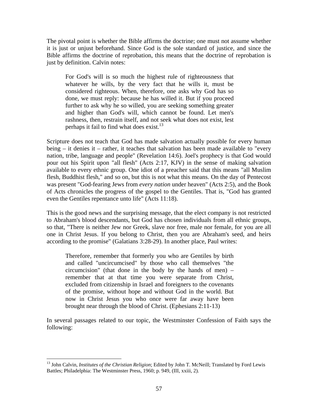The pivotal point is whether the Bible affirms the doctrine; one must not assume whether it is just or unjust beforehand. Since God is the sole standard of justice, and since the Bible affirms the doctrine of reprobation, this means that the doctrine of reprobation is just by definition. Calvin notes:

For God's will is so much the highest rule of righteousness that whatever he wills, by the very fact that he wills it, must be considered righteous. When, therefore, one asks why God has so done, we must reply: because he has willed it. But if you proceed further to ask why he so willed, you are seeking something greater and higher than God's will, which cannot be found. Let men's rashness, then, restrain itself, and not seek what does not exist, lest perhaps it fail to find what does exist.<sup>13</sup>

Scripture does not teach that God has made salvation actually possible for every human being – it denies it – rather, it teaches that salvation has been made available to "every nation, tribe, language and people" (Revelation 14:6). Joel's prophecy is that God would pour out his Spirit upon "all flesh" (Acts 2:17, KJV) in the sense of making salvation available to every ethnic group. One idiot of a preacher said that this means "all Muslim flesh, Buddhist flesh," and so on, but this is not what this means. On the day of Pentecost was present "God-fearing Jews from *every nation* under heaven" (Acts 2:5), and the Book of Acts chronicles the progress of the gospel to the Gentiles. That is, "God has granted even the Gentiles repentance unto life" (Acts 11:18).

This is the good news and the surprising message, that the elect company is not restricted to Abraham's blood descendants, but God has chosen individuals from all ethnic groups, so that, "There is neither Jew nor Greek, slave nor free, male nor female, for you are all one in Christ Jesus. If you belong to Christ, then you are Abraham's seed, and heirs according to the promise" (Galatians 3:28-29). In another place, Paul writes:

Therefore, remember that formerly you who are Gentiles by birth and called "uncircumcised" by those who call themselves "the circumcision" (that done in the body by the hands of men) – remember that at that time you were separate from Christ, excluded from citizenship in Israel and foreigners to the covenants of the promise, without hope and without God in the world. But now in Christ Jesus you who once were far away have been brought near through the blood of Christ. (Ephesians 2:11-13)

In several passages related to our topic, the Westminster Confession of Faith says the following:

<sup>13</sup> John Calvin, *Institutes of the Christian Religion*; Edited by John T. McNeill; Translated by Ford Lewis Battles; Philadelphia: The Westminster Press, 1960; p. 949, (III, xxiii, 2).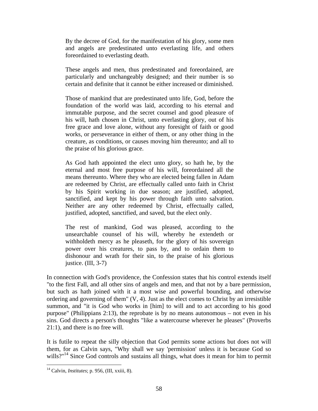By the decree of God, for the manifestation of his glory, some men and angels are predestinated unto everlasting life, and others foreordained to everlasting death.

These angels and men, thus predestinated and foreordained, are particularly and unchangeably designed; and their number is so certain and definite that it cannot be either increased or diminished.

Those of mankind that are predestinated unto life, God, before the foundation of the world was laid, according to his eternal and immutable purpose, and the secret counsel and good pleasure of his will, hath chosen in Christ, unto everlasting glory, out of his free grace and love alone, without any foresight of faith or good works, or perseverance in either of them, or any other thing in the creature, as conditions, or causes moving him thereunto; and all to the praise of his glorious grace.

As God hath appointed the elect unto glory, so hath he, by the eternal and most free purpose of his will, foreordained all the means thereunto. Where they who are elected being fallen in Adam are redeemed by Christ, are effectually called unto faith in Christ by his Spirit working in due season; are justified, adopted, sanctified, and kept by his power through faith unto salvation. Neither are any other redeemed by Christ, effectually called, justified, adopted, sanctified, and saved, but the elect only.

The rest of mankind, God was pleased, according to the unsearchable counsel of his will, whereby he extendeth or withholdeth mercy as he pleaseth, for the glory of his sovereign power over his creatures, to pass by, and to ordain them to dishonour and wrath for their sin, to the praise of his glorious justice. (III, 3-7)

In connection with God's providence, the Confession states that his control extends itself "to the first Fall, and all other sins of angels and men, and that not by a bare permission, but such as hath joined with it a most wise and powerful bounding, and otherwise ordering and governing of them" (V, 4). Just as the elect comes to Christ by an irresistible summon, and "it is God who works in [him] to will and to act according to his good purpose" (Philippians 2:13), the reprobate is by no means autonomous – not even in his sins. God directs a person's thoughts "like a watercourse wherever he pleases" (Proverbs 21:1), and there is no free will.

It is futile to repeat the silly objection that God permits some actions but does not will them, for as Calvin says, "Why shall we say 'permission' unless it is because God so wills?"<sup>14</sup> Since God controls and sustains all things, what does it mean for him to permit

<sup>14</sup> Calvin, *Institutes*; p. 956, (III, xxiii, 8).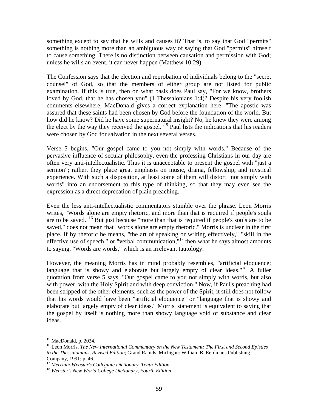something except to say that he wills and causes it? That is, to say that God "permits" something is nothing more than an ambiguous way of saying that God "permits" himself to cause something. There is no distinction between causation and permission with God; unless he wills an event, it can never happen (Matthew 10:29).

The Confession says that the election and reprobation of individuals belong to the "secret counsel" of God, so that the members of either group are not listed for public examination. If this is true, then on what basis does Paul say, "For we know, brothers loved by God, that he has chosen you" (1 Thessalonians 1:4)? Despite his very foolish comments elsewhere, MacDonald gives a correct explanation here: "The apostle was assured that these saints had been chosen by God before the foundation of the world. But how did he know? Did he have some supernatural insight? No, he knew they were among the elect by the way they received the gospel."15 Paul lists the indications that his readers were chosen by God for salvation in the next several verses.

Verse 5 begins, "Our gospel came to you not simply with words." Because of the pervasive influence of secular philosophy, even the professing Christians in our day are often very anti-intellectualistic. Thus it is unacceptable to present the gospel with "just a sermon"; rather, they place great emphasis on music, drama, fellowship, and mystical experience. With such a disposition, at least some of them will distort "not simply with words" into an endorsement to this type of thinking, so that they may even see the expression as a direct deprecation of plain preaching.

Even the less anti-intellectualistic commentators stumble over the phrase. Leon Morris writes, "Words alone are empty rhetoric, and more than that is required if people's souls are to be saved."<sup>16</sup> But just because "more than that is required if people's souls are to be saved," does not mean that "words alone are empty rhetoric." Morris is unclear in the first place. If by rhetoric he means, "the art of speaking or writing effectively," "skill in the effective use of speech," or "verbal communication," $17$  then what he says almost amounts to saying, "Words are words," which is an irrelevant tautology.

However, the meaning Morris has in mind probably resembles, "artificial eloquence; language that is showy and elaborate but largely empty of clear ideas."<sup>18</sup> A fuller quotation from verse 5 says, "Our gospel came to you not simply with words, but also with power, with the Holy Spirit and with deep conviction." Now, if Paul's preaching had been stripped of the other elements, such as the power of the Spirit, it still does not follow that his words would have been "artificial eloquence" or "language that is showy and elaborate but largely empty of clear ideas." Morris' statement is equivalent to saying that the gospel by itself is nothing more than showy language void of substance and clear ideas.

1

<sup>&</sup>lt;sup>15</sup> MacDonald, p. 2024.

<sup>16</sup> Leon Morris, *The New International Commentary on the New Testament: The First and Second Epistles to the Thessalonians, Revised Edition*; Grand Rapids, Michigan: William B. Eerdmans Publishing Company, 1991; p. 46.

<sup>17</sup> *Merriam-Webster's Collegiate Dictionary, Tenth Edition*. <sup>18</sup> *Webster's New World College Dictionary, Fourth Edition*.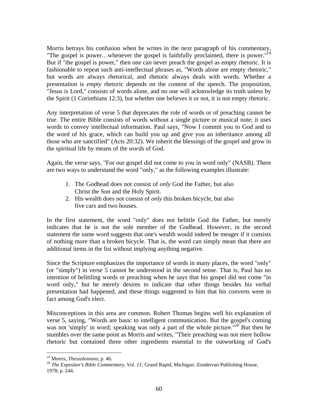Morris betrays his confusion when he writes in the next paragraph of his commentary, "The gospel is power...whenever the gospel is faithfully proclaimed, there is power."<sup>19</sup> But if "the gospel is power," then one can never preach the gospel as empty rhetoric. It is fashionable to repeat such anti-intellectual phrases as, "Words alone are empty rhetoric," but words are always rhetorical, and rhetoric always deals with words. Whether a presentation is *empty* rhetoric depends on the content of the speech. The proposition, "Jesus is Lord," consists of words alone, and no one will acknowledge its truth unless by the Spirit (1 Corinthians 12:3), but whether one believes it or not, it is not empty rhetoric.

Any interpretation of verse 5 that deprecates the role of words or of preaching cannot be true. The entire Bible consists of words without a single picture or musical note; it uses words to convey intellectual information. Paul says, "Now I commit you to God and to the word of his grace, which can build you up and give you an inheritance among all those who are sanctified" (Acts 20:32). We inherit the blessings of the gospel and grow in the spiritual life by means of the *words* of God.

Again, the verse says, "For our gospel did not come to you in word only" (NASB). There are two ways to understand the word "only," as the following examples illustrate:

- 1. The Godhead does not consist of *only* God the Father, but also Christ the Son and the Holy Spirit.
- 2. His wealth does not consist of *only* this broken bicycle, but also five cars and two houses.

In the first statement, the word "only" does not belittle God the Father, but merely indicates that he is not the sole member of the Godhead. However, in the second statement the same word suggests that one's wealth would indeed be meager if it consists of nothing more than a broken bicycle. That is, the word can simply mean that there are additional items in the list without implying anything negative.

Since the Scripture emphasizes the importance of words in many places, the word "only" (or "simply") in verse 5 cannot be understood in the second sense. That is, Paul has no intention of belittling words or preaching when he says that his gospel did not come "in word only," but he merely desires to indicate that other things besides his verbal presentation had happened, and these things suggested to him that his converts were in fact among God's elect.

Misconceptions in this area are common. Robert Thomas begins well his explanation of verse 5, saying, "Words are basic to intelligent communication. But the gospel's coming was not 'simply' in word; speaking was only a part of the whole picture."<sup>20</sup> But then he stumbles over the same point as Morris and writes, "Their preaching was not mere hollow rhetoric but contained three other ingredients essential to the outworking of God's

<sup>&</sup>lt;sup>19</sup> Morris, *Thessalonians*; p. 46.<br><sup>20</sup> *The Expositor's Bible Commentary, Vol. 11*; Grand Rapid, Michigan: Zondervan Publishing House, 1978; p. 244.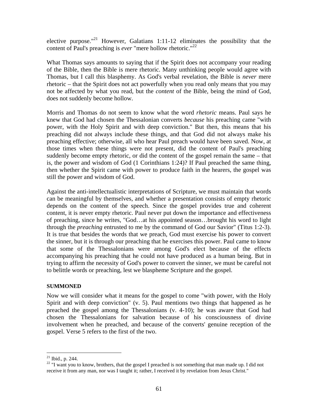elective purpose."<sup>21</sup> However, Galatians 1:11-12 eliminates the possibility that the content of Paul's preaching is *ever* "mere hollow rhetoric."<sup>22</sup>

What Thomas says amounts to saying that if the Spirit does not accompany your reading of the Bible, then the Bible is mere rhetoric. Many unthinking people would agree with Thomas, but I call this blasphemy. As God's verbal revelation, the Bible is *never* mere rhetoric – that the Spirit does not act powerfully when you read only means that you may not be affected by what you read, but the *content* of the Bible, being the mind of God, does not suddenly become hollow.

Morris and Thomas do not seem to know what the word *rhetoric* means. Paul says he knew that God had chosen the Thessalonian converts *because* his preaching came "with power, with the Holy Spirit and with deep conviction." But then, this means that his preaching did not always include these things, and that God did not always make his preaching effective; otherwise, all who hear Paul preach would have been saved. Now, at those times when these things were not present, did the content of Paul's preaching suddenly become empty rhetoric, or did the content of the gospel remain the same – that is, the power and wisdom of God (1 Corinthians 1:24)? If Paul preached the same thing, then whether the Spirit came with power to produce faith in the hearers, the gospel was still the power and wisdom of God.

Against the anti-intellectualistic interpretations of Scripture, we must maintain that words can be meaningful by themselves, and whether a presentation consists of empty rhetoric depends on the content of the speech. Since the gospel provides true and coherent content, it is never empty rhetoric. Paul never put down the importance and effectiveness of preaching, since he writes, "God…at his appointed season…brought his word to light through the *preaching* entrusted to me by the command of God our Savior" (Titus 1:2-3). It is true that besides the words that we preach, God must exercise his power to convert the sinner, but it is through our preaching that he exercises this power. Paul came to know that some of the Thessalonians were among God's elect because of the effects accompanying his preaching that he could not have produced as a human being. But in trying to affirm the necessity of God's power to convert the sinner, we must be careful not to belittle words or preaching, lest we blaspheme Scripture and the gospel.

### **SUMMONED**

Now we will consider what it means for the gospel to come "with power, with the Holy Spirit and with deep conviction" (v. 5). Paul mentions two things that happened as he preached the gospel among the Thessalonians (v. 4-10); he was aware that God had chosen the Thessalonians for salvation because of his consciousness of divine involvement when he preached, and because of the converts' genuine reception of the gospel. Verse 5 refers to the first of the two.

 $21$  Ibid., p. 244.

<sup>&</sup>lt;sup>22</sup> "I want you to know, brothers, that the gospel I preached is not something that man made up. I did not receive it from any man, nor was I taught it; rather, I received it by revelation from Jesus Christ."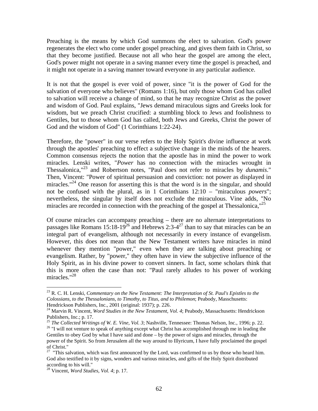Preaching is the means by which God summons the elect to salvation. God's power regenerates the elect who come under gospel preaching, and gives them faith in Christ, so that they become justified. Because not all who hear the gospel are among the elect, God's power might not operate in a saving manner every time the gospel is preached, and it might not operate in a saving manner toward everyone in any particular audience.

It is not that the gospel is ever void of power, since "it is the power of God for the salvation of everyone who believes" (Romans 1:16), but only those whom God has called to salvation will receive a change of mind, so that he may recognize Christ as the power and wisdom of God. Paul explains, "Jews demand miraculous signs and Greeks look for wisdom, but we preach Christ crucified: a stumbling block to Jews and foolishness to Gentiles, but to those whom God has called, both Jews and Greeks, Christ the power of God and the wisdom of God" (1 Corinthians 1:22-24).

Therefore, the "power" in our verse refers to the Holy Spirit's divine influence at work through the apostles' preaching to effect a subjective change in the minds of the hearers. Common consensus rejects the notion that the apostle has in mind the power to work miracles. Lenski writes, "*Power* has no connection with the miracles wrought in Thessalonica,"23 and Robertson notes, "Paul does not refer to miracles by *dunamis*." Then, Vincent: "Power of spiritual persuasion and conviction: not power as displayed in miracles."<sup>24</sup> One reason for asserting this is that the word is in the singular, and should not be confused with the plural, as in 1 Corinthians 12:10 – "miraculous *powers*"; nevertheless, the singular by itself does not exclude the miraculous. Vine adds, "No miracles are recorded in connection with the preaching of the gospel at Thessalonica, $^{25}$ 

Of course miracles can accompany preaching – there are no alternate interpretations to passages like Romans  $15:18-19^{26}$  and Hebrews  $2:3-4^{27}$  than to say that miracles can be an integral part of evangelism, although not necessarily in every instance of evangelism. However, this does not mean that the New Testament writers have miracles in mind whenever they mention "power," even when they are talking about preaching or evangelism. Rather, by "power," they often have in view the subjective influence of the Holy Spirit, as in his divine power to convert sinners. In fact, some scholars think that this is more often the case than not: "Paul rarely alludes to his power of working miracles."28

<sup>23</sup> R. C. H. Lenski, *Commentary on the New Testament: The Interpretation of St. Paul's Epistles to the Colossians, to the Thessalonians, to Timothy, to Titus, and to Philemon*; Peabody, Masschusetts: Hendrickson Publishers, Inc., 2001 (original: 1937); p. 226.

<sup>&</sup>lt;sup>24</sup> Marvin R. Vincent, *Word Studies in the New Testament, Vol. 4*; Peabody, Massachusetts: Hendrickson Publishers, Inc.; p. 17.<br><sup>25</sup> The Collected Writings of W. E. Vine, Vol. 3; Nashville, Tennessee: Thomas Nelson, Inc., 1996; p. 22.

<sup>&</sup>lt;sup>26</sup> "I will not venture to speak of anything except what Christ has accomplished through me in leading the Gentiles to obey God by what I have said and done – by the power of signs and miracles, through the power of the Spirit. So from Jerusalem all the way around to Illyricum, I have fully proclaimed the gospel of Christ."

<sup>&</sup>lt;sup>27</sup> "This salvation, which was first announced by the Lord, was confirmed to us by those who heard him. God also testified to it by signs, wonders and various miracles, and gifts of the Holy Spirit distributed according to his will."

<sup>28</sup> Vincent, *Word Studies, Vol. 4*; p. 17.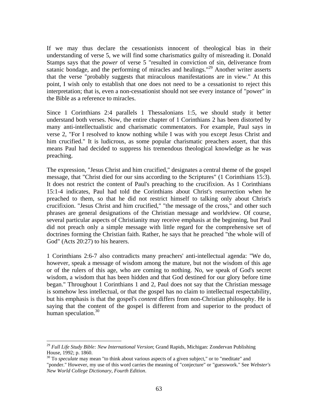If we may thus declare the cessationists innocent of theological bias in their understanding of verse 5, we will find some charismatics guilty of misreading it. Donald Stamps says that the *power* of verse 5 "resulted in conviction of sin, deliverance from satanic bondage, and the performing of miracles and healings."<sup>29</sup> Another writer asserts that the verse "probably suggests that miraculous manifestations are in view." At this point, I wish only to establish that one does not need to be a cessationist to reject this interpretation; that is, even a non-cessationist should not see every instance of "power" in the Bible as a reference to miracles.

Since 1 Corinthians 2:4 parallels 1 Thessalonians 1:5, we should study it better understand both verses. Now, the entire chapter of 1 Corinthians 2 has been distorted by many anti-intellectualistic and charismatic commentators. For example, Paul says in verse 2, "For I resolved to know nothing while I was with you except Jesus Christ and him crucified." It is ludicrous, as some popular charismatic preachers assert, that this means Paul had decided to suppress his tremendous theological knowledge as he was preaching.

The expression, "Jesus Christ and him crucified," designates a central theme of the gospel message, that "Christ died for our sins according to the Scriptures" (1 Corinthians 15:3). It does not restrict the content of Paul's preaching to the crucifixion. As 1 Corinthians 15:1-4 indicates, Paul had told the Corinthians about Christ's resurrection when he preached to them, so that he did not restrict himself to talking only about Christ's crucifixion. "Jesus Christ and him crucified," "the message of the cross," and other such phrases are general designations of the Christian message and worldview. Of course, several particular aspects of Christianity may receive emphasis at the beginning, but Paul did not preach only a simple message with little regard for the comprehensive set of doctrines forming the Christian faith. Rather, he says that he preached "the whole will of God" (Acts 20:27) to his hearers.

1 Corinthians 2:6-7 also contradicts many preachers' anti-intellectual agenda: "We do, however, speak a message of wisdom among the mature, but not the wisdom of this age or of the rulers of this age, who are coming to nothing. No, we speak of God's secret wisdom, a wisdom that has been hidden and that God destined for our glory before time began." Throughout 1 Corinthians 1 and 2, Paul does not say that the Christian message is somehow less intellectual, or that the gospel has no claim to intellectual respectability, but his emphasis is that the gospel's *content* differs from non-Christian philosophy. He is saying that the content of the gospel is different from and superior to the product of human speculation. $30$ 

<sup>29</sup> *Full Life Study Bible: New International Version*; Grand Rapids, Michigan: Zondervan Publishing House, 1992; p. 1860.

<sup>&</sup>lt;sup>30</sup> To *speculate* may mean "to think about various aspects of a given subject," or to "meditate" and "ponder." However, my use of this word carries the meaning of "conjecture" or "guesswork." See *Webster's New World College Dictionary, Fourth Edition*.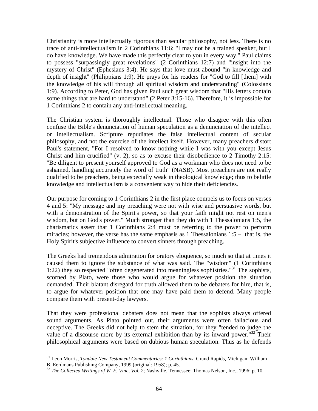Christianity is more intellectually rigorous than secular philosophy, not less. There is no trace of anti-intellectualism in 2 Corinthians 11:6: "I may not be a trained speaker, but I do have knowledge. We have made this perfectly clear to you in every way." Paul claims to possess "surpassingly great revelations" (2 Corinthians 12:7) and "insight into the mystery of Christ" (Ephesians 3:4). He says that love must abound "in knowledge and depth of insight" (Philippians 1:9). He prays for his readers for "God to fill [them] with the knowledge of his will through all spiritual wisdom and understanding" (Colossians 1:9). According to Peter, God has given Paul such great wisdom that "His letters contain some things that are hard to understand" (2 Peter 3:15-16). Therefore, it is impossible for 1 Corinthians 2 to contain any anti-intellectual meaning.

The Christian system is thoroughly intellectual. Those who disagree with this often confuse the Bible's denunciation of human speculation as a denunciation of the intellect or intellectualism. Scripture repudiates the false intellectual content of secular philosophy, and not the exercise of the intellect itself. However, many preachers distort Paul's statement, "For I resolved to know nothing while I was with you except Jesus Christ and him crucified" (v. 2), so as to excuse their disobedience to 2 Timothy 2:15: "Be diligent to present yourself approved to God as a workman who does not need to be ashamed, handling accurately the word of truth" (NASB). Most preachers are not really qualified to be preachers, being especially weak in theological knowledge; thus to belittle knowledge and intellectualism is a convenient way to hide their deficiencies.

Our purpose for coming to 1 Corinthians 2 in the first place compels us to focus on verses 4 and 5: "My message and my preaching were not with wise and persuasive words, but with a demonstration of the Spirit's power, so that your faith might not rest on men's wisdom, but on God's power." Much stronger than they do with 1 Thessalonians 1:5, the charismatics assert that 1 Corinthians 2:4 must be referring to the power to perform miracles; however, the verse has the same emphasis as 1 Thessalonians 1:5 – that is, the Holy Spirit's subjective influence to convert sinners through preaching.

The Greeks had tremendous admiration for oratory eloquence, so much so that at times it caused them to ignore the substance of what was said. The "wisdom" (1 Corinthians 1:22) they so respected "often degenerated into meaningless sophistries."<sup>31</sup> The sophists, scorned by Plato, were those who would argue for whatever position the situation demanded. Their blatant disregard for truth allowed them to be debaters for hire, that is, to argue for whatever position that one may have paid them to defend. Many people compare them with present-day lawyers.

That they were professional debaters does not mean that the sophists always offered sound arguments. As Plato pointed out, their arguments were often fallacious and deceptive. The Greeks did not help to stem the situation, for they "tended to judge the value of a discourse more by its external exhibition than by its inward power.<sup>"32</sup> Their philosophical arguments were based on dubious human speculation. Thus as he defends

1

<sup>31</sup> Leon Morris, *Tyndale New Testament Commentaries: 1 Corinthians*; Grand Rapids, Michigan: William B. Eerdmans Publishing Company, 1999 (original: 1958); p. 45.

<sup>&</sup>lt;sup>32</sup> The Collected Writings of W. E. Vine, Vol. 2; Nashville, Tennessee: Thomas Nelson, Inc., 1996; p. 10.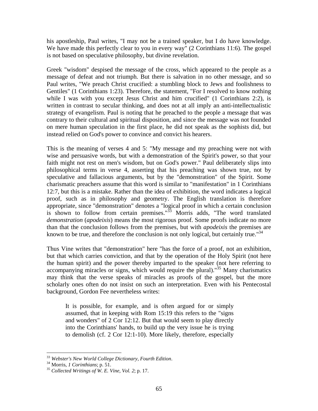his apostleship, Paul writes, "I may not be a trained speaker, but I do have knowledge. We have made this perfectly clear to you in every way" (2 Corinthians 11:6). The gospel is not based on speculative philosophy, but divine revelation.

Greek "wisdom" despised the message of the cross, which appeared to the people as a message of defeat and not triumph. But there is salvation in no other message, and so Paul writes, "We preach Christ crucified: a stumbling block to Jews and foolishness to Gentiles" (1 Corinthians 1:23). Therefore, the statement, "For I resolved to know nothing while I was with you except Jesus Christ and him crucified" (1 Corinthians 2:2), is written in contrast to secular thinking, and does not at all imply an anti-intellectualistic strategy of evangelism. Paul is noting that he preached to the people a message that was contrary to their cultural and spiritual disposition, and since the message was not founded on mere human speculation in the first place, he did not speak as the sophists did, but instead relied on God's power to convince and convict his hearers.

This is the meaning of verses 4 and 5: "My message and my preaching were not with wise and persuasive words, but with a demonstration of the Spirit's power, so that your faith might not rest on men's wisdom, but on God's power." Paul deliberately slips into philosophical terms in verse 4, asserting that his preaching was shown true, not by speculative and fallacious arguments, but by the "demonstration" of the Spirit. Some charismatic preachers assume that this word is similar to "manifestation" in 1 Corinthians 12:7, but this is a mistake. Rather than the idea of exhibition, the word indicates a logical proof, such as in philosophy and geometry. The English translation is therefore appropriate, since "demonstration" denotes a "logical proof in which a certain conclusion is shown to follow from certain premises."33 Morris adds, "The word translated *demonstration* (*apodeixis*) means the most rigorous proof. Some proofs indicate no more than that the conclusion follows from the premises, but with *apodeixis* the premises are known to be true, and therefore the conclusion is not only logical, but certainly true."<sup>34</sup>

Thus Vine writes that "demonstration" here "has the force of a proof, not an exhibition, but that which carries conviction, and that by the operation of the Holy Spirit (not here the human spirit) and the power thereby imparted to the speaker (not here referring to accompanying miracles or signs, which would require the plural)."<sup>35</sup> Many charismatics may think that the verse speaks of miracles as proofs of the gospel, but the more scholarly ones often do not insist on such an interpretation. Even with his Pentecostal background, Gordon Fee nevertheless writes:

It is possible, for example, and is often argued for or simply assumed, that in keeping with Rom 15:19 this refers to the "signs and wonders" of 2 Cor 12:12. But that would seem to play directly into the Corinthians' hands, to build up the very issue he is trying to demolish (cf. 2 Cor 12:1-10). More likely, therefore, especially

 $\overline{a}$ <sup>33</sup> *Webster's New World College Dictionary, Fourth Edition*. 34 Morris, *1 Corinthians*; p. 51. <sup>35</sup> *Collected Writings of W. E. Vine, Vol. 2*; p. 17.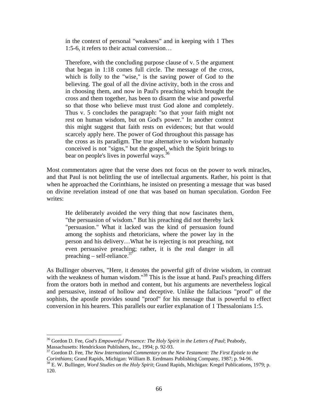in the context of personal "weakness" and in keeping with 1 Thes 1:5-6, it refers to their actual conversion…

Therefore, with the concluding purpose clause of v. 5 the argument that began in 1:18 comes full circle. The message of the cross, which is folly to the "wise," is the saving power of God to the believing. The goal of all the divine activity, both in the cross and in choosing them, and now in Paul's preaching which brought the cross and them together, has been to disarm the wise and powerful so that those who believe must trust God alone and completely. Thus v. 5 concludes the paragraph: "so that your faith might not rest on human wisdom, but on God's power." In another context this might suggest that faith rests on evidences; but that would scarcely apply here. The power of God throughout this passage has the cross as its paradigm. The true alternative to wisdom humanly conceived is not "signs," but the gospel, which the Spirit brings to bear on people's lives in powerful ways.<sup>36</sup>

Most commentators agree that the verse does not focus on the power to work miracles, and that Paul is not belittling the use of intellectual arguments. Rather, his point is that when he approached the Corinthians, he insisted on presenting a message that was based on divine revelation instead of one that was based on human speculation. Gordon Fee writes:

He deliberately avoided the very thing that now fascinates them, "the persuasion of wisdom." But his preaching did not thereby lack "persuasion." What it lacked was the kind of persuasion found among the sophists and rhetoricians, where the power lay in the person and his delivery…What he is rejecting is not preaching, not even persuasive preaching; rather, it is the real danger in all preaching – self-reliance.<sup>37</sup>

As Bullinger observes, "Here, it denotes the powerful gift of divine wisdom, in contrast with the weakness of human wisdom."<sup>38</sup> This is the issue at hand. Paul's preaching differs from the orators both in method and content, but his arguments are nevertheless logical and persuasive, instead of hollow and deceptive. Unlike the fallacious "proof" of the sophists, the apostle provides sound "proof" for his message that is powerful to effect conversion in his hearers. This parallels our earlier explanation of 1 Thessalonians 1:5.

36 Gordon D. Fee, *God's Empowerful Presence: The Holy Spirit in the Letters of Paul*; Peabody, Massachusetts: Hendrickson Publishers, Inc., 1994; p. 92-93.

<sup>&</sup>lt;sup>37</sup> Gordon D. Fee, *The New International Commentary on the New Testament: The First Epistle to the Corinthians; Grand Rapids, Michigan: William B. Eerdmans Publishing Company, 1987; p. 94-96.* 

<sup>&</sup>lt;sup>38</sup> E. W. Bullinger, *Word Studies on the Holy Spirit*; Grand Rapids, Michigan: Kregel Publications, 1979; p. 120.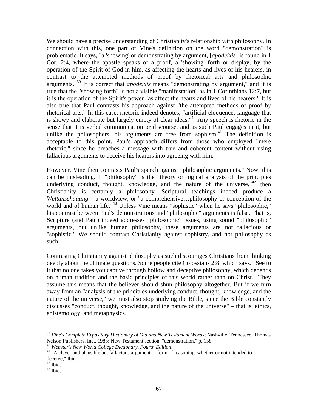We should have a precise understanding of Christianity's relationship with philosophy. In connection with this, one part of Vine's definition on the word "demonstration" is problematic. It says, "a 'showing' or demonstrating by argument, [*apodeixis*] is found in 1 Cor. 2:4, where the apostle speaks of a proof, a 'showing' forth or display, by the operation of the Spirit of God in him, as affecting the hearts and lives of his hearers, in contrast to the attempted methods of proof by rhetorical arts and philosophic arguments."39 It is correct that *apodeixis* means "demonstrating by argument," and it is true that the "showing forth" is not a visible "manifestation" as in 1 Corinthians 12:7, but it is the operation of the Spirit's power "as affect the hearts and lives of his hearers." It is also true that Paul contrasts his approach against "the attempted methods of proof by rhetorical arts." In this case, rhetoric indeed denotes, "artificial eloquence; language that is showy and elaborate but largely empty of clear ideas."40 Any speech is rhetoric in the sense that it is verbal communication or discourse, and as such Paul engages in it, but unlike the philosophers, his arguments are free from sophism. $41$  The definition is acceptable to this point. Paul's approach differs from those who employed "mere rhetoric," since he preaches a message with true and coherent content without using fallacious arguments to deceive his hearers into agreeing with him.

However, Vine then contrasts Paul's speech against "philosophic arguments." Now, this can be misleading. If "philosophy" is the "theory or logical analysis of the principles underlying conduct, thought, knowledge, and the nature of the universe,  $142$  then Christianity is certainly a philosophy. Scriptural teachings indeed produce a *Weltanschauung* – a worldview, or "a comprehensive…philosophy or conception of the world and of human life."<sup>43</sup> Unless Vine means "sophistic" when he says "philosophic," his contrast between Paul's demonstrations and "philosophic" arguments is false. That is, Scripture (and Paul) indeed addresses "philosophic" issues, using sound "philosophic" arguments, but unlike human philosophy, these arguments are not fallacious or "sophistic." We should contrast Christianity against sophistry, and not philosophy as such.

Contrasting Christianity against philosophy as such discourages Christians from thinking deeply about the ultimate questions. Some people cite Colossians 2:8, which says, "See to it that no one takes you captive through hollow and deceptive philosophy, which depends on human tradition and the basic principles of this world rather than on Christ." They assume this means that the believer should shun philosophy altogether. But if we turn away from an "analysis of the principles underlying conduct, thought, knowledge, and the nature of the universe," we must also stop studying the Bible, since the Bible constantly discusses "conduct, thought, knowledge, and the nature of the universe" – that is, ethics, epistemology, and metaphysics.

<sup>39</sup> *Vine's Complete Expository Dictionary of Old and New Testament Words*; Nashville, Tennessee: Thomas Nelson Publishers, Inc., 1985; New Testament section, "demonstration," p. 158.<br><sup>40</sup> Webster's New World College Dictionary, Fourth Edition.

<sup>&</sup>lt;sup>41</sup> "A clever and plausible but fallacious argument or form of reasoning, whether or not intended to deceive," Ibid.

 $^{42}$  Ibid.

 $^{43}$  Ibid.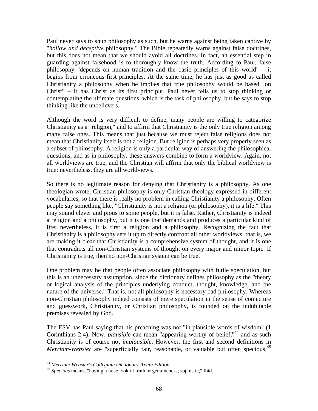Paul never says to shun philosophy as such, but he warns against being taken captive by "*hollow and deceptive* philosophy." The Bible repeatedly warns against false doctrines, but this does not mean that we should avoid all doctrines. In fact, an essential step in guarding against falsehood is to thoroughly know the truth. According to Paul, false philosophy "depends on human tradition and the basic principles of this world" – it begins from erroneous first principles. At the same time, he has just as good as called Christianity a philosophy when he implies that true philosophy would be based "on Christ" – it has Christ as its first principle. Paul never tells us to stop thinking or contemplating the ultimate questions, which is the task of philosophy, but he says to stop thinking like the unbelievers.

Although the word is very difficult to define, many people are willing to categorize Christianity as a "religion," and to affirm that Christianity is the only true religion among many false ones. This means that just because we must reject false religions does not mean that Christianity itself is not a religion. But religion is perhaps very properly seen as a subset of philosophy. A religion is only a particular way of answering the philosophical questions, and as in philosophy, these answers combine to form a worldview. Again, not all worldviews are true, and the Christian will affirm that only the biblical worldview is true; nevertheless, they are all worldviews.

So there is no legitimate reason for denying that Christianity is a philosophy. As one theologian wrote, Christian philosophy is only Christian theology expressed in different vocabularies, so that there is really no problem in calling Christianity a philosophy. Often people say something like, "Christianity is not a religion (or philosophy), it is a life." This may sound clever and pious to some people, but it is false. Rather, Christianity is indeed a religion and a philosophy, but it is one that demands and produces a particular kind of life; nevertheless, it is first a religion and a philosophy. Recognizing the fact that Christianity is a philosophy sets it up to directly confront all other worldviews; that is, we are making it clear that Christianity is a comprehensive system of thought, and it is one that contradicts all non-Christian systems of thought on every major and minor topic. If Christianity is true, then no non-Christian system can be true.

One problem may be that people often associate philosophy with futile speculation, but this is an unnecessary assumption, since the dictionary defines philosophy as the "theory or logical analysis of the principles underlying conduct, thought, knowledge, and the nature of the universe." That is, not all philosophy is necessary bad philosophy. Whereas non-Christian philosophy indeed consists of mere speculation in the sense of conjecture and guesswork, Christianity, or Christian philosophy, is founded on the indubitable premises revealed by God.

The ESV has Paul saying that his preaching was not "in plausible words of wisdom" (1 Corinthians 2:4). Now, *plausible* can mean "appearing worthy of belief,"<sup>44</sup> and as such Christianity is of course not *implausible*. However, the first and second definitions in *Merriam-Webster* are "superficially fair, reasonable, or valuable but often specious;<sup>45</sup>

<sup>&</sup>lt;sup>44</sup> Merriam-Webster's Collegiate Dictionary, Tenth Edition.

<sup>&</sup>lt;sup>45</sup> Specious means, "having a false look of truth or genuineness; sophistic," Ibid.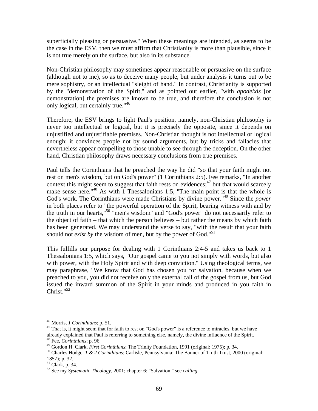superficially pleasing or persuasive." When these meanings are intended, as seems to be the case in the ESV, then we must affirm that Christianity is more than plausible, since it is not true merely on the surface, but also in its substance.

Non-Christian philosophy may sometimes appear reasonable or persuasive on the surface (although not to me), so as to deceive many people, but under analysis it turns out to be mere sophistry, or an intellectual "sleight of hand." In contrast, Christianity is supported by the "demonstration of the Spirit," and as pointed out earlier, "with *apodeixis* [or demonstration] the premises are known to be true, and therefore the conclusion is not only logical, but certainly true."<sup>46</sup>

Therefore, the ESV brings to light Paul's position, namely, non-Christian philosophy is never too intellectual or logical, but it is precisely the opposite, since it depends on unjustified and unjustifiable premises. Non-Christian thought is not intellectual or logical enough; it convinces people not by sound arguments, but by tricks and fallacies that nevertheless appear compelling to those unable to see through the deception. On the other hand, Christian philosophy draws necessary conclusions from true premises.

Paul tells the Corinthians that he preached the way he did "so that your faith might not rest on men's wisdom, but on God's power" (1 Corinthians 2:5). Fee remarks, "In another context this might seem to suggest that faith rests on evidences;  $47$  but that would scarcely make sense here."<sup>48</sup> As with 1 Thessalonians 1:5, "The main point is that the whole is God's work. The Corinthians were made Christians by divine power."49 Since the *power* in both places refer to "the powerful operation of the Spirit, bearing witness with and by the truth in our hearts,"<sup>50</sup> "men's wisdom" and "God's power" do not necessarily refer to the object of faith – that which the person believes – but rather the means by which faith has been generated. We may understand the verse to say, "with the result that your faith should not *exist by* the wisdom of men, but by the power of God."<sup>51</sup>

This fulfills our purpose for dealing with 1 Corinthians 2:4-5 and takes us back to 1 Thessalonians 1:5, which says, "Our gospel came to you not simply with words, but also with power, with the Holy Spirit and with deep conviction." Using theological terms, we may paraphrase, "We know that God has chosen you for salvation, because when we preached to you, you did not receive only the external call of the gospel from us, but God issued the inward summon of the Spirit in your minds and produced in you faith in Christ."<sup>52</sup>

 $\overline{a}$ 

<sup>&</sup>lt;sup>46</sup> Morris, *1 Corinthians*; p. 51.<br><sup>47</sup> That is, it might seem that for faith to rest on "God's power" is a reference to miracles, but we have already explained that Paul is referring to something else, namely, the divine influence of the Spirit. 48 Fee, *Corinthians*; p. 96.

<sup>&</sup>lt;sup>49</sup> Gordon H. Clark, *First Corinthians*; The Trinity Foundation, 1991 (original: 1975); p. 34.<br><sup>50</sup> Charles Hodge, *1 & 2 Corinthians*; Carlisle, Pennsylvania: The Banner of Truth Trust, 2000 (original: 1857); p. 32.

<sup>51</sup> Clark, p. 34.

<sup>52</sup> See my *Systematic Theology*, 2001; chapter 6: "Salvation," see *calling*.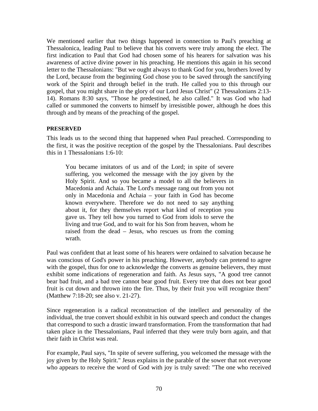We mentioned earlier that two things happened in connection to Paul's preaching at Thessalonica, leading Paul to believe that his converts were truly among the elect. The first indication to Paul that God had chosen some of his hearers for salvation was his awareness of active divine power in his preaching. He mentions this again in his second letter to the Thessalonians: "But we ought always to thank God for you, brothers loved by the Lord, because from the beginning God chose you to be saved through the sanctifying work of the Spirit and through belief in the truth. He called you to this through our gospel, that you might share in the glory of our Lord Jesus Christ" (2 Thessalonians 2:13- 14). Romans 8:30 says, "Those he predestined, he also called." It was God who had called or summoned the converts to himself by irresistible power, although he does this through and by means of the preaching of the gospel.

### **PRESERVED**

This leads us to the second thing that happened when Paul preached. Corresponding to the first, it was the positive reception of the gospel by the Thessalonians. Paul describes this in 1 Thessalonians 1:6-10:

You became imitators of us and of the Lord; in spite of severe suffering, you welcomed the message with the joy given by the Holy Spirit. And so you became a model to all the believers in Macedonia and Achaia. The Lord's message rang out from you not only in Macedonia and Achaia – your faith in God has become known everywhere. Therefore we do not need to say anything about it, for they themselves report what kind of reception you gave us. They tell how you turned to God from idols to serve the living and true God, and to wait for his Son from heaven, whom he raised from the dead – Jesus, who rescues us from the coming wrath.

Paul was confident that at least some of his hearers were ordained to salvation because he was conscious of God's power in his preaching. However, anybody can pretend to agree with the gospel, thus for one to acknowledge the converts as genuine believers, they must exhibit some indications of regeneration and faith. As Jesus says, "A good tree cannot bear bad fruit, and a bad tree cannot bear good fruit. Every tree that does not bear good fruit is cut down and thrown into the fire. Thus, by their fruit you will recognize them" (Matthew 7:18-20; see also v. 21-27).

Since regeneration is a radical reconstruction of the intellect and personality of the individual, the true convert should exhibit in his outward speech and conduct the changes that correspond to such a drastic inward transformation. From the transformation that had taken place in the Thessalonians, Paul inferred that they were truly born again, and that their faith in Christ was real.

For example, Paul says, "In spite of severe suffering, you welcomed the message with the joy given by the Holy Spirit." Jesus explains in the parable of the sower that not everyone who appears to receive the word of God with joy is truly saved: "The one who received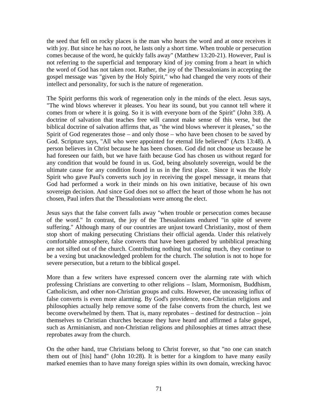the seed that fell on rocky places is the man who hears the word and at once receives it with joy. But since he has no root, he lasts only a short time. When trouble or persecution comes because of the word, he quickly falls away" (Matthew 13:20-21). However, Paul is not referring to the superficial and temporary kind of joy coming from a heart in which the word of God has not taken root. Rather, the joy of the Thessalonians in accepting the gospel message was "given by the Holy Spirit," who had changed the very roots of their intellect and personality, for such is the nature of regeneration.

The Spirit performs this work of regeneration only in the minds of the elect. Jesus says, "The wind blows wherever it pleases. You hear its sound, but you cannot tell where it comes from or where it is going. So it is with everyone born of the Spirit" (John 3:8). A doctrine of salvation that teaches free will cannot make sense of this verse, but the biblical doctrine of salvation affirms that, as "the wind blows wherever it pleases," so the Spirit of God regenerates those – and only those – who have been chosen to be saved by God. Scripture says, "All who were appointed for eternal life believed" (Acts 13:48). A person believes in Christ because he has been chosen. God did not choose us because he had foreseen our faith, but we have faith because God has chosen us without regard for any condition that would be found in us. God, being absolutely sovereign, would be the ultimate cause for any condition found in us in the first place. Since it was the Holy Spirit who gave Paul's converts such joy in receiving the gospel message, it means that God had performed a work in their minds on his own initiative, because of his own sovereign decision. And since God does not so affect the heart of those whom he has not chosen, Paul infers that the Thessalonians were among the elect.

Jesus says that the false convert falls away "when trouble or persecution comes because of the word." In contrast, the joy of the Thessalonians endured "in spite of severe suffering." Although many of our countries are unjust toward Christianity, most of them stop short of making persecuting Christians their official agenda. Under this relatively comfortable atmosphere, false converts that have been gathered by unbiblical preaching are not sifted out of the church. Contributing nothing but costing much, they continue to be a vexing but unacknowledged problem for the church. The solution is not to hope for severe persecution, but a return to the biblical gospel.

More than a few writers have expressed concern over the alarming rate with which professing Christians are converting to other religions – Islam, Mormonism, Buddhism, Catholicism, and other non-Christian groups and cults. However, the unceasing influx of false converts is even more alarming. By God's providence, non-Christian religions and philosophies actually help remove some of the false converts from the church, lest we become overwhelmed by them. That is, many reprobates – destined for destruction – join themselves to Christian churches because they have heard and affirmed a false gospel, such as Arminianism, and non-Christian religions and philosophies at times attract these reprobates away from the church.

On the other hand, true Christians belong to Christ forever, so that "no one can snatch them out of [his] hand" (John 10:28). It is better for a kingdom to have many easily marked enemies than to have many foreign spies within its own domain, wrecking havoc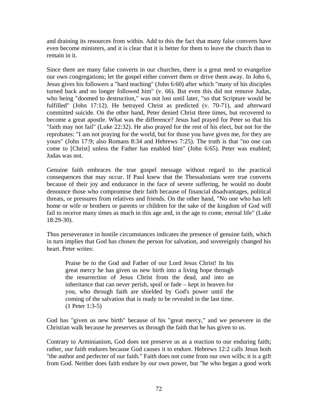and draining its resources from within. Add to this the fact that many false converts have even become ministers, and it is clear that it is better for them to leave the church than to remain in it.

Since there are many false converts in our churches, there is a great need to evangelize our own congregations; let the gospel either convert them or drive them away. In John 6, Jesus gives his followers a "hard teaching" (John 6:60) after which "many of his disciples turned back and no longer followed him" (v. 66). But even this did not remove Judas, who being "doomed to destruction," was not lost until later, "so that Scripture would be fulfilled" (John 17:12). He betrayed Christ as predicted (v. 70-71), and afterward committed suicide. On the other hand, Peter denied Christ three times, but recovered to become a great apostle. What was the difference? Jesus had prayed for Peter so that his "faith may not fail" (Luke 22:32). He also prayed for the rest of his elect, but not for the reprobates: "I am not praying for the world, but for those you have given me, for they are yours" (John 17:9; also Romans 8:34 and Hebrews 7:25). The truth is that "no one can come to [Christ] unless the Father has enabled him" (John 6:65). Peter was enabled; Judas was not.

Genuine faith embraces the true gospel message without regard to the practical consequences that may occur. If Paul knew that the Thessalonians were true converts because of their joy and endurance in the face of severe suffering, he would no doubt denounce those who compromise their faith because of financial disadvantages, political threats, or pressures from relatives and friends. On the other hand, "No one who has left home or wife or brothers or parents or children for the sake of the kingdom of God will fail to receive many times as much in this age and, in the age to come, eternal life" (Luke 18:29-30).

Thus perseverance in hostile circumstances indicates the presence of genuine faith, which in turn implies that God has chosen the person for salvation, and sovereignly changed his heart. Peter writes:

Praise be to the God and Father of our Lord Jesus Christ! In his great mercy he has given us new birth into a living hope through the resurrection of Jesus Christ from the dead, and into an inheritance that can never perish, spoil or fade – kept in heaven for you, who through faith are shielded by God's power until the coming of the salvation that is ready to be revealed in the last time. (1 Peter 1:3-5)

God has "given us new birth" because of his "great mercy," and we persevere in the Christian walk because he preserves us through the faith that he has given to us.

Contrary to Arminianism, God does not preserve us as a reaction to our enduring faith; rather, our faith endures because God causes it to endure. Hebrews 12:2 calls Jesus both "the author and perfecter of our faith." Faith does not come from our own wills; it is a gift from God. Neither does faith endure by our own power, but "he who began a good work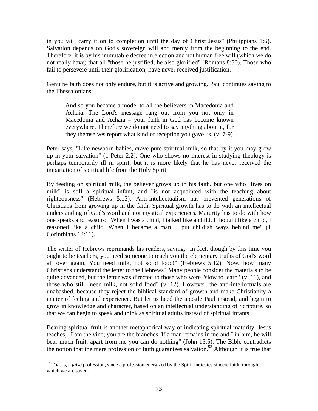in you will carry it on to completion until the day of Christ Jesus" (Philippians 1:6). Salvation depends on God's sovereign will and mercy from the beginning to the end. Therefore, it is by his immutable decree in election and not human free will (which we do not really have) that all "those he justified, he also glorified" (Romans 8:30). Those who fail to persevere until their glorification, have never received justification.

Genuine faith does not only endure, but it is active and growing. Paul continues saying to the Thessalonians:

And so you became a model to all the believers in Macedonia and Achaia. The Lord's message rang out from you not only in Macedonia and Achaia – your faith in God has become known everywhere. Therefore we do not need to say anything about it, for they themselves report what kind of reception you gave us. (v. 7-9)

Peter says, "Like newborn babies, crave pure spiritual milk, so that by it you may grow up in your salvation" (1 Peter 2:2). One who shows no interest in studying theology is perhaps temporarily ill in spirit, but it is more likely that he has never received the impartation of spiritual life from the Holy Spirit.

By feeding on spiritual milk, the believer grows up in his faith, but one who "lives on milk" is still a spiritual infant, and "is not acquainted with the teaching about righteousness" (Hebrews 5:13). Anti-intellectualism has prevented generations of Christians from growing up in the faith. Spiritual growth has to do with an intellectual understanding of God's word and not mystical experiences. Maturity has to do with how one speaks and reasons: "When I was a child, I talked like a child, I thought like a child, I reasoned like a child. When I became a man, I put childish ways behind me" (1 Corinthians 13:11).

The writer of Hebrews reprimands his readers, saying, "In fact, though by this time you ought to be teachers, you need someone to teach you the elementary truths of God's word all over again. You need milk, not solid food!" (Hebrews 5:12). Now, how many Christians understand the letter to the Hebrews? Many people consider the materials to be quite advanced, but the letter was directed to those who were "slow to learn" (v. 11), and those who still "need milk, not solid food" (v. 12). However, the anti-intellectuals are unabashed, because they reject the biblical standard of growth and make Christianity a matter of feeling and experience. But let us heed the apostle Paul instead, and begin to grow in knowledge and character, based on an intellectual understanding of Scripture, so that we can begin to speak and think as spiritual adults instead of spiritual infants.

Bearing spiritual fruit is another metaphorical way of indicating spiritual maturity. Jesus teaches, "I am the vine; you are the branches. If a man remains in me and I in him, he will bear much fruit; apart from me you can do nothing" (John 15:5). The Bible contradicts the notion that the mere profession of faith guarantees salvation.<sup>53</sup> Although it is true that

 $\overline{a}$ 

<sup>53</sup> That is, a *false* profession, since a profession energized by the Spirit indicates sincere faith, through which we are saved.